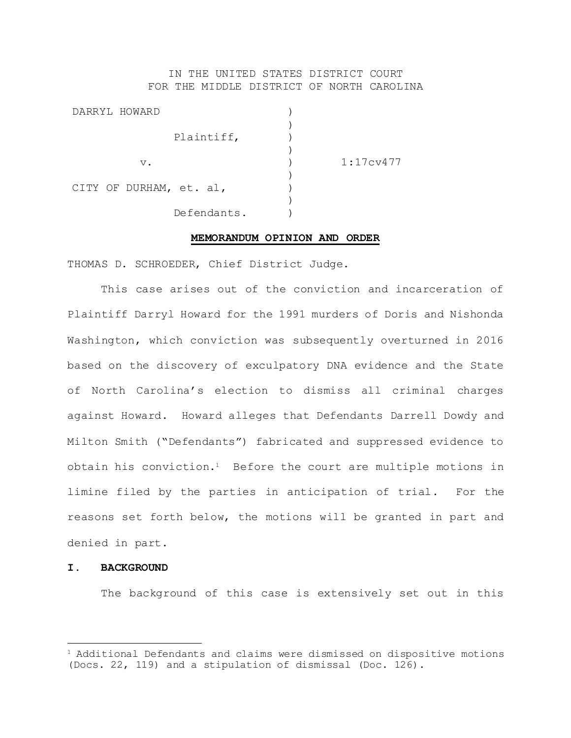# IN THE UNITED STATES DISTRICT COURT FOR THE MIDDLE DISTRICT OF NORTH CAROLINA

| DARRYL HOWARD           |                        |
|-------------------------|------------------------|
| Plaintiff,              |                        |
| $V$ .                   | 1:17c <sub>V</sub> 477 |
| CITY OF DURHAM, et. al, |                        |
| Defendants.             |                        |

#### **MEMORANDUM OPINION AND ORDER**

THOMAS D. SCHROEDER, Chief District Judge.

This case arises out of the conviction and incarceration of Plaintiff Darryl Howard for the 1991 murders of Doris and Nishonda Washington, which conviction was subsequently overturned in 2016 based on the discovery of exculpatory DNA evidence and the State of North Carolina's election to dismiss all criminal charges against Howard. Howard alleges that Defendants Darrell Dowdy and Milton Smith ("Defendants") fabricated and suppressed evidence to obtain his conviction.1 Before the court are multiple motions in limine filed by the parties in anticipation of trial. For the reasons set forth below, the motions will be granted in part and denied in part.

### **I. BACKGROUND**

L,

The background of this case is extensively set out in this

 $1$  Additional Defendants and claims were dismissed on dispositive motions (Docs. 22, 119) and a stipulation of dismissal (Doc. 126).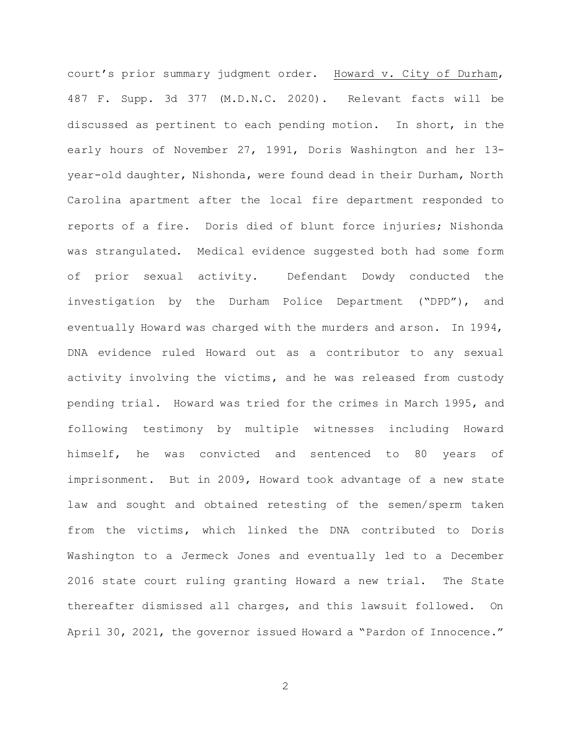court's prior summary judgment order. Howard v. City of Durham, 487 F. Supp. 3d 377 (M.D.N.C. 2020). Relevant facts will be discussed as pertinent to each pending motion. In short, in the early hours of November 27, 1991, Doris Washington and her 13 year-old daughter, Nishonda, were found dead in their Durham, North Carolina apartment after the local fire department responded to reports of a fire. Doris died of blunt force injuries; Nishonda was strangulated. Medical evidence suggested both had some form of prior sexual activity. Defendant Dowdy conducted the investigation by the Durham Police Department ("DPD"), and eventually Howard was charged with the murders and arson. In 1994, DNA evidence ruled Howard out as a contributor to any sexual activity involving the victims, and he was released from custody pending trial. Howard was tried for the crimes in March 1995, and following testimony by multiple witnesses including Howard himself, he was convicted and sentenced to 80 years of imprisonment. But in 2009, Howard took advantage of a new state law and sought and obtained retesting of the semen/sperm taken from the victims, which linked the DNA contributed to Doris Washington to a Jermeck Jones and eventually led to a December 2016 state court ruling granting Howard a new trial. The State thereafter dismissed all charges, and this lawsuit followed. On April 30, 2021, the governor issued Howard a "Pardon of Innocence."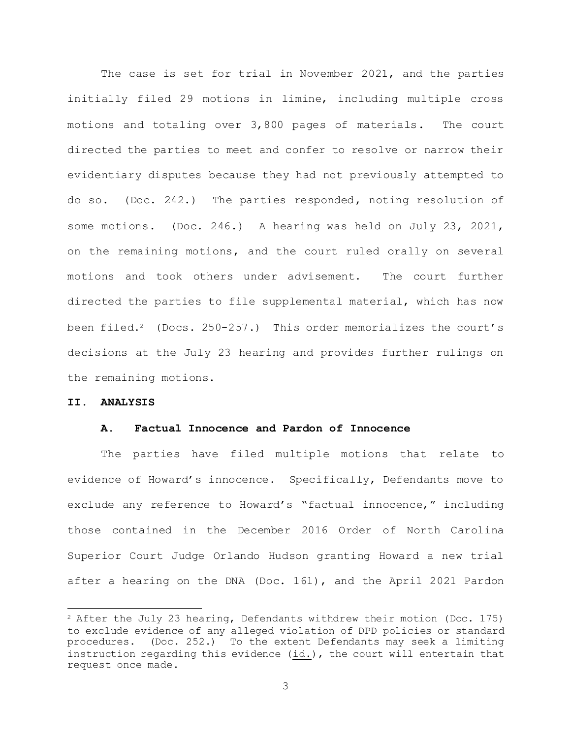The case is set for trial in November 2021, and the parties initially filed 29 motions in limine, including multiple cross motions and totaling over 3,800 pages of materials. The court directed the parties to meet and confer to resolve or narrow their evidentiary disputes because they had not previously attempted to do so. (Doc. 242.) The parties responded, noting resolution of some motions. (Doc. 246.) A hearing was held on July 23, 2021, on the remaining motions, and the court ruled orally on several motions and took others under advisement. The court further directed the parties to file supplemental material, which has now been filed.<sup>2</sup> (Docs.  $250-257$ .) This order memorializes the court's decisions at the July 23 hearing and provides further rulings on the remaining motions.

## **II. ANALYSIS**

L,

#### **A. Factual Innocence and Pardon of Innocence**

The parties have filed multiple motions that relate to evidence of Howard's innocence. Specifically, Defendants move to exclude any reference to Howard's "factual innocence," including those contained in the December 2016 Order of North Carolina Superior Court Judge Orlando Hudson granting Howard a new trial after a hearing on the DNA (Doc. 161), and the April 2021 Pardon

 $2$  After the July 23 hearing, Defendants withdrew their motion (Doc. 175) to exclude evidence of any alleged violation of DPD policies or standard procedures. (Doc. 252.) To the extent Defendants may seek a limiting instruction regarding this evidence (id.), the court will entertain that request once made.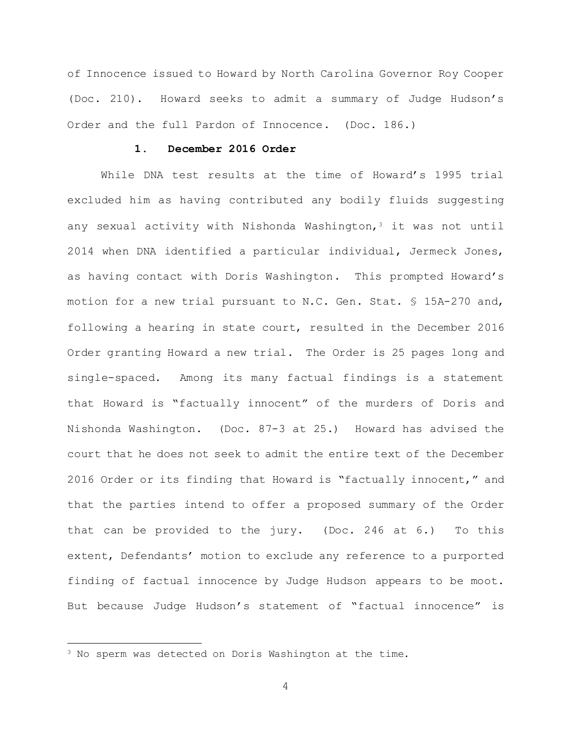of Innocence issued to Howard by North Carolina Governor Roy Cooper (Doc. 210). Howard seeks to admit a summary of Judge Hudson's Order and the full Pardon of Innocence. (Doc. 186.)

# **1. December 2016 Order**

While DNA test results at the time of Howard's 1995 trial excluded him as having contributed any bodily fluids suggesting any sexual activity with Nishonda Washington,<sup>3</sup> it was not until 2014 when DNA identified a particular individual, Jermeck Jones, as having contact with Doris Washington. This prompted Howard's motion for a new trial pursuant to N.C. Gen. Stat. § 15A-270 and, following a hearing in state court, resulted in the December 2016 Order granting Howard a new trial. The Order is 25 pages long and single-spaced. Among its many factual findings is a statement that Howard is "factually innocent" of the murders of Doris and Nishonda Washington. (Doc. 87-3 at 25.) Howard has advised the court that he does not seek to admit the entire text of the December 2016 Order or its finding that Howard is "factually innocent," and that the parties intend to offer a proposed summary of the Order that can be provided to the jury. (Doc. 246 at 6.) To this extent, Defendants' motion to exclude any reference to a purported finding of factual innocence by Judge Hudson appears to be moot. But because Judge Hudson's statement of "factual innocence" is

L,

<sup>3</sup> No sperm was detected on Doris Washington at the time.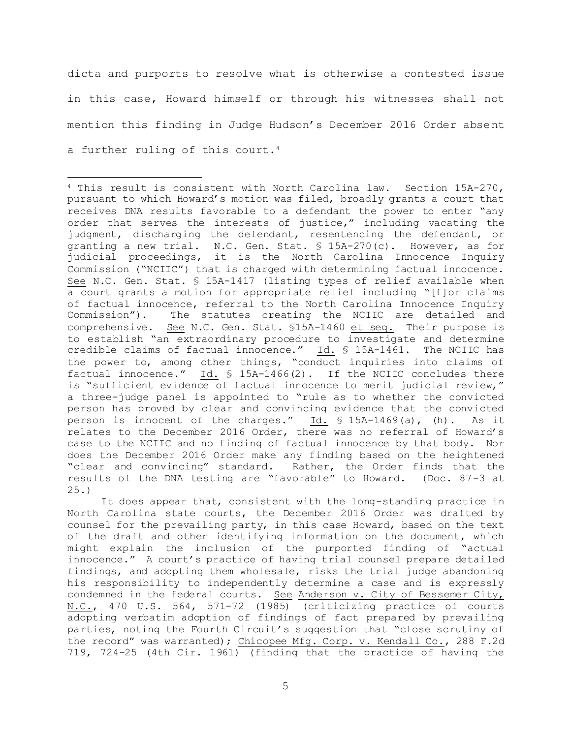dicta and purports to resolve what is otherwise a contested issue in this case, Howard himself or through his witnesses shall not mention this finding in Judge Hudson's December 2016 Order absent a further ruling of this court.<sup>4</sup>

It does appear that, consistent with the long-standing practice in North Carolina state courts, the December 2016 Order was drafted by counsel for the prevailing party, in this case Howard, based on the text of the draft and other identifying information on the document, which might explain the inclusion of the purported finding of "actual innocence." A court's practice of having trial counsel prepare detailed findings, and adopting them wholesale, risks the trial judge abandoning his responsibility to independently determine a case and is expressly condemned in the federal courts. See Anderson v. City of Bessemer City, N.C., 470 U.S. 564, 571-72 (1985) (criticizing practice of courts adopting verbatim adoption of findings of fact prepared by prevailing parties, noting the Fourth Circuit's suggestion that "close scrutiny of the record" was warranted); Chicopee Mfg. Corp. v. Kendall Co., 288 F.2d 719, 724-25 (4th Cir. 1961) (finding that the practice of having the

i<br>L <sup>4</sup> This result is consistent with North Carolina law. Section 15A-270, pursuant to which Howard's motion was filed, broadly grants a court that receives DNA results favorable to a defendant the power to enter "any order that serves the interests of justice," including vacating the judgment, discharging the defendant, resentencing the defendant, or granting a new trial. N.C. Gen. Stat. § 15A-270(c). However, as for judicial proceedings, it is the North Carolina Innocence Inquiry Commission ("NCIIC") that is charged with determining factual innocence. See N.C. Gen. Stat. § 15A-1417 (listing types of relief available when a court grants a motion for appropriate relief including "[f]or claims of factual innocence, referral to the North Carolina Innocence Inquiry Commission"). The statutes creating the NCIIC are detailed and comprehensive. See N.C. Gen. Stat. §15A-1460 et seq. Their purpose is to establish "an extraordinary procedure to investigate and determine credible claims of factual innocence." Id. § 15A-1461. The NCIIC has the power to, among other things, "conduct inquiries into claims of factual innocence." Id. § 15A-1466(2). If the NCIIC concludes there is "sufficient evidence of factual innocence to merit judicial review," a three-judge panel is appointed to "rule as to whether the convicted person has proved by clear and convincing evidence that the convicted person is innocent of the charges." Id. § 15A-1469(a), (h). As it relates to the December 2016 Order, there was no referral of Howard's case to the NCIIC and no finding of factual innocence by that body. Nor does the December 2016 Order make any finding based on the heightened "clear and convincing" standard. Rather, the Order finds that the results of the DNA testing are "favorable" to Howard. (Doc. 87-3 at 25.)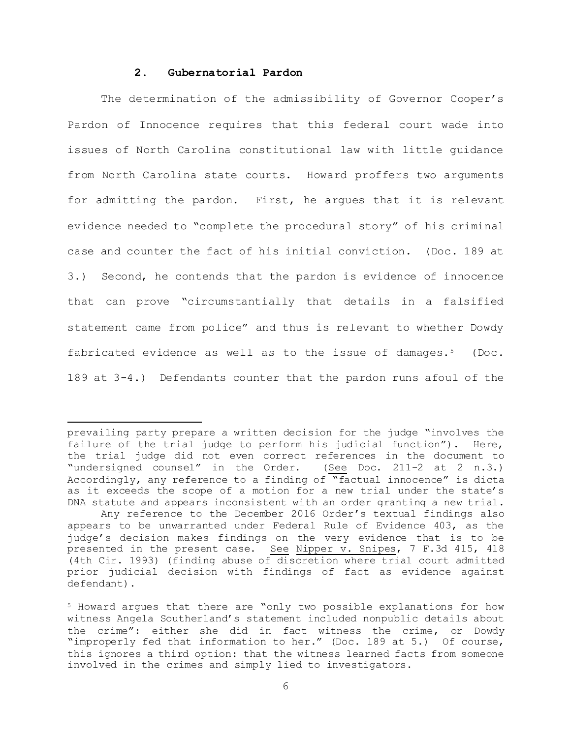## **2. Gubernatorial Pardon**

i<br>L

The determination of the admissibility of Governor Cooper's Pardon of Innocence requires that this federal court wade into issues of North Carolina constitutional law with little guidance from North Carolina state courts. Howard proffers two arguments for admitting the pardon. First, he argues that it is relevant evidence needed to "complete the procedural story" of his criminal case and counter the fact of his initial conviction. (Doc. 189 at 3.) Second, he contends that the pardon is evidence of innocence that can prove "circumstantially that details in a falsified statement came from police" and thus is relevant to whether Dowdy fabricated evidence as well as to the issue of damages.<sup>5</sup> (Doc. 189 at 3-4.) Defendants counter that the pardon runs afoul of the

prevailing party prepare a written decision for the judge "involves the failure of the trial judge to perform his judicial function"). Here, the trial judge did not even correct references in the document to "undersigned counsel" in the Order. (See Doc. 211-2 at 2 n.3.) Accordingly, any reference to a finding of "factual innocence" is dicta as it exceeds the scope of a motion for a new trial under the state's DNA statute and appears inconsistent with an order granting a new trial.

Any reference to the December 2016 Order's textual findings also appears to be unwarranted under Federal Rule of Evidence 403, as the judge's decision makes findings on the very evidence that is to be presented in the present case. See Nipper v. Snipes, 7 F.3d 415, 418 (4th Cir. 1993) (finding abuse of discretion where trial court admitted prior judicial decision with findings of fact as evidence against defendant).

<sup>5</sup> Howard argues that there are "only two possible explanations for how witness Angela Southerland's statement included nonpublic details about the crime": either she did in fact witness the crime, or Dowdy "improperly fed that information to her." (Doc. 189 at 5.) Of course, this ignores a third option: that the witness learned facts from someone involved in the crimes and simply lied to investigators.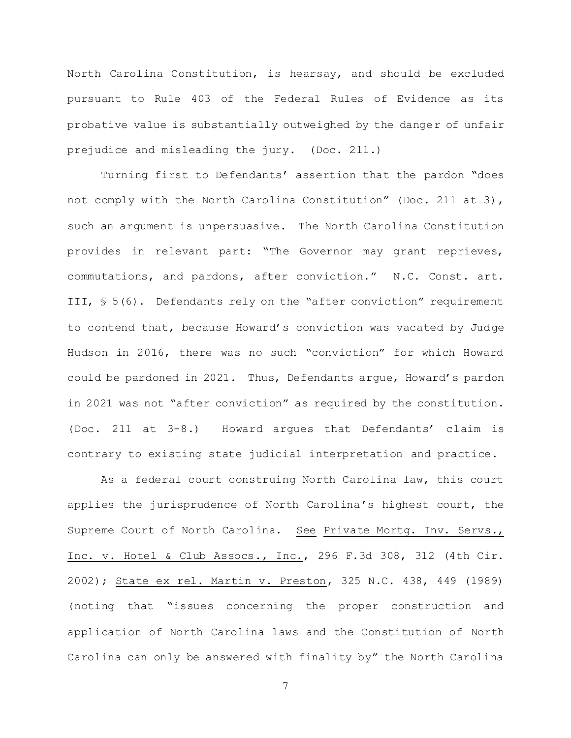North Carolina Constitution, is hearsay, and should be excluded pursuant to Rule 403 of the Federal Rules of Evidence as its probative value is substantially outweighed by the danger of unfair prejudice and misleading the jury. (Doc. 211.)

Turning first to Defendants' assertion that the pardon "does not comply with the North Carolina Constitution" (Doc. 211 at 3), such an argument is unpersuasive. The North Carolina Constitution provides in relevant part: "The Governor may grant reprieves, commutations, and pardons, after conviction." N.C. Const. art. III, § 5(6). Defendants rely on the "after conviction" requirement to contend that, because Howard's conviction was vacated by Judge Hudson in 2016, there was no such "conviction" for which Howard could be pardoned in 2021. Thus, Defendants argue, Howard's pardon in 2021 was not "after conviction" as required by the constitution. (Doc. 211 at 3-8.) Howard argues that Defendants' claim is contrary to existing state judicial interpretation and practice.

As a federal court construing North Carolina law, this court applies the jurisprudence of North Carolina's highest court, the Supreme Court of North Carolina. See Private Mortg. Inv. Servs., Inc. v. Hotel & Club Assocs., Inc., 296 F.3d 308, 312 (4th Cir. 2002); State ex rel. Martin v. Preston, 325 N.C. 438, 449 (1989) (noting that "issues concerning the proper construction and application of North Carolina laws and the Constitution of North Carolina can only be answered with finality by" the North Carolina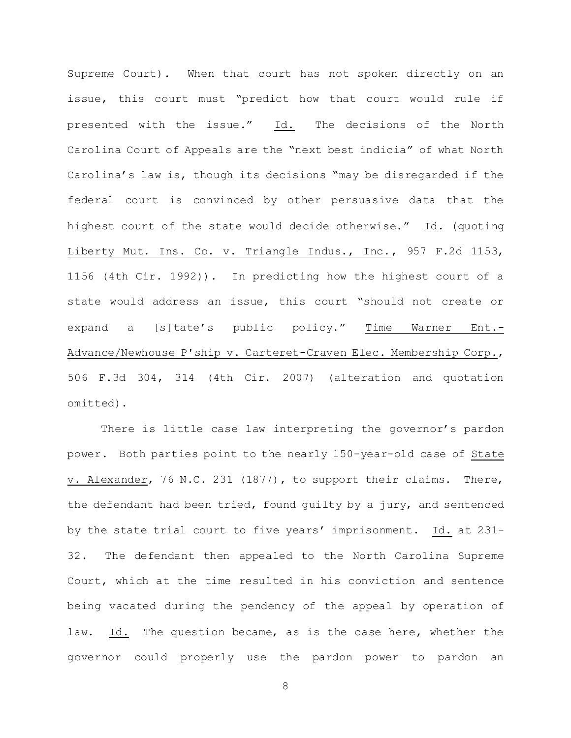Supreme Court). When that court has not spoken directly on an issue, this court must "predict how that court would rule if presented with the issue." Id. The decisions of the North Carolina Court of Appeals are the "next best indicia" of what North Carolina's law is, though its decisions "may be disregarded if the federal court is convinced by other persuasive data that the highest court of the state would decide otherwise." Id. (quoting Liberty Mut. Ins. Co. v. Triangle Indus., Inc., 957 F.2d 1153, 1156 (4th Cir. 1992)). In predicting how the highest court of a state would address an issue, this court "should not create or expand a [s]tate's public policy." Time Warner Ent.- Advance/Newhouse P'ship v. Carteret-Craven Elec. Membership Corp., 506 F.3d 304, 314 (4th Cir. 2007) (alteration and quotation omitted).

There is little case law interpreting the governor's pardon power. Both parties point to the nearly 150-year-old case of State v. Alexander, 76 N.C. 231 (1877), to support their claims. There, the defendant had been tried, found guilty by a jury, and sentenced by the state trial court to five years' imprisonment. Id. at 231- 32. The defendant then appealed to the North Carolina Supreme Court, which at the time resulted in his conviction and sentence being vacated during the pendency of the appeal by operation of law. Id. The question became, as is the case here, whether the governor could properly use the pardon power to pardon an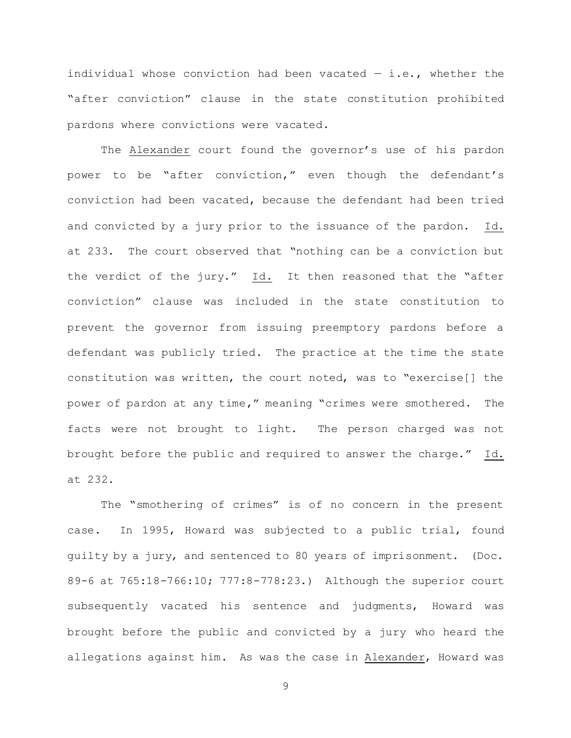individual whose conviction had been vacated  $-$  i.e., whether the "after conviction" clause in the state constitution prohibited pardons where convictions were vacated.

The Alexander court found the governor's use of his pardon power to be "after conviction," even though the defendant's conviction had been vacated, because the defendant had been tried and convicted by a jury prior to the issuance of the pardon. Id. at 233. The court observed that "nothing can be a conviction but the verdict of the jury." Id. It then reasoned that the "after conviction" clause was included in the state constitution to prevent the governor from issuing preemptory pardons before a defendant was publicly tried. The practice at the time the state constitution was written, the court noted, was to "exercise[] the power of pardon at any time," meaning "crimes were smothered. The facts were not brought to light. The person charged was not brought before the public and required to answer the charge." Id. at 232.

The "smothering of crimes" is of no concern in the present case. In 1995, Howard was subjected to a public trial, found guilty by a jury, and sentenced to 80 years of imprisonment. (Doc. 89-6 at 765:18-766:10; 777:8-778:23.) Although the superior court subsequently vacated his sentence and judgments, Howard was brought before the public and convicted by a jury who heard the allegations against him. As was the case in Alexander, Howard was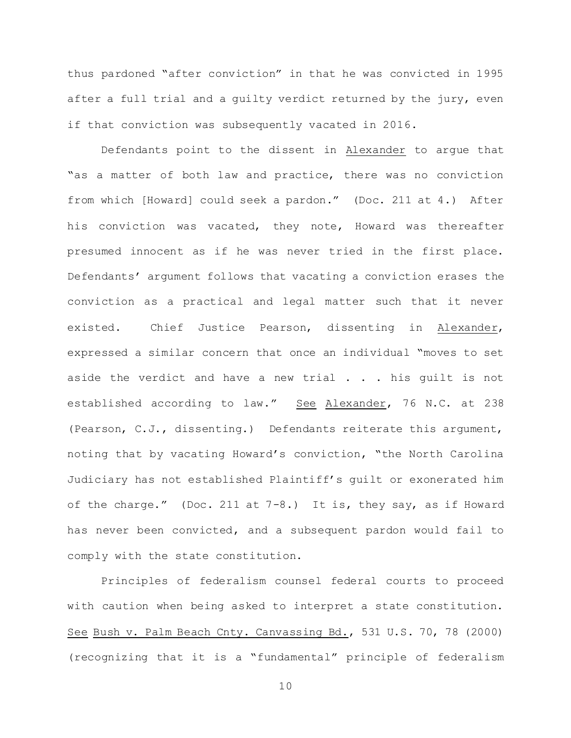thus pardoned "after conviction" in that he was convicted in 1995 after a full trial and a guilty verdict returned by the jury, even if that conviction was subsequently vacated in 2016.

Defendants point to the dissent in Alexander to argue that "as a matter of both law and practice, there was no conviction from which [Howard] could seek a pardon." (Doc. 211 at 4.) After his conviction was vacated, they note, Howard was thereafter presumed innocent as if he was never tried in the first place. Defendants' argument follows that vacating a conviction erases the conviction as a practical and legal matter such that it never existed. Chief Justice Pearson, dissenting in Alexander, expressed a similar concern that once an individual "moves to set aside the verdict and have a new trial . . . his guilt is not established according to law." See Alexander, 76 N.C. at 238 (Pearson, C.J., dissenting.) Defendants reiterate this argument, noting that by vacating Howard's conviction, "the North Carolina Judiciary has not established Plaintiff's guilt or exonerated him of the charge." (Doc. 211 at 7-8.) It is, they say, as if Howard has never been convicted, and a subsequent pardon would fail to comply with the state constitution.

Principles of federalism counsel federal courts to proceed with caution when being asked to interpret a state constitution. See Bush v. Palm Beach Cnty. Canvassing Bd., 531 U.S. 70, 78 (2000) (recognizing that it is a "fundamental" principle of federalism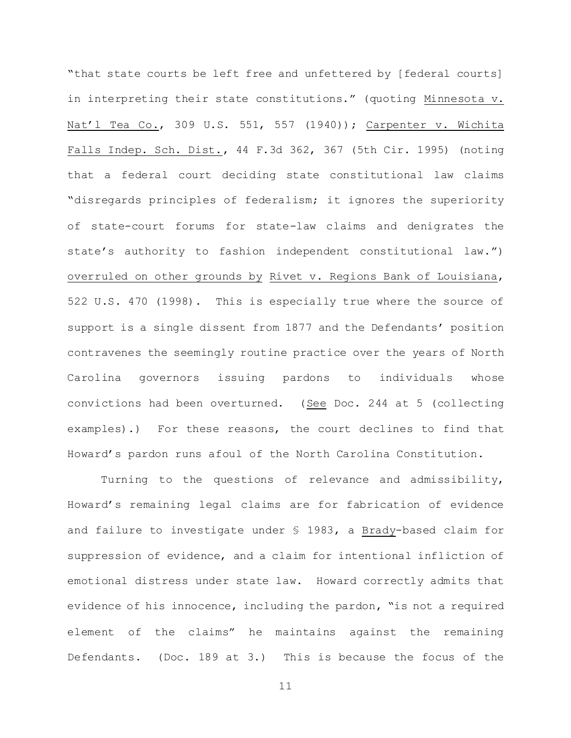"that state courts be left free and unfettered by [federal courts] in interpreting their state constitutions." (quoting Minnesota v. Nat'l Tea Co., 309 U.S. 551, 557 (1940)); Carpenter v. Wichita Falls Indep. Sch. Dist., 44 F.3d 362, 367 (5th Cir. 1995) (noting that a federal court deciding state constitutional law claims "disregards principles of federalism; it ignores the superiority of state-court forums for state-law claims and denigrates the state's authority to fashion independent constitutional law.") overruled on other grounds by Rivet v. Regions Bank of Louisiana, 522 U.S. 470 (1998). This is especially true where the source of support is a single dissent from 1877 and the Defendants' position contravenes the seemingly routine practice over the years of North Carolina governors issuing pardons to individuals whose convictions had been overturned. (See Doc. 244 at 5 (collecting examples).) For these reasons, the court declines to find that Howard's pardon runs afoul of the North Carolina Constitution.

Turning to the questions of relevance and admissibility, Howard's remaining legal claims are for fabrication of evidence and failure to investigate under § 1983, a Brady-based claim for suppression of evidence, and a claim for intentional infliction of emotional distress under state law. Howard correctly admits that evidence of his innocence, including the pardon, "is not a required element of the claims" he maintains against the remaining Defendants. (Doc. 189 at 3.) This is because the focus of the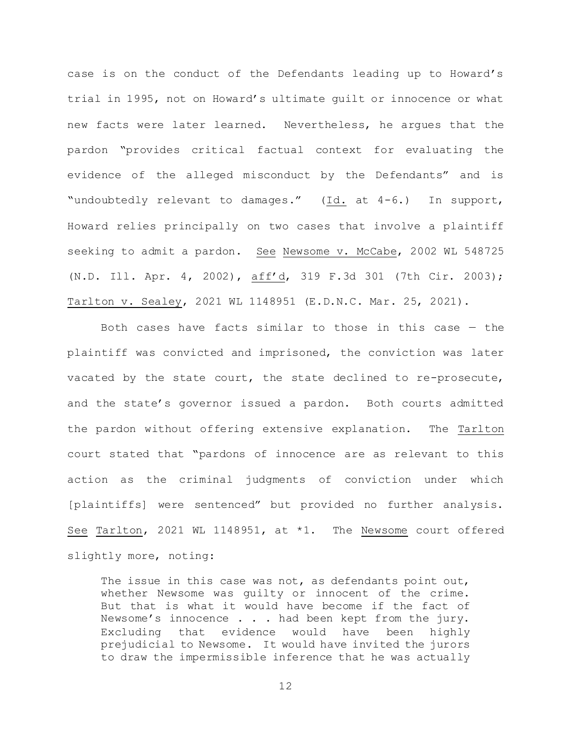case is on the conduct of the Defendants leading up to Howard's trial in 1995, not on Howard's ultimate guilt or innocence or what new facts were later learned. Nevertheless, he argues that the pardon "provides critical factual context for evaluating the evidence of the alleged misconduct by the Defendants" and is "undoubtedly relevant to damages." (Id. at 4-6.) In support, Howard relies principally on two cases that involve a plaintiff seeking to admit a pardon. See Newsome v. McCabe, 2002 WL 548725 (N.D. Ill. Apr. 4, 2002), aff'd, 319 F.3d 301 (7th Cir. 2003); Tarlton v. Sealey, 2021 WL 1148951 (E.D.N.C. Mar. 25, 2021).

Both cases have facts similar to those in this case — the plaintiff was convicted and imprisoned, the conviction was later vacated by the state court, the state declined to re-prosecute, and the state's governor issued a pardon. Both courts admitted the pardon without offering extensive explanation. The Tarlton court stated that "pardons of innocence are as relevant to this action as the criminal judgments of conviction under which [plaintiffs] were sentenced" but provided no further analysis. See Tarlton, 2021 WL 1148951, at \*1. The Newsome court offered slightly more, noting:

The issue in this case was not, as defendants point out, whether Newsome was guilty or innocent of the crime. But that is what it would have become if the fact of Newsome's innocence . . . had been kept from the jury. Excluding that evidence would have been highly prejudicial to Newsome. It would have invited the jurors to draw the impermissible inference that he was actually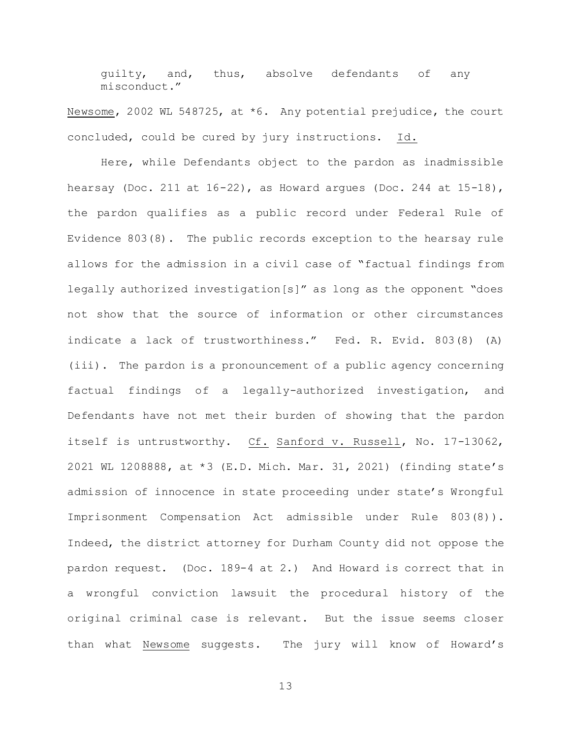guilty, and, thus, absolve defendants of any misconduct."

Newsome, 2002 WL 548725, at \*6. Any potential prejudice, the court concluded, could be cured by jury instructions. Id.

Here, while Defendants object to the pardon as inadmissible hearsay (Doc. 211 at  $16-22$ ), as Howard arques (Doc. 244 at  $15-18$ ), the pardon qualifies as a public record under Federal Rule of Evidence 803(8). The public records exception to the hearsay rule allows for the admission in a civil case of "factual findings from legally authorized investigation[s]" as long as the opponent "does not show that the source of information or other circumstances indicate a lack of trustworthiness." Fed. R. Evid. 803(8) (A) (iii). The pardon is a pronouncement of a public agency concerning factual findings of a legally-authorized investigation, and Defendants have not met their burden of showing that the pardon itself is untrustworthy. Cf. Sanford v. Russell, No. 17-13062, 2021 WL 1208888, at \*3 (E.D. Mich. Mar. 31, 2021) (finding state's admission of innocence in state proceeding under state's Wrongful Imprisonment Compensation Act admissible under Rule 803(8)). Indeed, the district attorney for Durham County did not oppose the pardon request. (Doc. 189-4 at 2.) And Howard is correct that in a wrongful conviction lawsuit the procedural history of the original criminal case is relevant. But the issue seems closer than what Newsome suggests. The jury will know of Howard's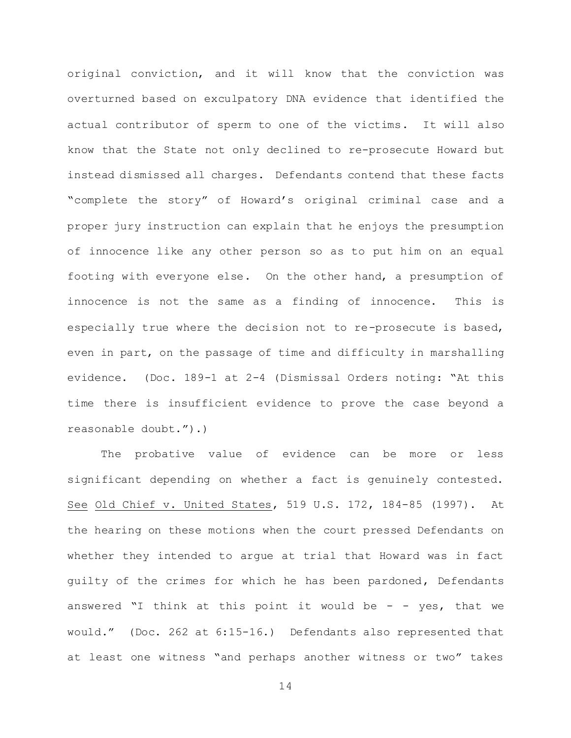original conviction, and it will know that the conviction was overturned based on exculpatory DNA evidence that identified the actual contributor of sperm to one of the victims. It will also know that the State not only declined to re-prosecute Howard but instead dismissed all charges. Defendants contend that these facts "complete the story" of Howard's original criminal case and a proper jury instruction can explain that he enjoys the presumption of innocence like any other person so as to put him on an equal footing with everyone else. On the other hand, a presumption of innocence is not the same as a finding of innocence. This is especially true where the decision not to re-prosecute is based, even in part, on the passage of time and difficulty in marshalling evidence. (Doc. 189-1 at 2-4 (Dismissal Orders noting: "At this time there is insufficient evidence to prove the case beyond a reasonable doubt.").)

The probative value of evidence can be more or less significant depending on whether a fact is genuinely contested. See Old Chief v. United States, 519 U.S. 172, 184-85 (1997). At the hearing on these motions when the court pressed Defendants on whether they intended to argue at trial that Howard was in fact guilty of the crimes for which he has been pardoned, Defendants answered "I think at this point it would be  $-$  - yes, that we would." (Doc. 262 at 6:15-16.) Defendants also represented that at least one witness "and perhaps another witness or two" takes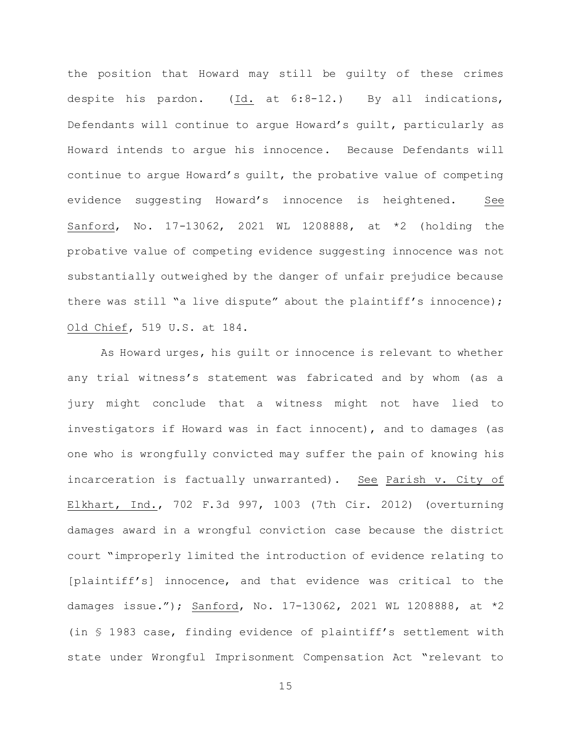the position that Howard may still be guilty of these crimes despite his pardon. (Id. at 6:8-12.) By all indications, Defendants will continue to argue Howard's guilt, particularly as Howard intends to argue his innocence. Because Defendants will continue to argue Howard's guilt, the probative value of competing evidence suggesting Howard's innocence is heightened. See Sanford, No. 17-13062, 2021 WL 1208888, at \*2 (holding the probative value of competing evidence suggesting innocence was not substantially outweighed by the danger of unfair prejudice because there was still "a live dispute" about the plaintiff's innocence); Old Chief, 519 U.S. at 184.

As Howard urges, his guilt or innocence is relevant to whether any trial witness's statement was fabricated and by whom (as a jury might conclude that a witness might not have lied to investigators if Howard was in fact innocent), and to damages (as one who is wrongfully convicted may suffer the pain of knowing his incarceration is factually unwarranted). See Parish v. City of Elkhart, Ind., 702 F.3d 997, 1003 (7th Cir. 2012) (overturning damages award in a wrongful conviction case because the district court "improperly limited the introduction of evidence relating to [plaintiff's] innocence, and that evidence was critical to the damages issue."); Sanford, No. 17-13062, 2021 WL 1208888, at \*2 (in § 1983 case, finding evidence of plaintiff's settlement with state under Wrongful Imprisonment Compensation Act "relevant to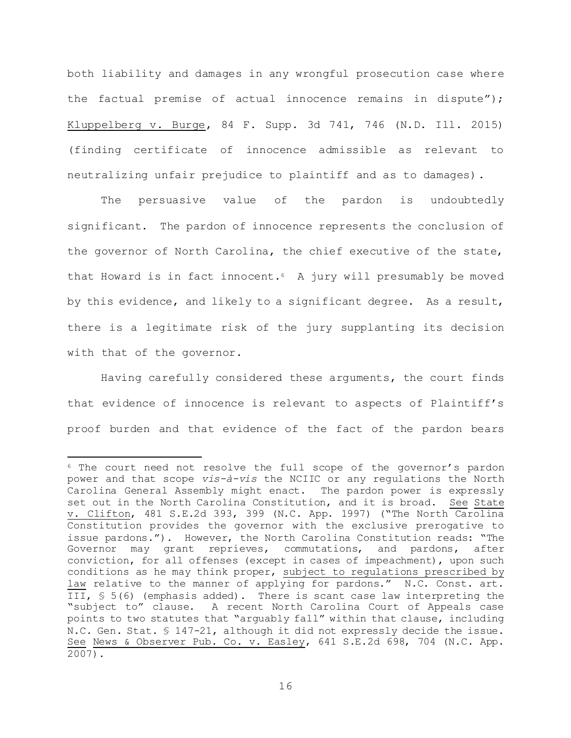both liability and damages in any wrongful prosecution case where the factual premise of actual innocence remains in dispute"); Kluppelberg v. Burge, 84 F. Supp. 3d 741, 746 (N.D. Ill. 2015) (finding certificate of innocence admissible as relevant to neutralizing unfair prejudice to plaintiff and as to damages).

The persuasive value of the pardon is undoubtedly significant. The pardon of innocence represents the conclusion of the governor of North Carolina, the chief executive of the state, that Howard is in fact innocent.6 A jury will presumably be moved by this evidence, and likely to a significant degree. As a result, there is a legitimate risk of the jury supplanting its decision with that of the governor.

Having carefully considered these arguments, the court finds that evidence of innocence is relevant to aspects of Plaintiff's proof burden and that evidence of the fact of the pardon bears

i<br>L

<sup>6</sup> The court need not resolve the full scope of the governor's pardon power and that scope *vis-à-vis* the NCIIC or any regulations the North Carolina General Assembly might enact. The pardon power is expressly set out in the North Carolina Constitution, and it is broad. See State v. Clifton, 481 S.E.2d 393, 399 (N.C. App. 1997) ("The North Carolina Constitution provides the governor with the exclusive prerogative to issue pardons."). However, the North Carolina Constitution reads: "The Governor may grant reprieves, commutations, and pardons, after conviction, for all offenses (except in cases of impeachment), upon such conditions as he may think proper, subject to regulations prescribed by law relative to the manner of applying for pardons." N.C. Const. art. III, § 5(6) (emphasis added). There is scant case law interpreting the "subject to" clause. A recent North Carolina Court of Appeals case points to two statutes that "arguably fall" within that clause, including N.C. Gen. Stat. § 147-21, although it did not expressly decide the issue. See News & Observer Pub. Co. v. Easley, 641 S.E.2d 698, 704 (N.C. App. 2007).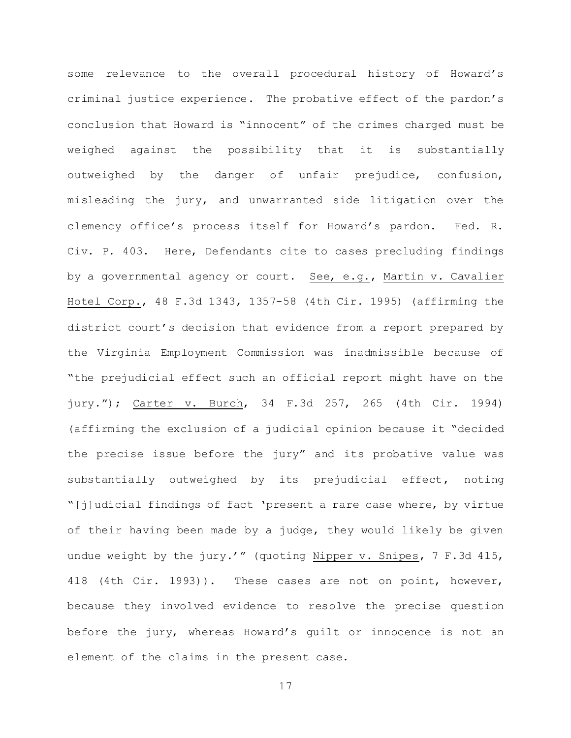some relevance to the overall procedural history of Howard's criminal justice experience. The probative effect of the pardon's conclusion that Howard is "innocent" of the crimes charged must be weighed against the possibility that it is substantially outweighed by the danger of unfair prejudice, confusion, misleading the jury, and unwarranted side litigation over the clemency office's process itself for Howard's pardon. Fed. R. Civ. P. 403. Here, Defendants cite to cases precluding findings by a governmental agency or court. See, e.g., Martin v. Cavalier Hotel Corp., 48 F.3d 1343, 1357-58 (4th Cir. 1995) (affirming the district court's decision that evidence from a report prepared by the Virginia Employment Commission was inadmissible because of "the prejudicial effect such an official report might have on the jury."); Carter v. Burch, 34 F.3d 257, 265 (4th Cir. 1994) (affirming the exclusion of a judicial opinion because it "decided the precise issue before the jury" and its probative value was substantially outweighed by its prejudicial effect, noting "[j]udicial findings of fact 'present a rare case where, by virtue of their having been made by a judge, they would likely be given undue weight by the jury.'" (quoting Nipper v. Snipes, 7 F.3d 415, 418 (4th Cir. 1993)). These cases are not on point, however, because they involved evidence to resolve the precise question before the jury, whereas Howard's guilt or innocence is not an element of the claims in the present case.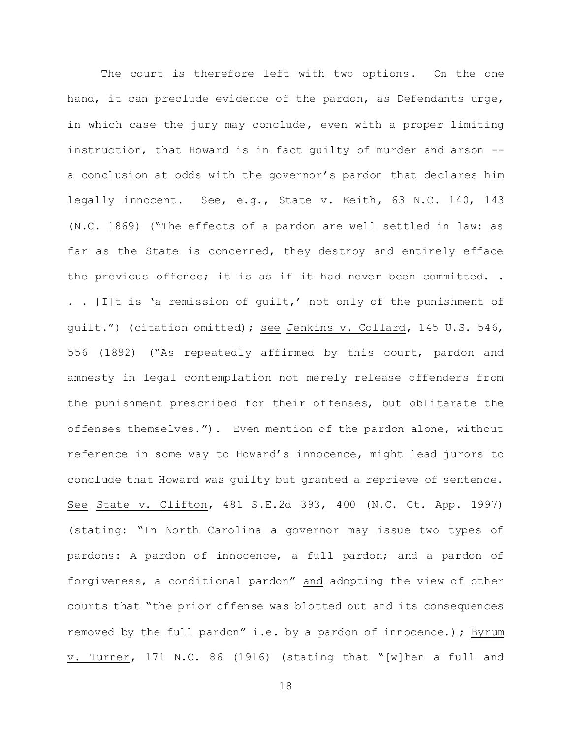The court is therefore left with two options. On the one hand, it can preclude evidence of the pardon, as Defendants urge, in which case the jury may conclude, even with a proper limiting instruction, that Howard is in fact guilty of murder and arson - a conclusion at odds with the governor's pardon that declares him legally innocent. See, e.g., State v. Keith, 63 N.C. 140, 143 (N.C. 1869) ("The effects of a pardon are well settled in law: as far as the State is concerned, they destroy and entirely efface the previous offence; it is as if it had never been committed. . . . [I]t is 'a remission of guilt,' not only of the punishment of guilt.") (citation omitted); see Jenkins v. Collard, 145 U.S. 546, 556 (1892) ("As repeatedly affirmed by this court, pardon and amnesty in legal contemplation not merely release offenders from the punishment prescribed for their offenses, but obliterate the offenses themselves."). Even mention of the pardon alone, without reference in some way to Howard's innocence, might lead jurors to conclude that Howard was guilty but granted a reprieve of sentence. See State v. Clifton, 481 S.E.2d 393, 400 (N.C. Ct. App. 1997) (stating: "In North Carolina a governor may issue two types of pardons: A pardon of innocence, a full pardon; and a pardon of forgiveness, a conditional pardon" and adopting the view of other courts that "the prior offense was blotted out and its consequences removed by the full pardon" i.e. by a pardon of innocence.); Byrum v. Turner, 171 N.C. 86 (1916) (stating that "[w]hen a full and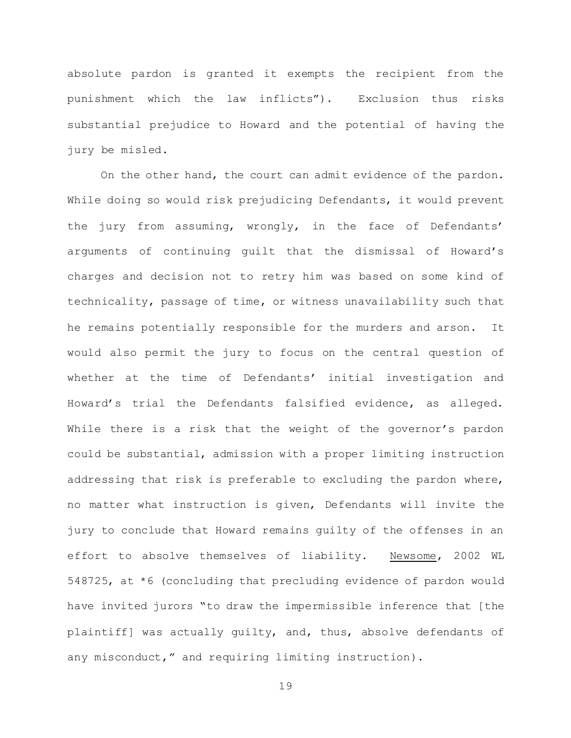absolute pardon is granted it exempts the recipient from the punishment which the law inflicts"). Exclusion thus risks substantial prejudice to Howard and the potential of having the jury be misled.

On the other hand, the court can admit evidence of the pardon. While doing so would risk prejudicing Defendants, it would prevent the jury from assuming, wrongly, in the face of Defendants' arguments of continuing guilt that the dismissal of Howard's charges and decision not to retry him was based on some kind of technicality, passage of time, or witness unavailability such that he remains potentially responsible for the murders and arson. It would also permit the jury to focus on the central question of whether at the time of Defendants' initial investigation and Howard's trial the Defendants falsified evidence, as alleged. While there is a risk that the weight of the governor's pardon could be substantial, admission with a proper limiting instruction addressing that risk is preferable to excluding the pardon where, no matter what instruction is given, Defendants will invite the jury to conclude that Howard remains guilty of the offenses in an effort to absolve themselves of liability. Newsome, 2002 WL 548725, at \*6 (concluding that precluding evidence of pardon would have invited jurors "to draw the impermissible inference that [the plaintiff] was actually guilty, and, thus, absolve defendants of any misconduct," and requiring limiting instruction).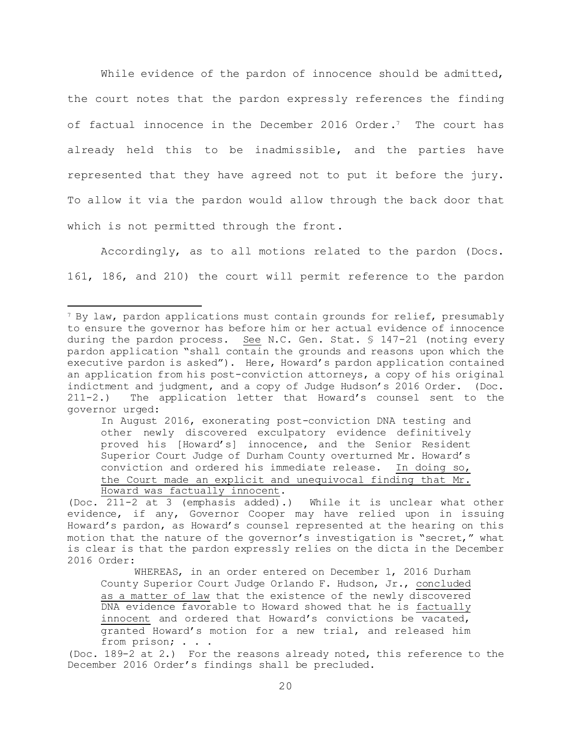While evidence of the pardon of innocence should be admitted, the court notes that the pardon expressly references the finding of factual innocence in the December 2016 Order.7 The court has already held this to be inadmissible, and the parties have represented that they have agreed not to put it before the jury. To allow it via the pardon would allow through the back door that which is not permitted through the front.

Accordingly, as to all motions related to the pardon (Docs. 161, 186, and 210) the court will permit reference to the pardon

i<br>L

In August 2016, exonerating post-conviction DNA testing and other newly discovered exculpatory evidence definitively proved his [Howard's] innocence, and the Senior Resident Superior Court Judge of Durham County overturned Mr. Howard's conviction and ordered his immediate release. In doing so, the Court made an explicit and unequivocal finding that Mr. Howard was factually innocent.

<sup>&</sup>lt;sup>7</sup> By law, pardon applications must contain grounds for relief, presumably to ensure the governor has before him or her actual evidence of innocence during the pardon process. See N.C. Gen. Stat. § 147-21 (noting every pardon application "shall contain the grounds and reasons upon which the executive pardon is asked"). Here, Howard's pardon application contained an application from his post-conviction attorneys, a copy of his original indictment and judgment, and a copy of Judge Hudson's 2016 Order. (Doc. 211-2.) The application letter that Howard's counsel sent to the governor urged:

<sup>(</sup>Doc. 211-2 at 3 (emphasis added).) While it is unclear what other evidence, if any, Governor Cooper may have relied upon in issuing Howard's pardon, as Howard's counsel represented at the hearing on this motion that the nature of the governor's investigation is "secret," what is clear is that the pardon expressly relies on the dicta in the December 2016 Order:

WHEREAS, in an order entered on December 1, 2016 Durham County Superior Court Judge Orlando F. Hudson, Jr., concluded as a matter of law that the existence of the newly discovered DNA evidence favorable to Howard showed that he is factually innocent and ordered that Howard's convictions be vacated, granted Howard's motion for a new trial, and released him from prison; . . .

<sup>(</sup>Doc. 189-2 at 2.) For the reasons already noted, this reference to the December 2016 Order's findings shall be precluded.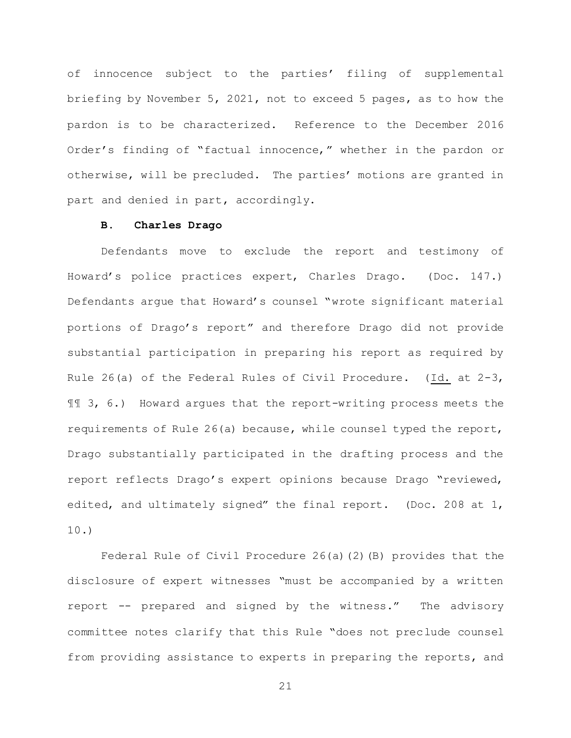of innocence subject to the parties' filing of supplemental briefing by November 5, 2021, not to exceed 5 pages, as to how the pardon is to be characterized. Reference to the December 2016 Order's finding of "factual innocence," whether in the pardon or otherwise, will be precluded. The parties' motions are granted in part and denied in part, accordingly.

# **B. Charles Drago**

Defendants move to exclude the report and testimony of Howard's police practices expert, Charles Drago. (Doc. 147.) Defendants argue that Howard's counsel "wrote significant material portions of Drago's report" and therefore Drago did not provide substantial participation in preparing his report as required by Rule 26(a) of the Federal Rules of Civil Procedure. (Id. at 2-3, ¶¶ 3, 6.) Howard argues that the report-writing process meets the requirements of Rule 26(a) because, while counsel typed the report, Drago substantially participated in the drafting process and the report reflects Drago's expert opinions because Drago "reviewed, edited, and ultimately signed" the final report. (Doc. 208 at 1, 10.)

Federal Rule of Civil Procedure 26(a)(2)(B) provides that the disclosure of expert witnesses "must be accompanied by a written report -- prepared and signed by the witness." The advisory committee notes clarify that this Rule "does not preclude counsel from providing assistance to experts in preparing the reports, and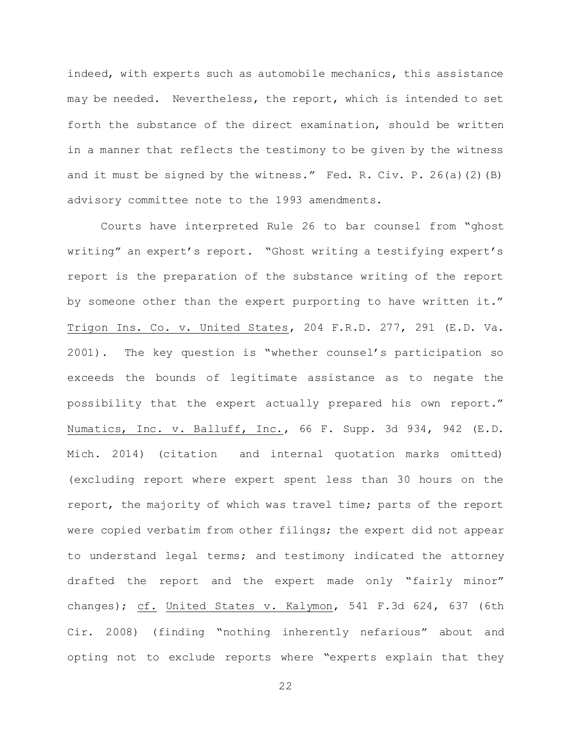indeed, with experts such as automobile mechanics, this assistance may be needed. Nevertheless, the report, which is intended to set forth the substance of the direct examination, should be written in a manner that reflects the testimony to be given by the witness and it must be signed by the witness." Fed. R. Civ. P.  $26(a)(2)(B)$ advisory committee note to the 1993 amendments.

Courts have interpreted Rule 26 to bar counsel from "ghost writing" an expert's report. "Ghost writing a testifying expert's report is the preparation of the substance writing of the report by someone other than the expert purporting to have written it." Trigon Ins. Co. v. United States, 204 F.R.D. 277, 291 (E.D. Va. 2001). The key question is "whether counsel's participation so exceeds the bounds of legitimate assistance as to negate the possibility that the expert actually prepared his own report." Numatics, Inc. v. Balluff, Inc., 66 F. Supp. 3d 934, 942 (E.D. Mich. 2014) (citation and internal quotation marks omitted) (excluding report where expert spent less than 30 hours on the report, the majority of which was travel time; parts of the report were copied verbatim from other filings; the expert did not appear to understand legal terms; and testimony indicated the attorney drafted the report and the expert made only "fairly minor" changes); cf. United States v. Kalymon, 541 F.3d 624, 637 (6th Cir. 2008) (finding "nothing inherently nefarious" about and opting not to exclude reports where "experts explain that they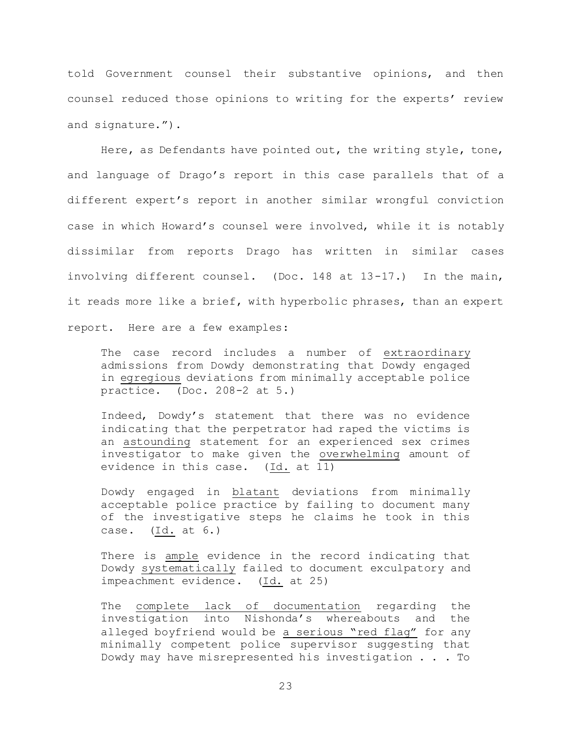told Government counsel their substantive opinions, and then counsel reduced those opinions to writing for the experts' review and signature.").

Here, as Defendants have pointed out, the writing style, tone, and language of Drago's report in this case parallels that of a different expert's report in another similar wrongful conviction case in which Howard's counsel were involved, while it is notably dissimilar from reports Drago has written in similar cases involving different counsel. (Doc. 148 at 13-17.) In the main, it reads more like a brief, with hyperbolic phrases, than an expert report. Here are a few examples:

The case record includes a number of extraordinary admissions from Dowdy demonstrating that Dowdy engaged in egregious deviations from minimally acceptable police practice. (Doc. 208-2 at 5.)

Indeed, Dowdy's statement that there was no evidence indicating that the perpetrator had raped the victims is an astounding statement for an experienced sex crimes investigator to make given the overwhelming amount of evidence in this case. (Id. at 11)

Dowdy engaged in blatant deviations from minimally acceptable police practice by failing to document many of the investigative steps he claims he took in this case. (Id. at 6.)

There is ample evidence in the record indicating that Dowdy systematically failed to document exculpatory and impeachment evidence. (Id. at 25)

The complete lack of documentation regarding the investigation into Nishonda's whereabouts and the alleged boyfriend would be a serious "red flag" for any minimally competent police supervisor suggesting that Dowdy may have misrepresented his investigation . . . To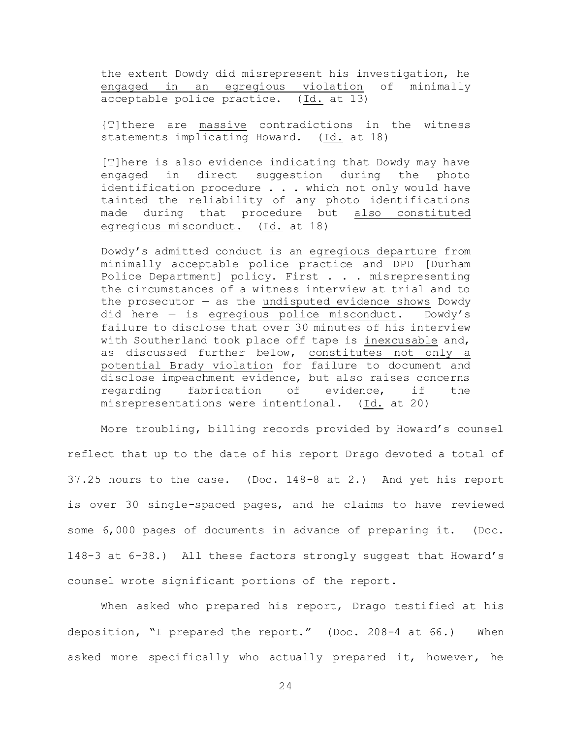the extent Dowdy did misrepresent his investigation, he engaged in an egregious violation of minimally acceptable police practice. (Id. at 13)

{T]there are massive contradictions in the witness statements implicating Howard. (Id. at 18)

[T]here is also evidence indicating that Dowdy may have engaged in direct suggestion during the photo identification procedure . . . which not only would have tainted the reliability of any photo identifications made during that procedure but also constituted egregious misconduct. (Id. at 18)

Dowdy's admitted conduct is an egregious departure from minimally acceptable police practice and DPD [Durham Police Department] policy. First . . . misrepresenting the circumstances of a witness interview at trial and to the prosecutor  $-$  as the undisputed evidence shows Dowdy did here — is egregious police misconduct. Dowdy's failure to disclose that over 30 minutes of his interview with Southerland took place off tape is inexcusable and, as discussed further below, constitutes not only a potential Brady violation for failure to document and disclose impeachment evidence, but also raises concerns regarding fabrication of evidence, if the misrepresentations were intentional. (Id. at 20)

More troubling, billing records provided by Howard's counsel reflect that up to the date of his report Drago devoted a total of 37.25 hours to the case. (Doc. 148-8 at 2.) And yet his report is over 30 single-spaced pages, and he claims to have reviewed some 6,000 pages of documents in advance of preparing it. (Doc. 148-3 at 6-38.) All these factors strongly suggest that Howard's counsel wrote significant portions of the report.

When asked who prepared his report, Drago testified at his deposition, "I prepared the report." (Doc. 208-4 at 66.) When asked more specifically who actually prepared it, however, he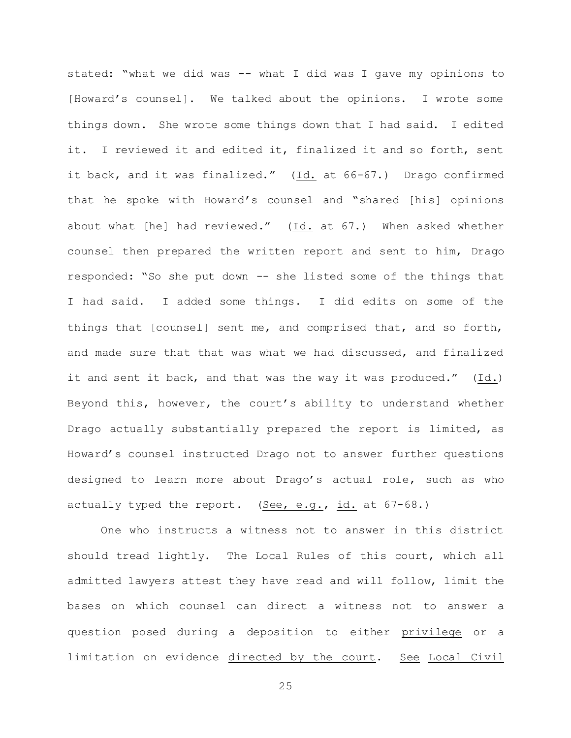stated: "what we did was -- what I did was I gave my opinions to [Howard's counsel]. We talked about the opinions. I wrote some things down. She wrote some things down that I had said. I edited it. I reviewed it and edited it, finalized it and so forth, sent it back, and it was finalized." (Id. at 66-67.) Drago confirmed that he spoke with Howard's counsel and "shared [his] opinions about what [he] had reviewed." (Id. at 67.) When asked whether counsel then prepared the written report and sent to him, Drago responded: "So she put down -- she listed some of the things that I had said. I added some things. I did edits on some of the things that [counsel] sent me, and comprised that, and so forth, and made sure that that was what we had discussed, and finalized it and sent it back, and that was the way it was produced." (Id.) Beyond this, however, the court's ability to understand whether Drago actually substantially prepared the report is limited, as Howard's counsel instructed Drago not to answer further questions designed to learn more about Drago's actual role, such as who actually typed the report. (See, e.g.,  $id.$  at  $67-68.$ )

One who instructs a witness not to answer in this district should tread lightly. The Local Rules of this court, which all admitted lawyers attest they have read and will follow, limit the bases on which counsel can direct a witness not to answer a question posed during a deposition to either privilege or a limitation on evidence directed by the court. See Local Civil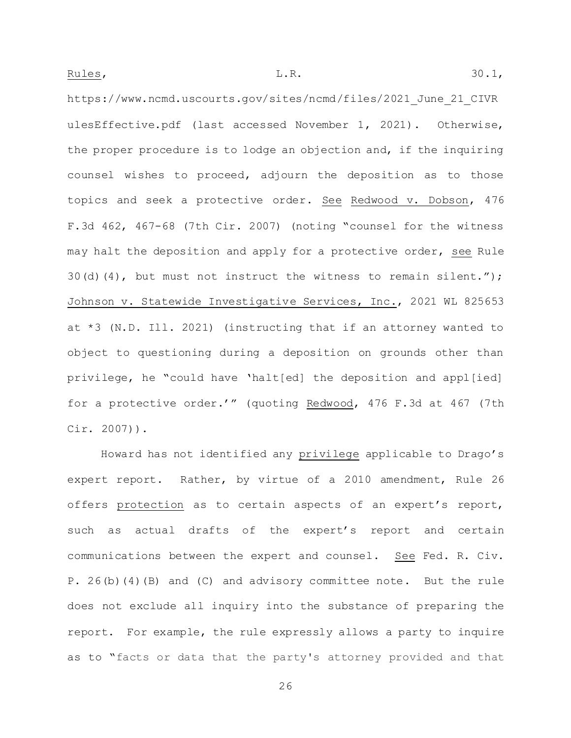https://www.ncmd.uscourts.gov/sites/ncmd/files/2021\_June\_21\_CIVR ulesEffective.pdf (last accessed November 1, 2021). Otherwise, the proper procedure is to lodge an objection and, if the inquiring counsel wishes to proceed, adjourn the deposition as to those topics and seek a protective order. See Redwood v. Dobson, 476 F.3d 462, 467-68 (7th Cir. 2007) (noting "counsel for the witness may halt the deposition and apply for a protective order, see Rule 30(d)(4), but must not instruct the witness to remain silent."); Johnson v. Statewide Investigative Services, Inc., 2021 WL 825653 at \*3 (N.D. Ill. 2021) (instructing that if an attorney wanted to object to questioning during a deposition on grounds other than privilege, he "could have 'halt[ed] the deposition and appl[ied] for a protective order.'" (quoting Redwood, 476 F.3d at 467 (7th Cir. 2007)).

Howard has not identified any privilege applicable to Drago's expert report. Rather, by virtue of a 2010 amendment, Rule 26 offers protection as to certain aspects of an expert's report, such as actual drafts of the expert's report and certain communications between the expert and counsel. See Fed. R. Civ. P. 26(b)(4)(B) and (C) and advisory committee note. But the rule does not exclude all inquiry into the substance of preparing the report. For example, the rule expressly allows a party to inquire as to "facts or data that the party's attorney provided and that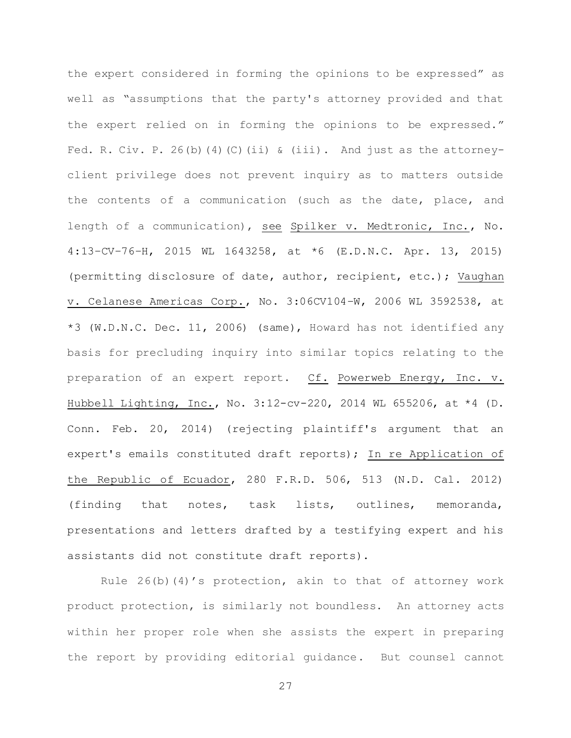the expert considered in forming the opinions to be expressed" as well as "assumptions that the party's attorney provided and that the expert relied on in forming the opinions to be expressed." Fed. R. Civ. P. 26(b)(4)(C)(ii) & (iii). And just as the attorneyclient privilege does not prevent inquiry as to matters outside the contents of a communication (such as the date, place, and length of a communication), see Spilker v. Medtronic, Inc., No. 4:13–CV–76–H, 2015 WL 1643258, at \*6 (E.D.N.C. Apr. 13, 2015) (permitting disclosure of date, author, recipient, etc.); Vaughan v. Celanese Americas Corp., No. 3:06CV104–W, 2006 WL 3592538, at \*3 (W.D.N.C. Dec. 11, 2006) (same), Howard has not identified any basis for precluding inquiry into similar topics relating to the preparation of an expert report. Cf. Powerweb Energy, Inc. v. Hubbell Lighting, Inc., No. 3:12-cv-220, 2014 WL 655206, at \*4 (D. Conn. Feb. 20, 2014) (rejecting plaintiff's argument that an expert's emails constituted draft reports); In re Application of the Republic of Ecuador, 280 F.R.D. 506, 513 (N.D. Cal. 2012) (finding that notes, task lists, outlines, memoranda, presentations and letters drafted by a testifying expert and his assistants did not constitute draft reports).

Rule  $26(b)(4)'$ s protection, akin to that of attorney work product protection, is similarly not boundless. An attorney acts within her proper role when she assists the expert in preparing the report by providing editorial guidance. But counsel cannot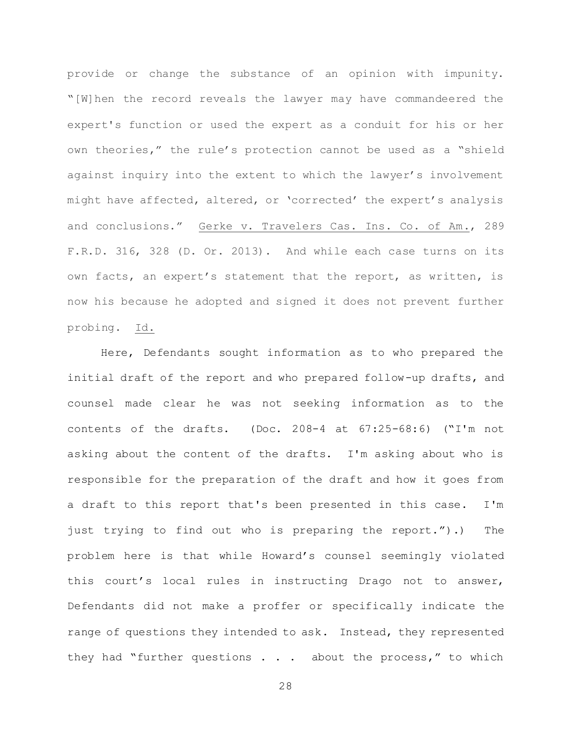provide or change the substance of an opinion with impunity. "[W]hen the record reveals the lawyer may have commandeered the expert's function or used the expert as a conduit for his or her own theories," the rule's protection cannot be used as a "shield against inquiry into the extent to which the lawyer's involvement might have affected, altered, or 'corrected' the expert's analysis and conclusions." Gerke v. Travelers Cas. Ins. Co. of Am., 289 F.R.D. 316, 328 (D. Or. 2013). And while each case turns on its own facts, an expert's statement that the report, as written, is now his because he adopted and signed it does not prevent further probing. Id.

Here, Defendants sought information as to who prepared the initial draft of the report and who prepared follow-up drafts, and counsel made clear he was not seeking information as to the contents of the drafts. (Doc. 208-4 at 67:25-68:6) ("I'm not asking about the content of the drafts. I'm asking about who is responsible for the preparation of the draft and how it goes from a draft to this report that's been presented in this case. I'm just trying to find out who is preparing the report.").) The problem here is that while Howard's counsel seemingly violated this court's local rules in instructing Drago not to answer, Defendants did not make a proffer or specifically indicate the range of questions they intended to ask. Instead, they represented they had "further questions . . . about the process," to which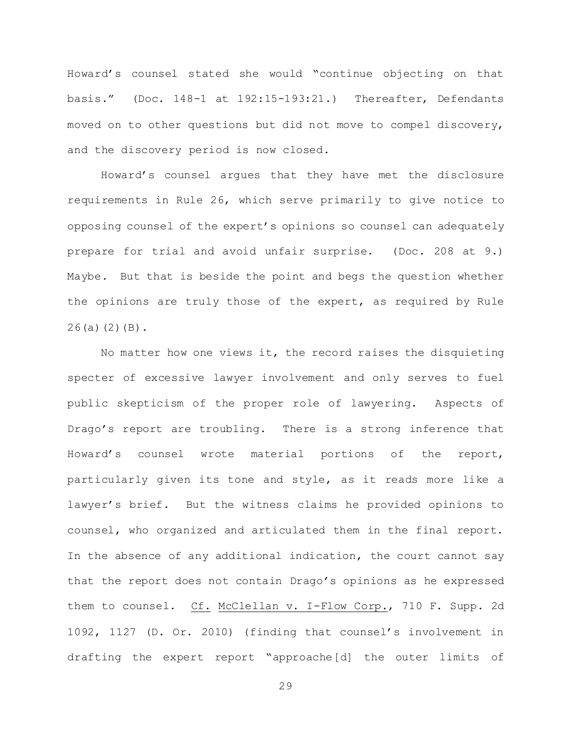Howard's counsel stated she would "continue objecting on that basis." (Doc. 148-1 at 192:15-193:21.) Thereafter, Defendants moved on to other questions but did not move to compel discovery, and the discovery period is now closed.

Howard's counsel argues that they have met the disclosure requirements in Rule 26, which serve primarily to give notice to opposing counsel of the expert's opinions so counsel can adequately prepare for trial and avoid unfair surprise. (Doc. 208 at 9.) Maybe. But that is beside the point and begs the question whether the opinions are truly those of the expert, as required by Rule  $26(a)(2)(B)$ .

No matter how one views it, the record raises the disquieting specter of excessive lawyer involvement and only serves to fuel public skepticism of the proper role of lawyering. Aspects of Drago's report are troubling. There is a strong inference that Howard's counsel wrote material portions of the report, particularly given its tone and style, as it reads more like a lawyer's brief. But the witness claims he provided opinions to counsel, who organized and articulated them in the final report. In the absence of any additional indication, the court cannot say that the report does not contain Drago's opinions as he expressed them to counsel. Cf. McClellan v. I-Flow Corp., 710 F. Supp. 2d 1092, 1127 (D. Or. 2010) (finding that counsel's involvement in drafting the expert report "approache[d] the outer limits of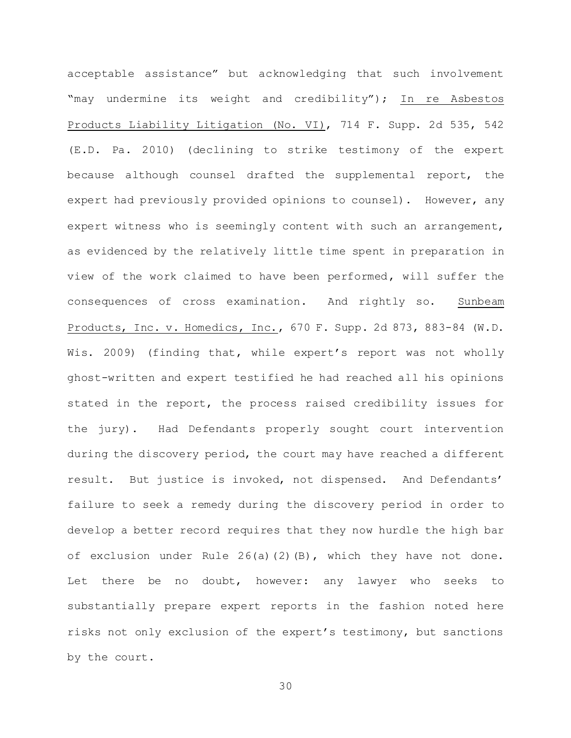acceptable assistance" but acknowledging that such involvement "may undermine its weight and credibility"); In re Asbestos Products Liability Litigation (No. VI), 714 F. Supp. 2d 535, 542 (E.D. Pa. 2010) (declining to strike testimony of the expert because although counsel drafted the supplemental report, the expert had previously provided opinions to counsel). However, any expert witness who is seemingly content with such an arrangement, as evidenced by the relatively little time spent in preparation in view of the work claimed to have been performed, will suffer the consequences of cross examination. And rightly so. Sunbeam Products, Inc. v. Homedics, Inc., 670 F. Supp. 2d 873, 883-84 (W.D. Wis. 2009) (finding that, while expert's report was not wholly ghost-written and expert testified he had reached all his opinions stated in the report, the process raised credibility issues for the jury). Had Defendants properly sought court intervention during the discovery period, the court may have reached a different result. But justice is invoked, not dispensed. And Defendants' failure to seek a remedy during the discovery period in order to develop a better record requires that they now hurdle the high bar of exclusion under Rule 26(a)(2)(B), which they have not done. Let there be no doubt, however: any lawyer who seeks to substantially prepare expert reports in the fashion noted here risks not only exclusion of the expert's testimony, but sanctions by the court.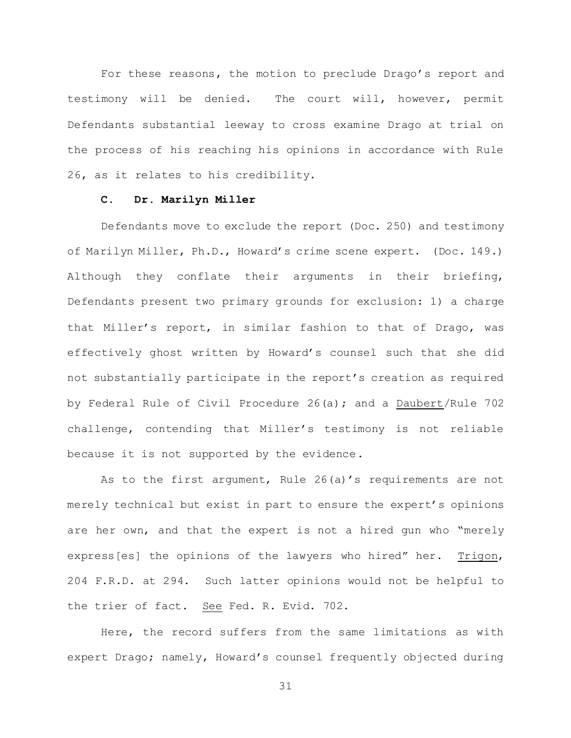For these reasons, the motion to preclude Drago's report and testimony will be denied. The court will, however, permit Defendants substantial leeway to cross examine Drago at trial on the process of his reaching his opinions in accordance with Rule 26, as it relates to his credibility.

### **C. Dr. Marilyn Miller**

Defendants move to exclude the report (Doc. 250) and testimony of Marilyn Miller, Ph.D., Howard's crime scene expert. (Doc. 149.) Although they conflate their arguments in their briefing, Defendants present two primary grounds for exclusion: 1) a charge that Miller's report, in similar fashion to that of Drago, was effectively ghost written by Howard's counsel such that she did not substantially participate in the report's creation as required by Federal Rule of Civil Procedure 26(a); and a Daubert/Rule 702 challenge, contending that Miller's testimony is not reliable because it is not supported by the evidence.

As to the first argument, Rule 26(a)'s requirements are not merely technical but exist in part to ensure the expert's opinions are her own, and that the expert is not a hired gun who "merely express[es] the opinions of the lawyers who hired" her. Trigon, 204 F.R.D. at 294. Such latter opinions would not be helpful to the trier of fact. See Fed. R. Evid. 702.

Here, the record suffers from the same limitations as with expert Drago; namely, Howard's counsel frequently objected during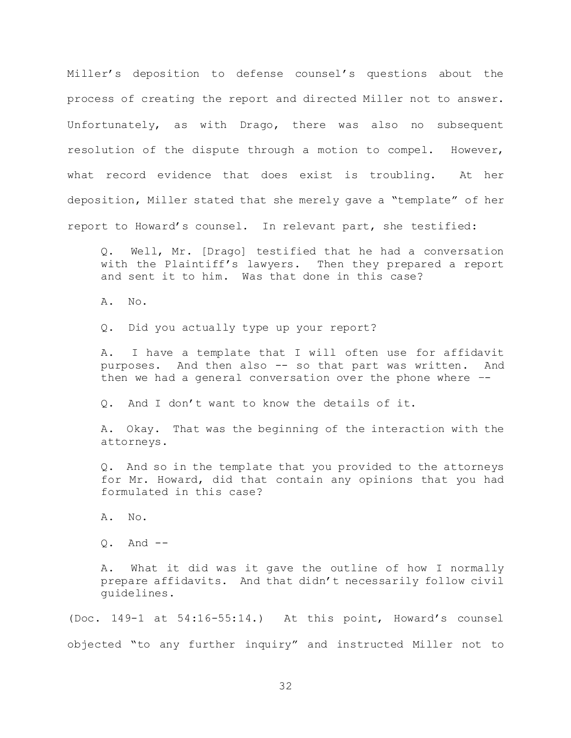Miller's deposition to defense counsel's questions about the process of creating the report and directed Miller not to answer. Unfortunately, as with Drago, there was also no subsequent resolution of the dispute through a motion to compel. However, what record evidence that does exist is troubling. At her deposition, Miller stated that she merely gave a "template" of her report to Howard's counsel. In relevant part, she testified:

Q. Well, Mr. [Drago] testified that he had a conversation with the Plaintiff's lawyers. Then they prepared a report and sent it to him. Was that done in this case?

A. No.

Q. Did you actually type up your report?

A. I have a template that I will often use for affidavit purposes. And then also -- so that part was written. And then we had a general conversation over the phone where –-

Q. And I don't want to know the details of it.

A. Okay. That was the beginning of the interaction with the attorneys.

Q. And so in the template that you provided to the attorneys for Mr. Howard, did that contain any opinions that you had formulated in this case?

A. No.

Q. And --

A. What it did was it gave the outline of how I normally prepare affidavits. And that didn't necessarily follow civil guidelines.

(Doc. 149-1 at 54:16-55:14.) At this point, Howard's counsel objected "to any further inquiry" and instructed Miller not to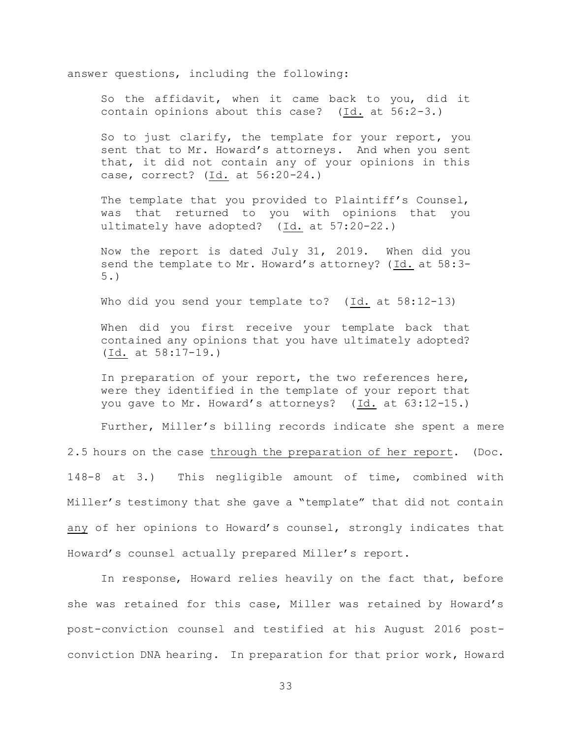answer questions, including the following:

So the affidavit, when it came back to you, did it contain opinions about this case? (Id. at 56:2-3.)

So to just clarify, the template for your report, you sent that to Mr. Howard's attorneys. And when you sent that, it did not contain any of your opinions in this case, correct? (Id. at 56:20-24.)

The template that you provided to Plaintiff's Counsel, was that returned to you with opinions that you ultimately have adopted? (Id. at 57:20-22.)

Now the report is dated July 31, 2019. When did you send the template to Mr. Howard's attorney? (Id. at 58:3- 5.)

Who did you send your template to? (Id. at 58:12-13)

When did you first receive your template back that contained any opinions that you have ultimately adopted? (Id. at 58:17-19.)

In preparation of your report, the two references here, were they identified in the template of your report that you gave to Mr. Howard's attorneys? (Id. at 63:12-15.)

Further, Miller's billing records indicate she spent a mere

2.5 hours on the case through the preparation of her report. (Doc. 148-8 at 3.) This negligible amount of time, combined with Miller's testimony that she gave a "template" that did not contain any of her opinions to Howard's counsel, strongly indicates that Howard's counsel actually prepared Miller's report.

In response, Howard relies heavily on the fact that, before she was retained for this case, Miller was retained by Howard's post-conviction counsel and testified at his August 2016 postconviction DNA hearing. In preparation for that prior work, Howard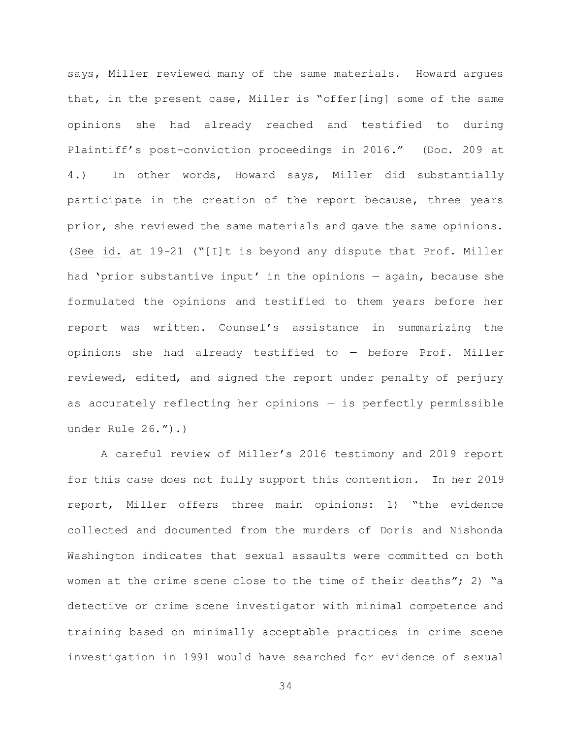says, Miller reviewed many of the same materials. Howard argues that, in the present case, Miller is "offer[ing] some of the same opinions she had already reached and testified to during Plaintiff's post-conviction proceedings in 2016." (Doc. 209 at 4.) In other words, Howard says, Miller did substantially participate in the creation of the report because, three years prior, she reviewed the same materials and gave the same opinions. (See id. at 19-21 ("[I]t is beyond any dispute that Prof. Miller had 'prior substantive input' in the opinions — again, because she formulated the opinions and testified to them years before her report was written. Counsel's assistance in summarizing the opinions she had already testified to — before Prof. Miller reviewed, edited, and signed the report under penalty of perjury as accurately reflecting her opinions — is perfectly permissible under Rule 26.").)

A careful review of Miller's 2016 testimony and 2019 report for this case does not fully support this contention. In her 2019 report, Miller offers three main opinions: 1) "the evidence collected and documented from the murders of Doris and Nishonda Washington indicates that sexual assaults were committed on both women at the crime scene close to the time of their deaths"; 2) "a detective or crime scene investigator with minimal competence and training based on minimally acceptable practices in crime scene investigation in 1991 would have searched for evidence of sexual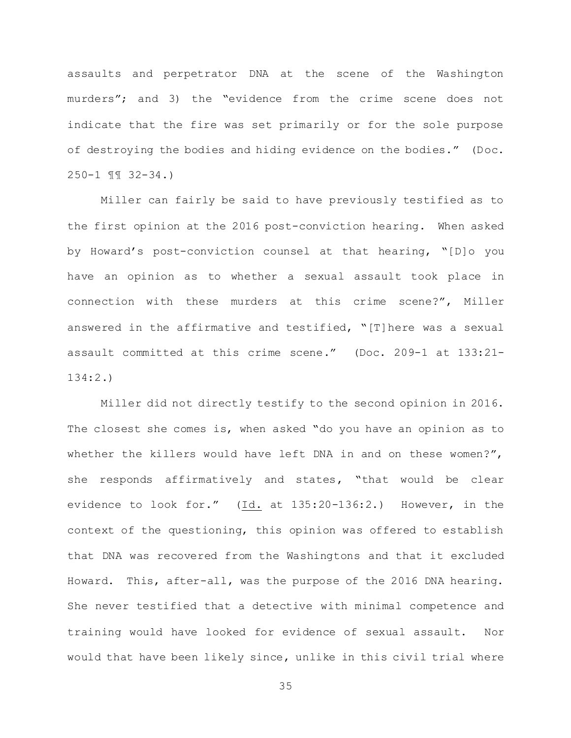assaults and perpetrator DNA at the scene of the Washington murders"; and 3) the "evidence from the crime scene does not indicate that the fire was set primarily or for the sole purpose of destroying the bodies and hiding evidence on the bodies." (Doc. 250-1 ¶¶ 32-34.)

Miller can fairly be said to have previously testified as to the first opinion at the 2016 post-conviction hearing. When asked by Howard's post-conviction counsel at that hearing, "[D]o you have an opinion as to whether a sexual assault took place in connection with these murders at this crime scene?", Miller answered in the affirmative and testified, "[T]here was a sexual assault committed at this crime scene." (Doc. 209-1 at 133:21- 134:2.)

Miller did not directly testify to the second opinion in 2016. The closest she comes is, when asked "do you have an opinion as to whether the killers would have left DNA in and on these women?", she responds affirmatively and states, "that would be clear evidence to look for." (Id. at 135:20-136:2.) However, in the context of the questioning, this opinion was offered to establish that DNA was recovered from the Washingtons and that it excluded Howard. This, after-all, was the purpose of the 2016 DNA hearing. She never testified that a detective with minimal competence and training would have looked for evidence of sexual assault. Nor would that have been likely since, unlike in this civil trial where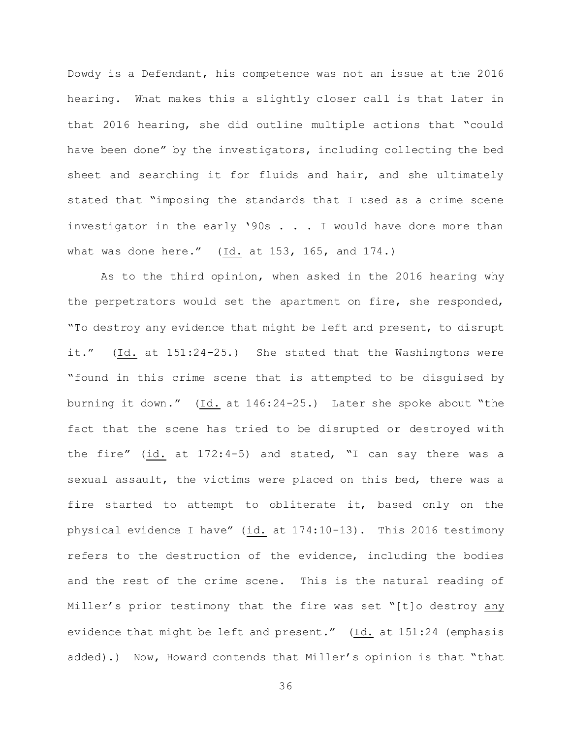Dowdy is a Defendant, his competence was not an issue at the 2016 hearing. What makes this a slightly closer call is that later in that 2016 hearing, she did outline multiple actions that "could have been done" by the investigators, including collecting the bed sheet and searching it for fluids and hair, and she ultimately stated that "imposing the standards that I used as a crime scene investigator in the early '90s . . . I would have done more than what was done here." (Id. at 153, 165, and 174.)

As to the third opinion, when asked in the 2016 hearing why the perpetrators would set the apartment on fire, she responded, "To destroy any evidence that might be left and present, to disrupt it." (Id. at 151:24-25.) She stated that the Washingtons were "found in this crime scene that is attempted to be disguised by burning it down." (Id. at 146:24-25.) Later she spoke about "the fact that the scene has tried to be disrupted or destroyed with the fire" (id. at 172:4-5) and stated, "I can say there was a sexual assault, the victims were placed on this bed, there was a fire started to attempt to obliterate it, based only on the physical evidence I have" (id. at 174:10-13). This 2016 testimony refers to the destruction of the evidence, including the bodies and the rest of the crime scene. This is the natural reading of Miller's prior testimony that the fire was set "[t]o destroy any evidence that might be left and present." (Id. at 151:24 (emphasis added).) Now, Howard contends that Miller's opinion is that "that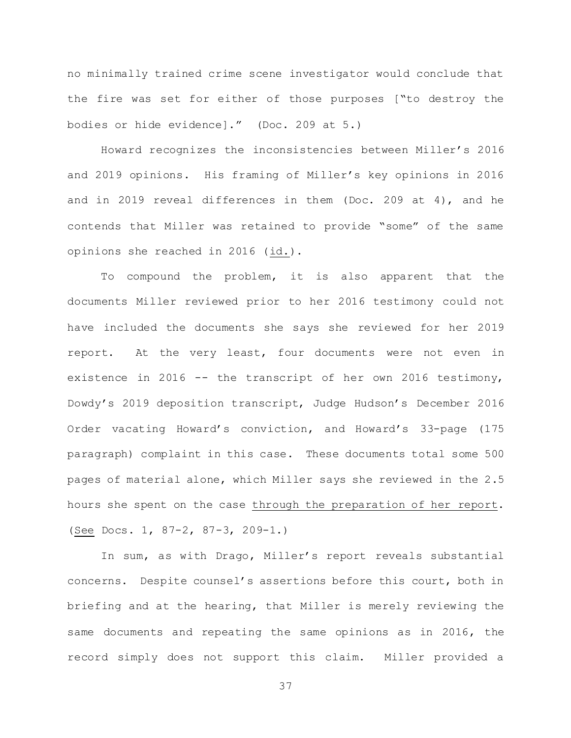no minimally trained crime scene investigator would conclude that the fire was set for either of those purposes ["to destroy the bodies or hide evidence]." (Doc. 209 at 5.)

Howard recognizes the inconsistencies between Miller's 2016 and 2019 opinions. His framing of Miller's key opinions in 2016 and in 2019 reveal differences in them (Doc. 209 at 4), and he contends that Miller was retained to provide "some" of the same opinions she reached in 2016 (id.).

To compound the problem, it is also apparent that the documents Miller reviewed prior to her 2016 testimony could not have included the documents she says she reviewed for her 2019 report. At the very least, four documents were not even in existence in 2016  $-$ - the transcript of her own 2016 testimony, Dowdy's 2019 deposition transcript, Judge Hudson's December 2016 Order vacating Howard's conviction, and Howard's 33-page (175 paragraph) complaint in this case. These documents total some 500 pages of material alone, which Miller says she reviewed in the 2.5 hours she spent on the case through the preparation of her report. (See Docs. 1, 87-2, 87-3, 209-1.)

In sum, as with Drago, Miller's report reveals substantial concerns. Despite counsel's assertions before this court, both in briefing and at the hearing, that Miller is merely reviewing the same documents and repeating the same opinions as in 2016, the record simply does not support this claim. Miller provided a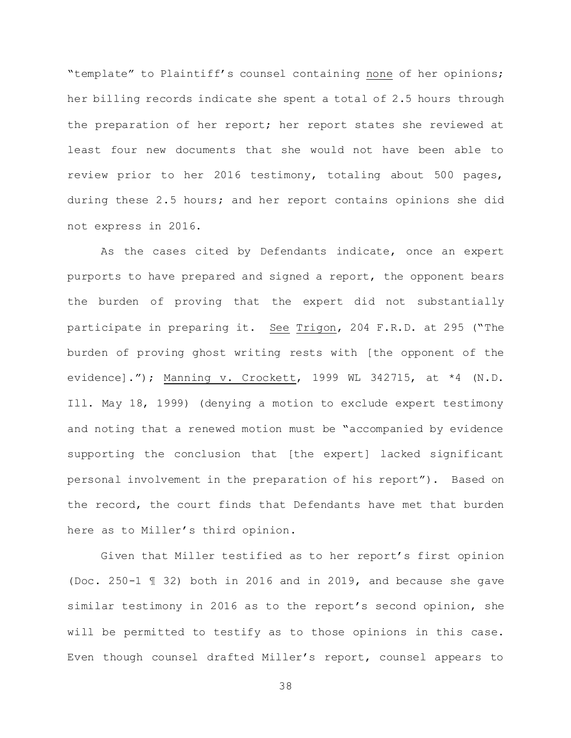"template" to Plaintiff's counsel containing none of her opinions; her billing records indicate she spent a total of 2.5 hours through the preparation of her report; her report states she reviewed at least four new documents that she would not have been able to review prior to her 2016 testimony, totaling about 500 pages, during these 2.5 hours; and her report contains opinions she did not express in 2016.

As the cases cited by Defendants indicate, once an expert purports to have prepared and signed a report, the opponent bears the burden of proving that the expert did not substantially participate in preparing it. See Trigon, 204 F.R.D. at 295 ("The burden of proving ghost writing rests with [the opponent of the evidence]."); Manning v. Crockett, 1999 WL 342715, at \*4 (N.D. Ill. May 18, 1999) (denying a motion to exclude expert testimony and noting that a renewed motion must be "accompanied by evidence supporting the conclusion that [the expert] lacked significant personal involvement in the preparation of his report"). Based on the record, the court finds that Defendants have met that burden here as to Miller's third opinion.

Given that Miller testified as to her report's first opinion (Doc. 250-1 ¶ 32) both in 2016 and in 2019, and because she gave similar testimony in 2016 as to the report's second opinion, she will be permitted to testify as to those opinions in this case. Even though counsel drafted Miller's report, counsel appears to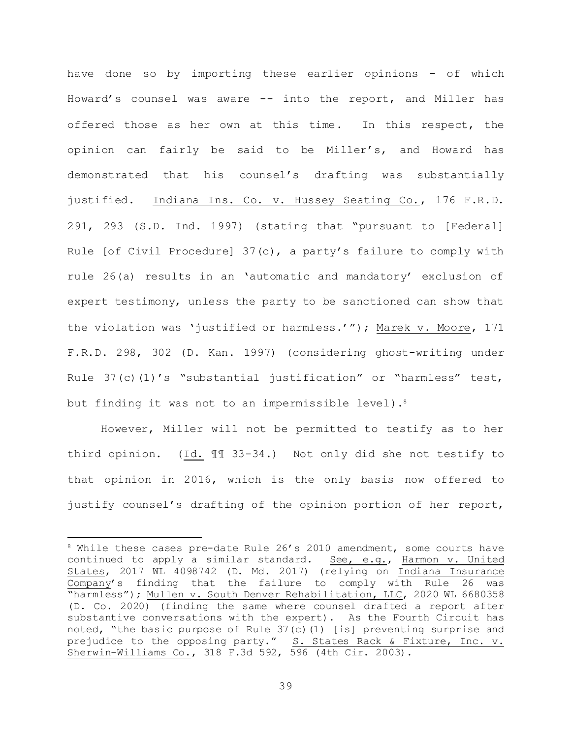have done so by importing these earlier opinions – of which Howard's counsel was aware -- into the report, and Miller has offered those as her own at this time. In this respect, the opinion can fairly be said to be Miller's, and Howard has demonstrated that his counsel's drafting was substantially justified. Indiana Ins. Co. v. Hussey Seating Co., 176 F.R.D. 291, 293 (S.D. Ind. 1997) (stating that "pursuant to [Federal] Rule [of Civil Procedure] 37(c), a party's failure to comply with rule 26(a) results in an 'automatic and mandatory' exclusion of expert testimony, unless the party to be sanctioned can show that the violation was 'justified or harmless.'"); Marek v. Moore, 171 F.R.D. 298, 302 (D. Kan. 1997) (considering ghost-writing under Rule 37(c)(1)'s "substantial justification" or "harmless" test, but finding it was not to an impermissible level).<sup>8</sup>

However, Miller will not be permitted to testify as to her third opinion. (Id. ¶¶ 33-34.) Not only did she not testify to that opinion in 2016, which is the only basis now offered to justify counsel's drafting of the opinion portion of her report,

a<br>B

<sup>&</sup>lt;sup>8</sup> While these cases pre-date Rule 26's 2010 amendment, some courts have continued to apply a similar standard. See, e.g., Harmon v. United States, 2017 WL 4098742 (D. Md. 2017) (relying on Indiana Insurance Company's finding that the failure to comply with Rule 26 was "harmless"); Mullen v. South Denver Rehabilitation, LLC, 2020 WL 6680358 (D. Co. 2020) (finding the same where counsel drafted a report after substantive conversations with the expert). As the Fourth Circuit has noted, "the basic purpose of Rule 37(c)(1) [is] preventing surprise and prejudice to the opposing party." S. States Rack & Fixture, Inc. v. Sherwin-Williams Co., 318 F.3d 592, 596 (4th Cir. 2003).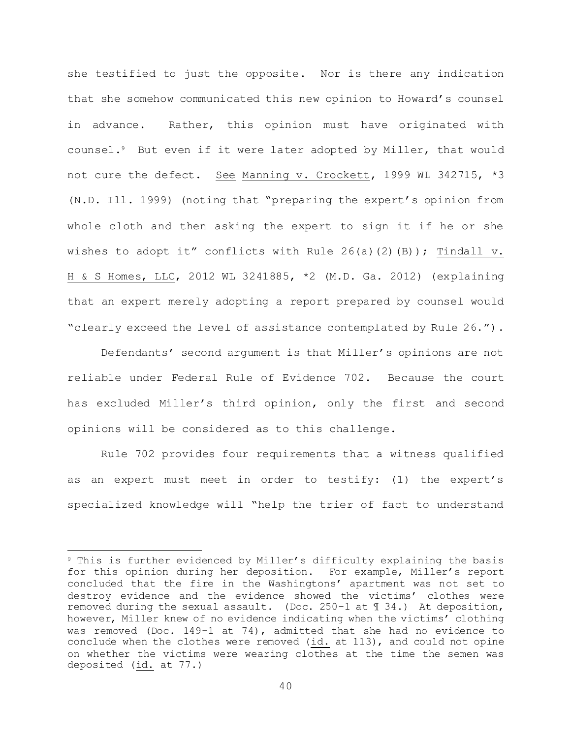she testified to just the opposite. Nor is there any indication that she somehow communicated this new opinion to Howard's counsel in advance. Rather, this opinion must have originated with counsel.9 But even if it were later adopted by Miller, that would not cure the defect. See Manning v. Crockett, 1999 WL 342715, \*3 (N.D. Ill. 1999) (noting that "preparing the expert's opinion from whole cloth and then asking the expert to sign it if he or she wishes to adopt it" conflicts with Rule  $26(a)(2)(B)$ ; Tindall v. H & S Homes, LLC, 2012 WL 3241885, \*2 (M.D. Ga. 2012) (explaining that an expert merely adopting a report prepared by counsel would "clearly exceed the level of assistance contemplated by Rule 26.").

Defendants' second argument is that Miller's opinions are not reliable under Federal Rule of Evidence 702. Because the court has excluded Miller's third opinion, only the first and second opinions will be considered as to this challenge.

Rule 702 provides four requirements that a witness qualified as an expert must meet in order to testify: (1) the expert's specialized knowledge will "help the trier of fact to understand

a<br>B

<sup>9</sup> This is further evidenced by Miller's difficulty explaining the basis for this opinion during her deposition. For example, Miller's report concluded that the fire in the Washingtons' apartment was not set to destroy evidence and the evidence showed the victims' clothes were removed during the sexual assault. (Doc. 250-1 at ¶ 34.) At deposition, however, Miller knew of no evidence indicating when the victims' clothing was removed (Doc. 149-1 at 74), admitted that she had no evidence to conclude when the clothes were removed (id. at 113), and could not opine on whether the victims were wearing clothes at the time the semen was deposited (id. at 77.)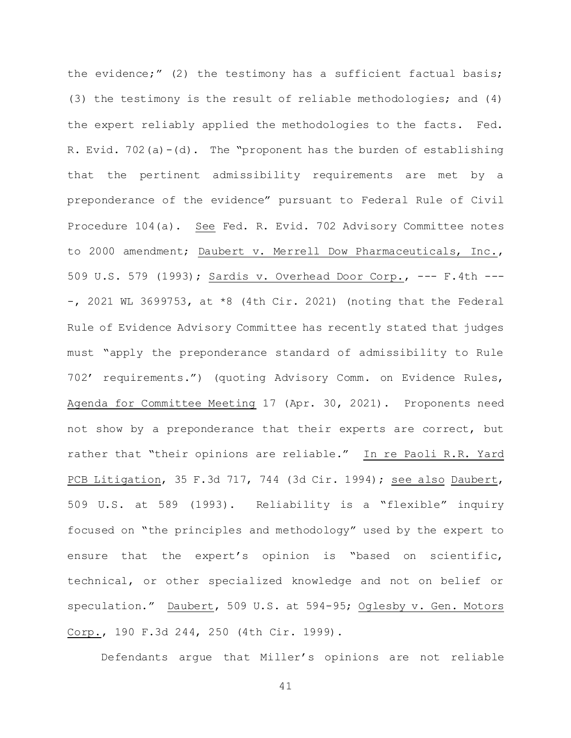the evidence;" (2) the testimony has a sufficient factual basis; (3) the testimony is the result of reliable methodologies; and (4) the expert reliably applied the methodologies to the facts. Fed. R. Evid. 702(a)-(d). The "proponent has the burden of establishing that the pertinent admissibility requirements are met by a preponderance of the evidence" pursuant to Federal Rule of Civil Procedure 104(a). See Fed. R. Evid. 702 Advisory Committee notes to 2000 amendment; Daubert v. Merrell Dow Pharmaceuticals, Inc., 509 U.S. 579 (1993); Sardis v. Overhead Door Corp., --- F.4th ---  $-$ , 2021 WL 3699753, at  $*8$  (4th Cir. 2021) (noting that the Federal Rule of Evidence Advisory Committee has recently stated that judges must "apply the preponderance standard of admissibility to Rule 702' requirements.") (quoting Advisory Comm. on Evidence Rules, Agenda for Committee Meeting 17 (Apr. 30, 2021). Proponents need not show by a preponderance that their experts are correct, but rather that "their opinions are reliable." In re Paoli R.R. Yard PCB Litigation, 35 F.3d 717, 744 (3d Cir. 1994); see also Daubert, 509 U.S. at 589 (1993). Reliability is a "flexible" inquiry focused on "the principles and methodology" used by the expert to ensure that the expert's opinion is "based on scientific, technical, or other specialized knowledge and not on belief or speculation." Daubert, 509 U.S. at 594-95; Oglesby v. Gen. Motors Corp., 190 F.3d 244, 250 (4th Cir. 1999).

Defendants argue that Miller's opinions are not reliable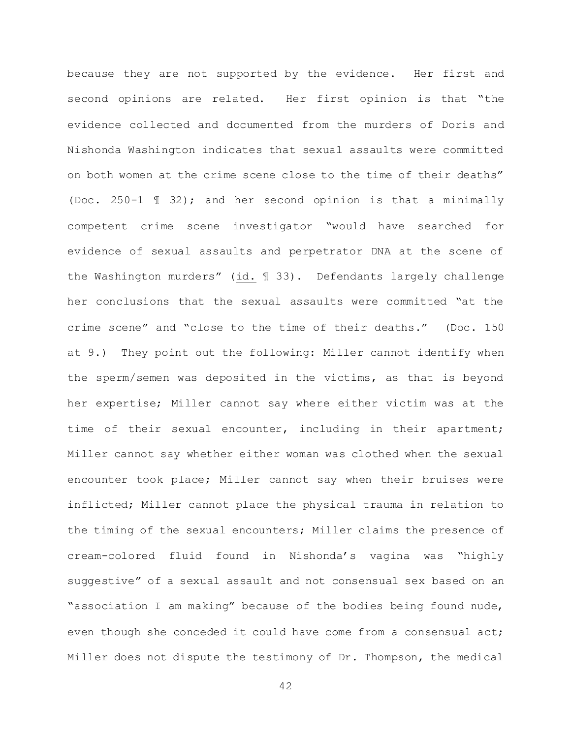because they are not supported by the evidence. Her first and second opinions are related. Her first opinion is that "the evidence collected and documented from the murders of Doris and Nishonda Washington indicates that sexual assaults were committed on both women at the crime scene close to the time of their deaths" (Doc. 250-1 ¶ 32); and her second opinion is that a minimally competent crime scene investigator "would have searched for evidence of sexual assaults and perpetrator DNA at the scene of the Washington murders" (id. ¶ 33). Defendants largely challenge her conclusions that the sexual assaults were committed "at the crime scene" and "close to the time of their deaths." (Doc. 150 at 9.) They point out the following: Miller cannot identify when the sperm/semen was deposited in the victims, as that is beyond her expertise; Miller cannot say where either victim was at the time of their sexual encounter, including in their apartment; Miller cannot say whether either woman was clothed when the sexual encounter took place; Miller cannot say when their bruises were inflicted; Miller cannot place the physical trauma in relation to the timing of the sexual encounters; Miller claims the presence of cream-colored fluid found in Nishonda's vagina was "highly suggestive" of a sexual assault and not consensual sex based on an "association I am making" because of the bodies being found nude, even though she conceded it could have come from a consensual act; Miller does not dispute the testimony of Dr. Thompson, the medical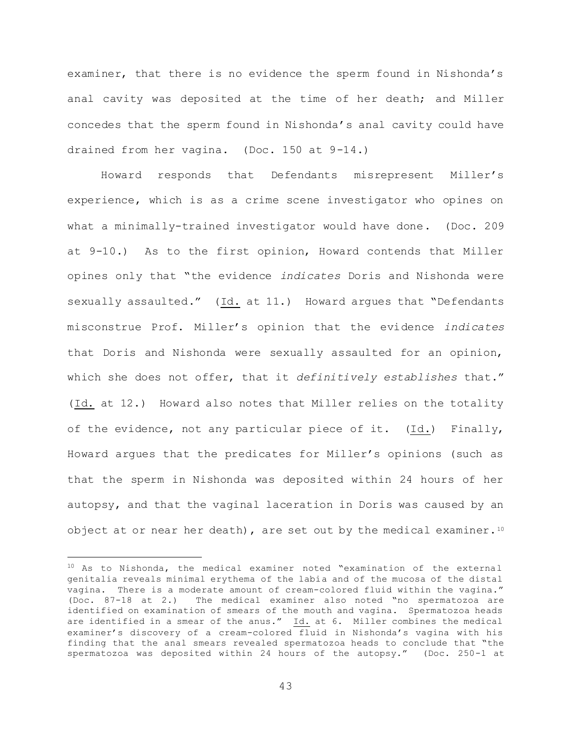examiner, that there is no evidence the sperm found in Nishonda's anal cavity was deposited at the time of her death; and Miller concedes that the sperm found in Nishonda's anal cavity could have drained from her vagina. (Doc. 150 at 9-14.)

Howard responds that Defendants misrepresent Miller's experience, which is as a crime scene investigator who opines on what a minimally-trained investigator would have done. (Doc. 209 at 9-10.) As to the first opinion, Howard contends that Miller opines only that "the evidence *indicates* Doris and Nishonda were sexually assaulted." (Id. at 11.) Howard argues that "Defendants misconstrue Prof. Miller's opinion that the evidence *indicates*  that Doris and Nishonda were sexually assaulted for an opinion, which she does not offer, that it *definitively establishes* that." (Id. at 12.) Howard also notes that Miller relies on the totality of the evidence, not any particular piece of it. (Id.) Finally, Howard argues that the predicates for Miller's opinions (such as that the sperm in Nishonda was deposited within 24 hours of her autopsy, and that the vaginal laceration in Doris was caused by an object at or near her death), are set out by the medical examiner.<sup>10</sup>

L,

<sup>10</sup> As to Nishonda, the medical examiner noted "examination of the external genitalia reveals minimal erythema of the labia and of the mucosa of the distal vagina. There is a moderate amount of cream-colored fluid within the vagina." (Doc. 87-18 at 2.) The medical examiner also noted "no spermatozoa are identified on examination of smears of the mouth and vagina. Spermatozoa heads are identified in a smear of the anus." Id. at 6. Miller combines the medical examiner's discovery of a cream-colored fluid in Nishonda's vagina with his finding that the anal smears revealed spermatozoa heads to conclude that "the spermatozoa was deposited within 24 hours of the autopsy." (Doc. 250-1 at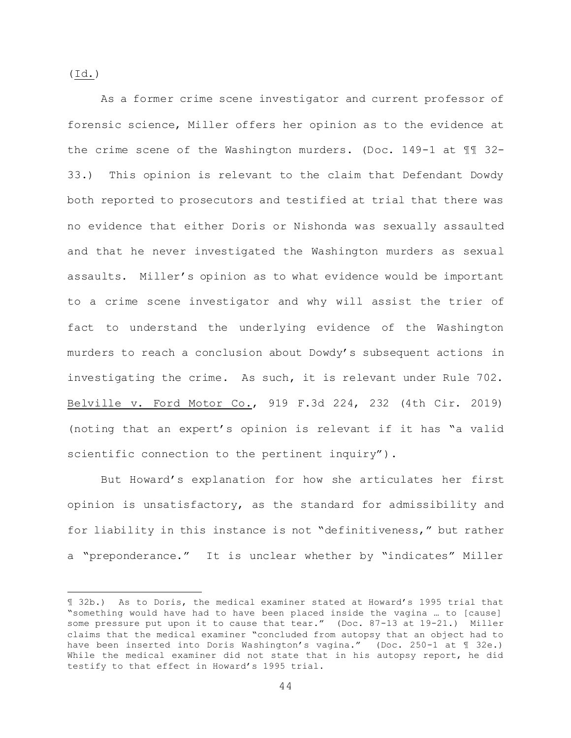(Id.)

L,

As a former crime scene investigator and current professor of forensic science, Miller offers her opinion as to the evidence at the crime scene of the Washington murders. (Doc. 149-1 at ¶¶ 32- 33.) This opinion is relevant to the claim that Defendant Dowdy both reported to prosecutors and testified at trial that there was no evidence that either Doris or Nishonda was sexually assaulted and that he never investigated the Washington murders as sexual assaults. Miller's opinion as to what evidence would be important to a crime scene investigator and why will assist the trier of fact to understand the underlying evidence of the Washington murders to reach a conclusion about Dowdy's subsequent actions in investigating the crime. As such, it is relevant under Rule 702. Belville v. Ford Motor Co., 919 F.3d 224, 232 (4th Cir. 2019) (noting that an expert's opinion is relevant if it has "a valid scientific connection to the pertinent inquiry").

But Howard's explanation for how she articulates her first opinion is unsatisfactory, as the standard for admissibility and for liability in this instance is not "definitiveness," but rather a "preponderance." It is unclear whether by "indicates" Miller

<sup>¶</sup> 32b.) As to Doris, the medical examiner stated at Howard's 1995 trial that "something would have had to have been placed inside the vagina … to [cause] some pressure put upon it to cause that tear." (Doc. 87-13 at 19-21.) Miller claims that the medical examiner "concluded from autopsy that an object had to have been inserted into Doris Washington's vagina." (Doc. 250-1 at ¶ 32e.) While the medical examiner did not state that in his autopsy report, he did testify to that effect in Howard's 1995 trial.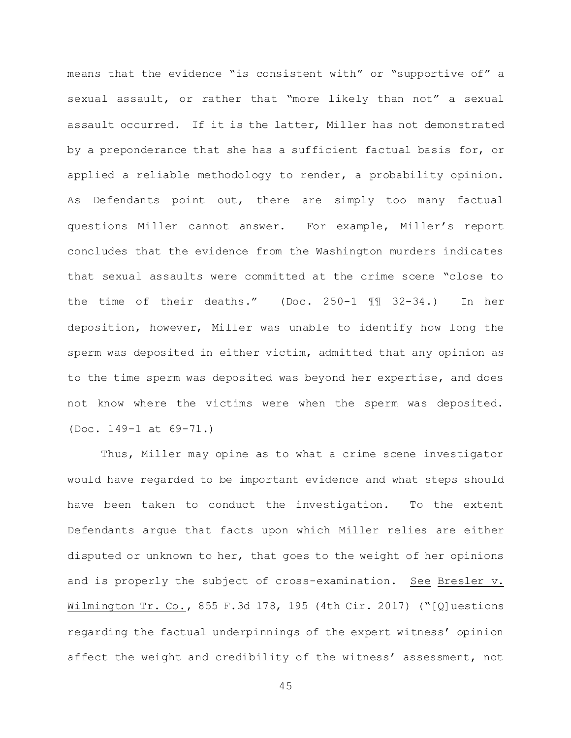means that the evidence "is consistent with" or "supportive of" a sexual assault, or rather that "more likely than not" a sexual assault occurred. If it is the latter, Miller has not demonstrated by a preponderance that she has a sufficient factual basis for, or applied a reliable methodology to render, a probability opinion. As Defendants point out, there are simply too many factual questions Miller cannot answer. For example, Miller's report concludes that the evidence from the Washington murders indicates that sexual assaults were committed at the crime scene "close to the time of their deaths." (Doc. 250-1 ¶¶ 32-34.) In her deposition, however, Miller was unable to identify how long the sperm was deposited in either victim, admitted that any opinion as to the time sperm was deposited was beyond her expertise, and does not know where the victims were when the sperm was deposited. (Doc. 149-1 at 69-71.)

Thus, Miller may opine as to what a crime scene investigator would have regarded to be important evidence and what steps should have been taken to conduct the investigation. To the extent Defendants argue that facts upon which Miller relies are either disputed or unknown to her, that goes to the weight of her opinions and is properly the subject of cross-examination. See Bresler v. Wilmington Tr. Co., 855 F.3d 178, 195 (4th Cir. 2017) ("[Q]uestions regarding the factual underpinnings of the expert witness' opinion affect the weight and credibility of the witness' assessment, not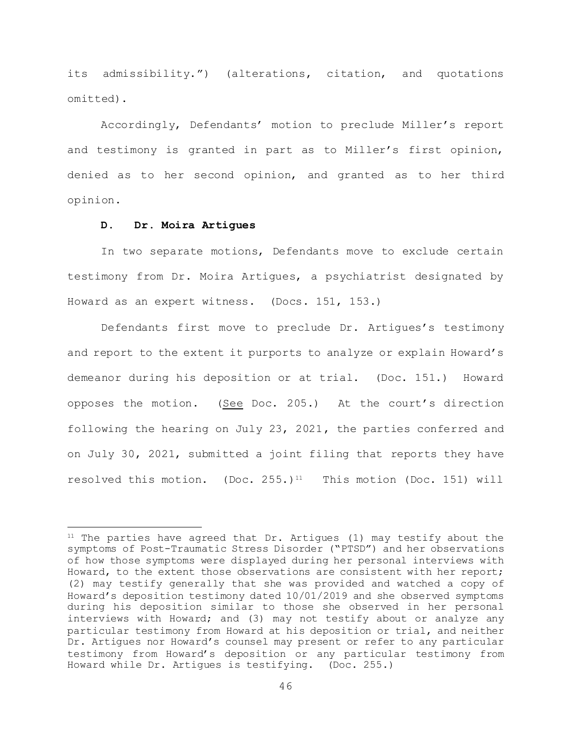its admissibility.") (alterations, citation, and quotations omitted).

Accordingly, Defendants' motion to preclude Miller's report and testimony is granted in part as to Miller's first opinion, denied as to her second opinion, and granted as to her third opinion.

## **D. Dr. Moira Artigues**

i<br>L

In two separate motions, Defendants move to exclude certain testimony from Dr. Moira Artigues, a psychiatrist designated by Howard as an expert witness. (Docs. 151, 153.)

Defendants first move to preclude Dr. Artigues's testimony and report to the extent it purports to analyze or explain Howard's demeanor during his deposition or at trial. (Doc. 151.) Howard opposes the motion. (See Doc. 205.) At the court's direction following the hearing on July 23, 2021, the parties conferred and on July 30, 2021, submitted a joint filing that reports they have resolved this motion. (Doc.  $255.$ )<sup>11</sup> This motion (Doc. 151) will

 $11$  The parties have agreed that Dr. Artigues (1) may testify about the symptoms of Post-Traumatic Stress Disorder ("PTSD") and her observations of how those symptoms were displayed during her personal interviews with Howard, to the extent those observations are consistent with her report; (2) may testify generally that she was provided and watched a copy of Howard's deposition testimony dated 10/01/2019 and she observed symptoms during his deposition similar to those she observed in her personal interviews with Howard; and (3) may not testify about or analyze any particular testimony from Howard at his deposition or trial, and neither Dr. Artigues nor Howard's counsel may present or refer to any particular testimony from Howard's deposition or any particular testimony from Howard while Dr. Artigues is testifying. (Doc. 255.)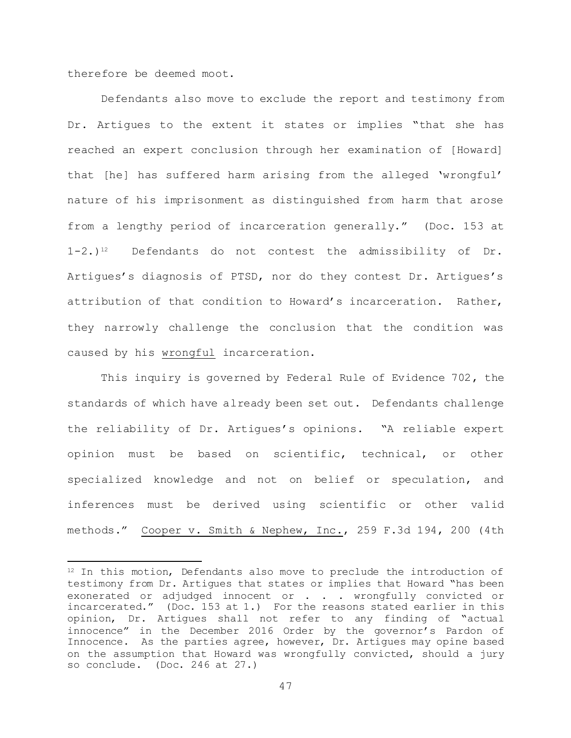therefore be deemed moot.

L,

Defendants also move to exclude the report and testimony from Dr. Artigues to the extent it states or implies "that she has reached an expert conclusion through her examination of [Howard] that [he] has suffered harm arising from the alleged 'wrongful' nature of his imprisonment as distinguished from harm that arose from a lengthy period of incarceration generally." (Doc. 153 at 1-2.)<sup>12</sup> Defendants do not contest the admissibility of Dr. Artigues's diagnosis of PTSD, nor do they contest Dr. Artigues's attribution of that condition to Howard's incarceration. Rather, they narrowly challenge the conclusion that the condition was caused by his wrongful incarceration.

This inquiry is governed by Federal Rule of Evidence 702, the standards of which have already been set out. Defendants challenge the reliability of Dr. Artigues's opinions. "A reliable expert opinion must be based on scientific, technical, or other specialized knowledge and not on belief or speculation, and inferences must be derived using scientific or other valid methods." Cooper v. Smith & Nephew, Inc., 259 F.3d 194, 200 (4th

<sup>&</sup>lt;sup>12</sup> In this motion, Defendants also move to preclude the introduction of testimony from Dr. Artigues that states or implies that Howard "has been exonerated or adjudged innocent or . . . wrongfully convicted or incarcerated." (Doc. 153 at 1.) For the reasons stated earlier in this opinion, Dr. Artigues shall not refer to any finding of "actual innocence" in the December 2016 Order by the governor's Pardon of Innocence. As the parties agree, however, Dr. Artigues may opine based on the assumption that Howard was wrongfully convicted, should a jury so conclude. (Doc. 246 at 27.)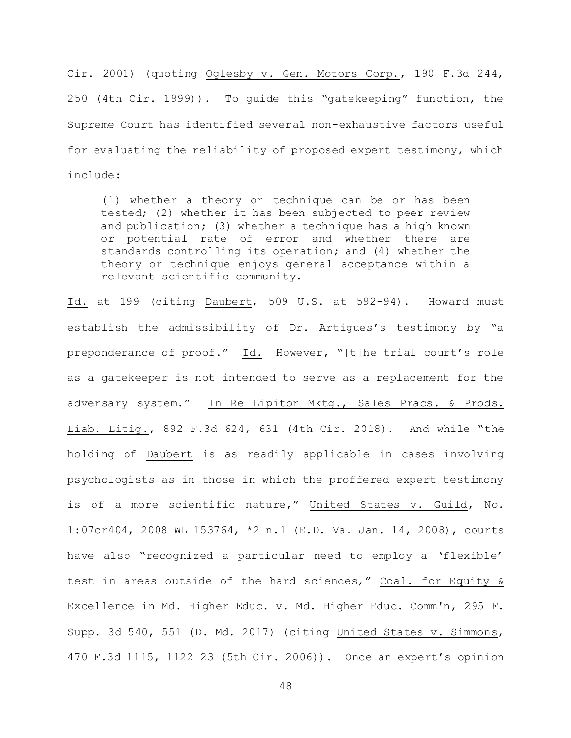Cir. 2001) (quoting Oglesby v. Gen. Motors Corp., 190 F.3d 244, 250 (4th Cir. 1999)). To guide this "gatekeeping" function, the Supreme Court has identified several non-exhaustive factors useful for evaluating the reliability of proposed expert testimony, which include:

(1) whether a theory or technique can be or has been tested; (2) whether it has been subjected to peer review and publication; (3) whether a technique has a high known or potential rate of error and whether there are standards controlling its operation; and (4) whether the theory or technique enjoys general acceptance within a relevant scientific community.

Id. at 199 (citing Daubert, 509 U.S. at 592–94). Howard must establish the admissibility of Dr. Artigues's testimony by "a preponderance of proof." Id. However, "[t]he trial court's role as a gatekeeper is not intended to serve as a replacement for the adversary system." In Re Lipitor Mktg., Sales Pracs. & Prods. Liab. Litig., 892 F.3d 624, 631 (4th Cir. 2018). And while "the holding of Daubert is as readily applicable in cases involving psychologists as in those in which the proffered expert testimony is of a more scientific nature," United States v. Guild, No. 1:07cr404, 2008 WL 153764, \*2 n.1 (E.D. Va. Jan. 14, 2008), courts have also "recognized a particular need to employ a 'flexible' test in areas outside of the hard sciences," Coal. for Equity & Excellence in Md. Higher Educ. v. Md. Higher Educ. Comm'n, 295 F. Supp. 3d 540, 551 (D. Md. 2017) (citing United States v. Simmons, 470 F.3d 1115, 1122–23 (5th Cir. 2006)). Once an expert's opinion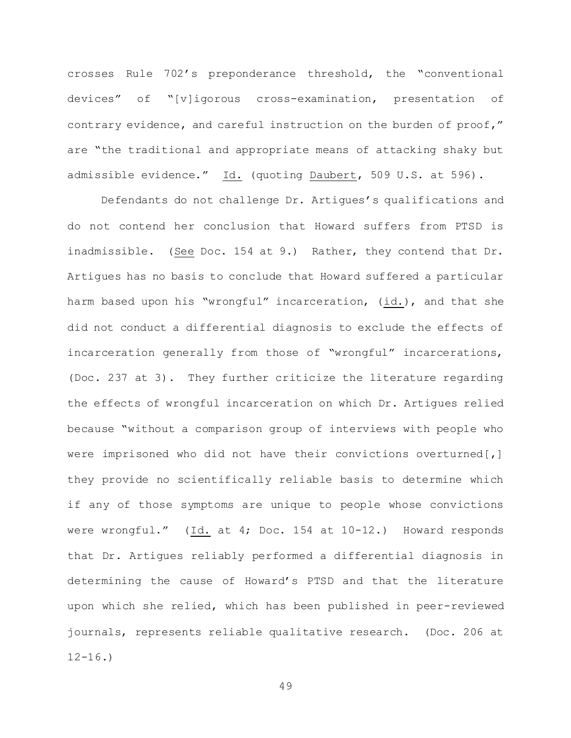crosses Rule 702's preponderance threshold, the "conventional devices" of "[v]igorous cross-examination, presentation of contrary evidence, and careful instruction on the burden of proof," are "the traditional and appropriate means of attacking shaky but admissible evidence." Id. (quoting Daubert, 509 U.S. at 596).

Defendants do not challenge Dr. Artigues's qualifications and do not contend her conclusion that Howard suffers from PTSD is inadmissible. (See Doc. 154 at 9.) Rather, they contend that Dr. Artigues has no basis to conclude that Howard suffered a particular harm based upon his "wrongful" incarceration, (id.), and that she did not conduct a differential diagnosis to exclude the effects of incarceration generally from those of "wrongful" incarcerations, (Doc. 237 at 3). They further criticize the literature regarding the effects of wrongful incarceration on which Dr. Artigues relied because "without a comparison group of interviews with people who were imprisoned who did not have their convictions overturned[,] they provide no scientifically reliable basis to determine which if any of those symptoms are unique to people whose convictions were wrongful." (Id. at 4; Doc. 154 at 10-12.) Howard responds that Dr. Artigues reliably performed a differential diagnosis in determining the cause of Howard's PTSD and that the literature upon which she relied, which has been published in peer-reviewed journals, represents reliable qualitative research. (Doc. 206 at  $12 - 16.$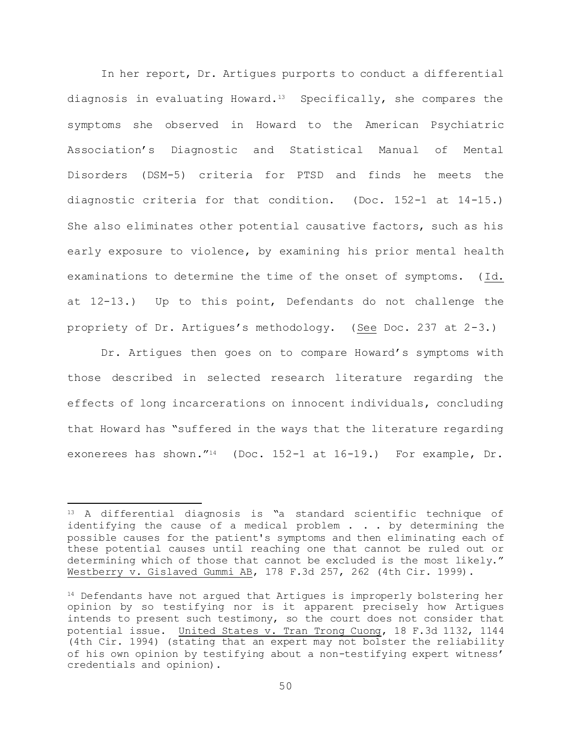In her report, Dr. Artigues purports to conduct a differential diagnosis in evaluating Howard.13 Specifically, she compares the symptoms she observed in Howard to the American Psychiatric Association's Diagnostic and Statistical Manual of Mental Disorders (DSM-5) criteria for PTSD and finds he meets the diagnostic criteria for that condition. (Doc. 152-1 at 14-15.) She also eliminates other potential causative factors, such as his early exposure to violence, by examining his prior mental health examinations to determine the time of the onset of symptoms. (Id. at 12-13.) Up to this point, Defendants do not challenge the propriety of Dr. Artigues's methodology. (See Doc. 237 at 2-3.)

Dr. Artigues then goes on to compare Howard's symptoms with those described in selected research literature regarding the effects of long incarcerations on innocent individuals, concluding that Howard has "suffered in the ways that the literature regarding exonerees has shown."14 (Doc. 152-1 at 16-19.) For example, Dr.

a<br>B

<sup>13</sup> A differential diagnosis is "a standard scientific technique of identifying the cause of a medical problem . . . by determining the possible causes for the patient's symptoms and then eliminating each of these potential causes until reaching one that cannot be ruled out or determining which of those that cannot be excluded is the most likely." Westberry v. Gislaved Gummi AB, 178 F.3d 257, 262 (4th Cir. 1999).

<sup>&</sup>lt;sup>14</sup> Defendants have not argued that Artigues is improperly bolstering her opinion by so testifying nor is it apparent precisely how Artigues intends to present such testimony, so the court does not consider that potential issue. United States v. Tran Trong Cuong, 18 F.3d 1132, 1144 (4th Cir. 1994) (stating that an expert may not bolster the reliability of his own opinion by testifying about a non-testifying expert witness' credentials and opinion).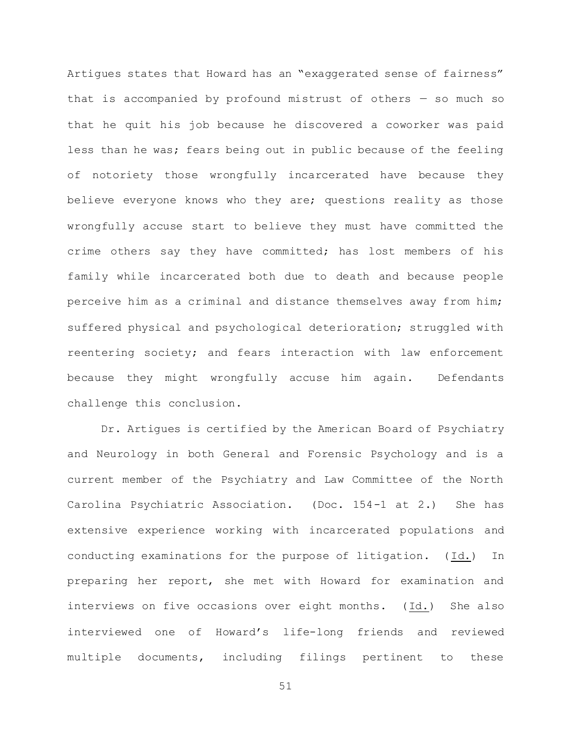Artigues states that Howard has an "exaggerated sense of fairness" that is accompanied by profound mistrust of others — so much so that he quit his job because he discovered a coworker was paid less than he was; fears being out in public because of the feeling of notoriety those wrongfully incarcerated have because they believe everyone knows who they are; questions reality as those wrongfully accuse start to believe they must have committed the crime others say they have committed; has lost members of his family while incarcerated both due to death and because people perceive him as a criminal and distance themselves away from him; suffered physical and psychological deterioration; struggled with reentering society; and fears interaction with law enforcement because they might wrongfully accuse him again. Defendants challenge this conclusion.

Dr. Artigues is certified by the American Board of Psychiatry and Neurology in both General and Forensic Psychology and is a current member of the Psychiatry and Law Committee of the North Carolina Psychiatric Association. (Doc. 154-1 at 2.) She has extensive experience working with incarcerated populations and conducting examinations for the purpose of litigation. (Id.) In preparing her report, she met with Howard for examination and interviews on five occasions over eight months. (Id.) She also interviewed one of Howard's life-long friends and reviewed multiple documents, including filings pertinent to these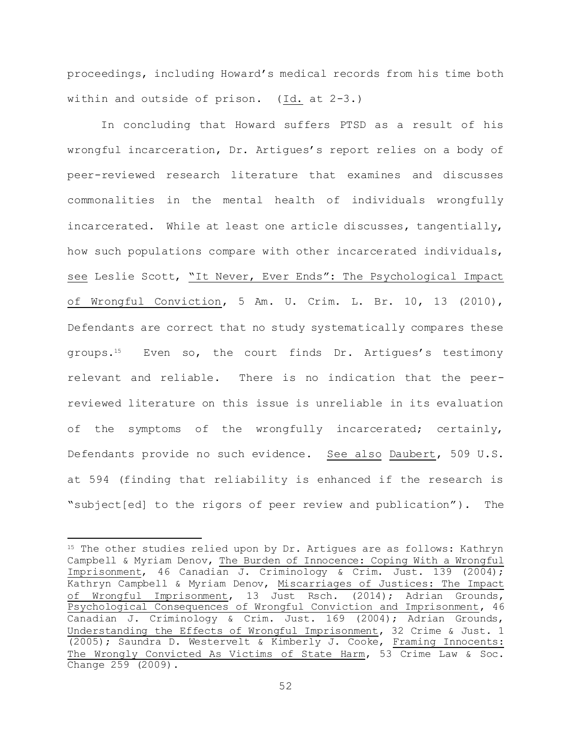proceedings, including Howard's medical records from his time both within and outside of prison. (Id. at 2-3.)

In concluding that Howard suffers PTSD as a result of his wrongful incarceration, Dr. Artigues's report relies on a body of peer-reviewed research literature that examines and discusses commonalities in the mental health of individuals wrongfully incarcerated. While at least one article discusses, tangentially, how such populations compare with other incarcerated individuals, see Leslie Scott, "It Never, Ever Ends": The Psychological Impact of Wrongful Conviction, 5 Am. U. Crim. L. Br. 10, 13 (2010), Defendants are correct that no study systematically compares these groups.15 Even so, the court finds Dr. Artigues's testimony relevant and reliable. There is no indication that the peerreviewed literature on this issue is unreliable in its evaluation of the symptoms of the wrongfully incarcerated; certainly, Defendants provide no such evidence. See also Daubert, 509 U.S. at 594 (finding that reliability is enhanced if the research is "subject[ed] to the rigors of peer review and publication"). The

a<br>B

<sup>&</sup>lt;sup>15</sup> The other studies relied upon by Dr. Artigues are as follows: Kathryn Campbell & Myriam Denov, The Burden of Innocence: Coping With a Wrongful Imprisonment, 46 Canadian J. Criminology & Crim. Just. 139 (2004); Kathryn Campbell & Myriam Denov, Miscarriages of Justices: The Impact of Wrongful Imprisonment, 13 Just Rsch. (2014); Adrian Grounds, Psychological Consequences of Wrongful Conviction and Imprisonment, 46 Canadian J. Criminology & Crim. Just. 169 (2004); Adrian Grounds, Understanding the Effects of Wrongful Imprisonment, 32 Crime & Just. 1 (2005); Saundra D. Westervelt & Kimberly J. Cooke, Framing Innocents: The Wrongly Convicted As Victims of State Harm, 53 Crime Law & Soc. Change 259 (2009).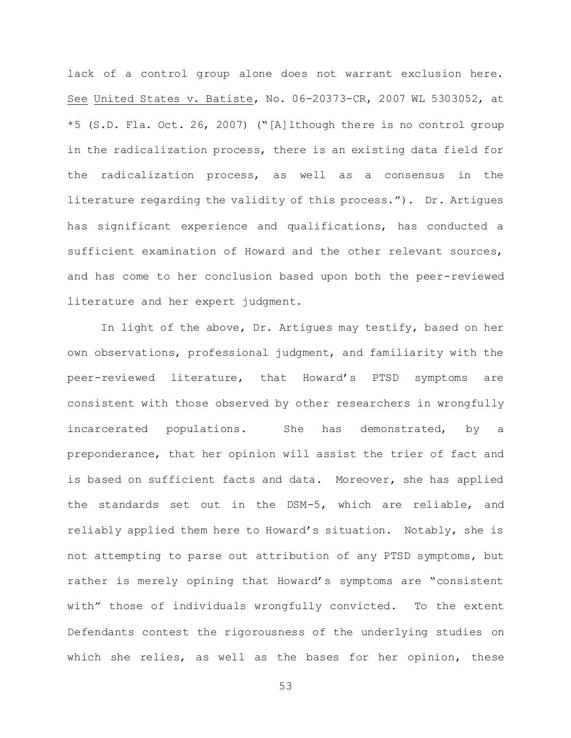lack of a control group alone does not warrant exclusion here. See United States v. Batiste, No. 06-20373-CR, 2007 WL 5303052, at \*5 (S.D. Fla. Oct. 26, 2007) ("[A]lthough there is no control group in the radicalization process, there is an existing data field for the radicalization process, as well as a consensus in the literature regarding the validity of this process."). Dr. Artigues has significant experience and qualifications, has conducted a sufficient examination of Howard and the other relevant sources, and has come to her conclusion based upon both the peer-reviewed literature and her expert judgment.

In light of the above, Dr. Artigues may testify, based on her own observations, professional judgment, and familiarity with the peer-reviewed literature, that Howard's PTSD symptoms are consistent with those observed by other researchers in wrongfully incarcerated populations. She has demonstrated, by a preponderance, that her opinion will assist the trier of fact and is based on sufficient facts and data. Moreover, she has applied the standards set out in the DSM-5, which are reliable, and reliably applied them here to Howard's situation. Notably, she is not attempting to parse out attribution of any PTSD symptoms, but rather is merely opining that Howard's symptoms are "consistent with" those of individuals wrongfully convicted. To the extent Defendants contest the rigorousness of the underlying studies on which she relies, as well as the bases for her opinion, these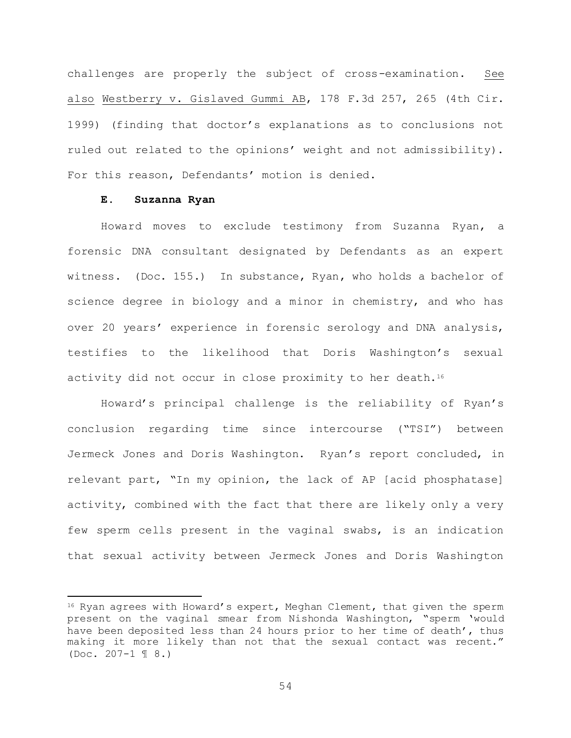challenges are properly the subject of cross-examination. See also Westberry v. Gislaved Gummi AB, 178 F.3d 257, 265 (4th Cir. 1999) (finding that doctor's explanations as to conclusions not ruled out related to the opinions' weight and not admissibility). For this reason, Defendants' motion is denied.

## **E. Suzanna Ryan**

L,

Howard moves to exclude testimony from Suzanna Ryan, a forensic DNA consultant designated by Defendants as an expert witness. (Doc. 155.) In substance, Ryan, who holds a bachelor of science degree in biology and a minor in chemistry, and who has over 20 years' experience in forensic serology and DNA analysis, testifies to the likelihood that Doris Washington's sexual activity did not occur in close proximity to her death.<sup>16</sup>

Howard's principal challenge is the reliability of Ryan's conclusion regarding time since intercourse ("TSI") between Jermeck Jones and Doris Washington. Ryan's report concluded, in relevant part, "In my opinion, the lack of AP [acid phosphatase] activity, combined with the fact that there are likely only a very few sperm cells present in the vaginal swabs, is an indication that sexual activity between Jermeck Jones and Doris Washington

 $16$  Ryan agrees with Howard's expert, Meghan Clement, that given the sperm present on the vaginal smear from Nishonda Washington, "sperm 'would have been deposited less than 24 hours prior to her time of death', thus making it more likely than not that the sexual contact was recent." (Doc. 207-1 ¶ 8.)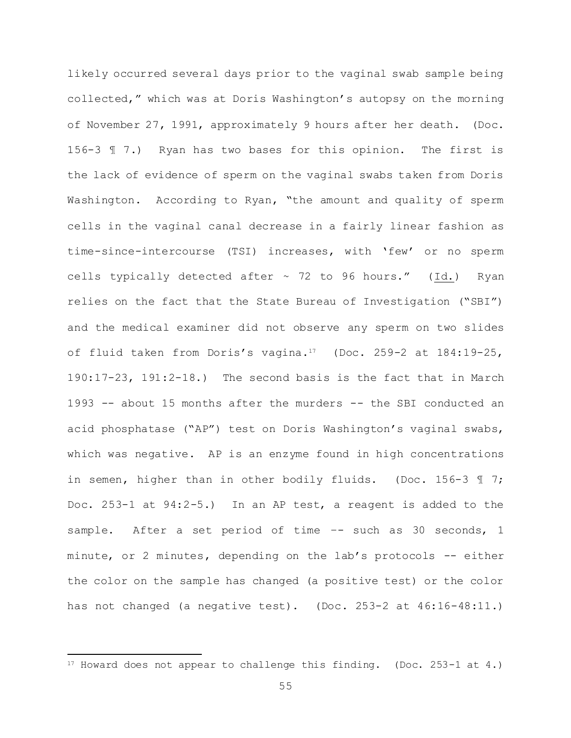likely occurred several days prior to the vaginal swab sample being collected," which was at Doris Washington's autopsy on the morning of November 27, 1991, approximately 9 hours after her death. (Doc. 156-3 ¶ 7.) Ryan has two bases for this opinion. The first is the lack of evidence of sperm on the vaginal swabs taken from Doris Washington. According to Ryan, "the amount and quality of sperm cells in the vaginal canal decrease in a fairly linear fashion as time-since-intercourse (TSI) increases, with 'few' or no sperm cells typically detected after  $\sim$  72 to 96 hours." (Id.) Ryan relies on the fact that the State Bureau of Investigation ("SBI") and the medical examiner did not observe any sperm on two slides of fluid taken from Doris's vagina.17 (Doc. 259-2 at 184:19-25, 190:17-23, 191:2-18.) The second basis is the fact that in March 1993 -- about 15 months after the murders -- the SBI conducted an acid phosphatase ("AP") test on Doris Washington's vaginal swabs, which was negative. AP is an enzyme found in high concentrations in semen, higher than in other bodily fluids. (Doc. 156-3 ¶ 7; Doc. 253-1 at 94:2-5.) In an AP test, a reagent is added to the sample. After a set period of time -- such as 30 seconds, 1 minute, or 2 minutes, depending on the lab's protocols -- either the color on the sample has changed (a positive test) or the color has not changed (a negative test). (Doc. 253-2 at 46:16-48:11.)

L,

<sup>17</sup> Howard does not appear to challenge this finding. (Doc. 253-1 at 4.)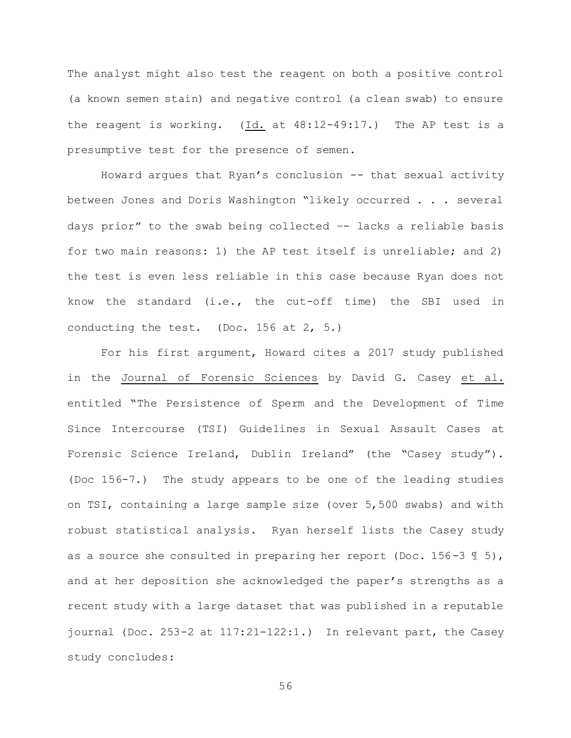The analyst might also test the reagent on both a positive control (a known semen stain) and negative control (a clean swab) to ensure the reagent is working. (Id. at 48:12-49:17.) The AP test is a presumptive test for the presence of semen.

Howard argues that Ryan's conclusion -- that sexual activity between Jones and Doris Washington "likely occurred . . . several days prior" to the swab being collected –- lacks a reliable basis for two main reasons: 1) the AP test itself is unreliable; and 2) the test is even less reliable in this case because Ryan does not know the standard (i.e., the cut-off time) the SBI used in conducting the test. (Doc. 156 at 2, 5.)

For his first argument, Howard cites a 2017 study published in the Journal of Forensic Sciences by David G. Casey et al. entitled "The Persistence of Sperm and the Development of Time Since Intercourse (TSI) Guidelines in Sexual Assault Cases at Forensic Science Ireland, Dublin Ireland" (the "Casey study"). (Doc 156-7.) The study appears to be one of the leading studies on TSI, containing a large sample size (over 5,500 swabs) and with robust statistical analysis. Ryan herself lists the Casey study as a source she consulted in preparing her report (Doc. 156-3  $\text{\textsterling}$  5), and at her deposition she acknowledged the paper's strengths as a recent study with a large dataset that was published in a reputable journal (Doc. 253-2 at 117:21-122:1.) In relevant part, the Casey study concludes: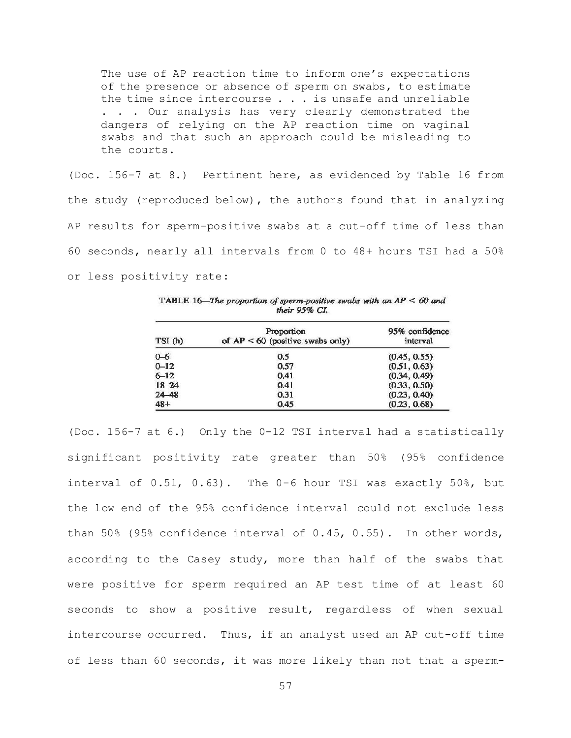The use of AP reaction time to inform one's expectations of the presence or absence of sperm on swabs, to estimate the time since intercourse . . . is unsafe and unreliable . . . Our analysis has very clearly demonstrated the dangers of relying on the AP reaction time on vaginal swabs and that such an approach could be misleading to the courts.

(Doc. 156-7 at 8.) Pertinent here, as evidenced by Table 16 from the study (reproduced below), the authors found that in analyzing AP results for sperm-positive swabs at a cut-off time of less than 60 seconds, nearly all intervals from 0 to 48+ hours TSI had a 50% or less positivity rate:

| their $95\%$ CI. |                                                  |                            |
|------------------|--------------------------------------------------|----------------------------|
| TSI (h)          | Proportion<br>of $AP < 60$ (positive swabs only) | 95% confidence<br>interval |
| $0 - 6$          | 0.5                                              | (0.45, 0.55)               |
| $0 - 12$         | 0.57                                             | (0.51, 0.63)               |
| $6 - 12$         | 0.41                                             | (0.34, 0.49)               |
| $18 - 24$        | 0.41                                             | (0.33, 0.50)               |
| $24 - 48$        | 0.31                                             | (0.23, 0.40)               |
| $48+$            | 0.45                                             | (0.23, 0.68)               |

TABLE 16-The proportion of sperm-positive swabs with an  $AP < 60$  and

(Doc. 156-7 at 6.) Only the 0-12 TSI interval had a statistically significant positivity rate greater than 50% (95% confidence interval of 0.51, 0.63). The 0-6 hour TSI was exactly 50%, but the low end of the 95% confidence interval could not exclude less than 50% (95% confidence interval of 0.45, 0.55). In other words, according to the Casey study, more than half of the swabs that were positive for sperm required an AP test time of at least 60 seconds to show a positive result, regardless of when sexual intercourse occurred. Thus, if an analyst used an AP cut-off time of less than 60 seconds, it was more likely than not that a sperm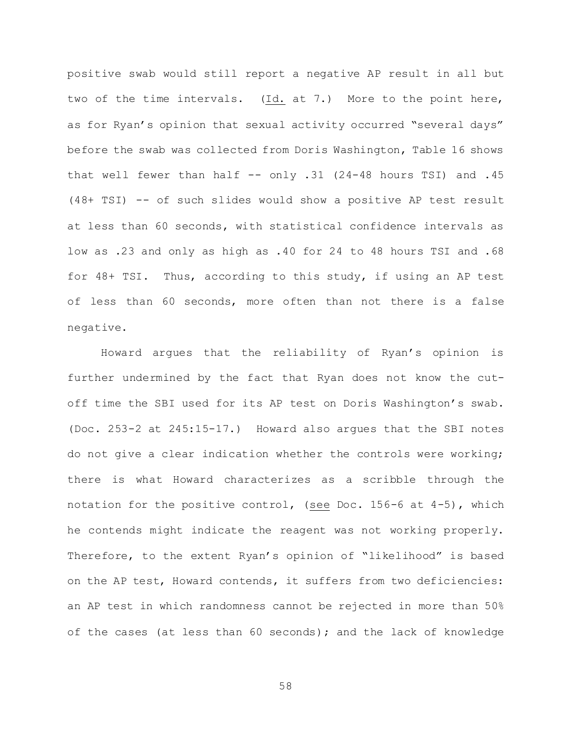positive swab would still report a negative AP result in all but two of the time intervals. (Id. at 7.) More to the point here, as for Ryan's opinion that sexual activity occurred "several days" before the swab was collected from Doris Washington, Table 16 shows that well fewer than half  $--$  only  $.31$  (24-48 hours TSI) and  $.45$ (48+ TSI) -- of such slides would show a positive AP test result at less than 60 seconds, with statistical confidence intervals as low as .23 and only as high as .40 for 24 to 48 hours TSI and .68 for 48+ TSI. Thus, according to this study, if using an AP test of less than 60 seconds, more often than not there is a false negative.

Howard argues that the reliability of Ryan's opinion is further undermined by the fact that Ryan does not know the cutoff time the SBI used for its AP test on Doris Washington's swab. (Doc. 253-2 at 245:15-17.) Howard also argues that the SBI notes do not give a clear indication whether the controls were working; there is what Howard characterizes as a scribble through the notation for the positive control, (see Doc. 156-6 at 4-5), which he contends might indicate the reagent was not working properly. Therefore, to the extent Ryan's opinion of "likelihood" is based on the AP test, Howard contends, it suffers from two deficiencies: an AP test in which randomness cannot be rejected in more than 50% of the cases (at less than 60 seconds); and the lack of knowledge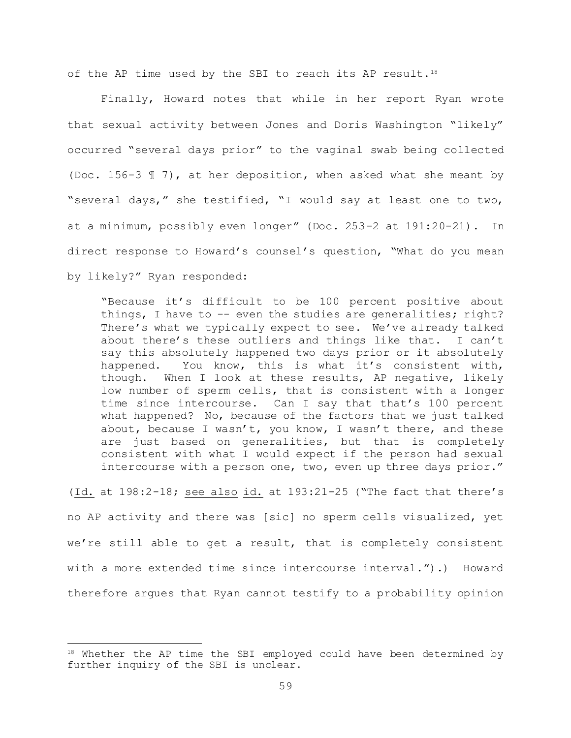of the AP time used by the SBI to reach its AP result.<sup>18</sup>

Finally, Howard notes that while in her report Ryan wrote that sexual activity between Jones and Doris Washington "likely" occurred "several days prior" to the vaginal swab being collected (Doc. 156-3 ¶ 7), at her deposition, when asked what she meant by "several days," she testified, "I would say at least one to two, at a minimum, possibly even longer" (Doc. 253-2 at 191:20-21). In direct response to Howard's counsel's question, "What do you mean by likely?" Ryan responded:

"Because it's difficult to be 100 percent positive about things, I have to -- even the studies are generalities; right? There's what we typically expect to see. We've already talked about there's these outliers and things like that. I can't say this absolutely happened two days prior or it absolutely happened. You know, this is what it's consistent with, though. When I look at these results, AP negative, likely low number of sperm cells, that is consistent with a longer time since intercourse. Can I say that that's 100 percent what happened? No, because of the factors that we just talked about, because I wasn't, you know, I wasn't there, and these are just based on generalities, but that is completely consistent with what I would expect if the person had sexual intercourse with a person one, two, even up three days prior."

(Id. at 198:2-18; see also id. at 193:21-25 ("The fact that there's no AP activity and there was [sic] no sperm cells visualized, yet we're still able to get a result, that is completely consistent with a more extended time since intercourse interval.").) Howard therefore argues that Ryan cannot testify to a probability opinion

L,

<sup>&</sup>lt;sup>18</sup> Whether the AP time the SBI employed could have been determined by further inquiry of the SBI is unclear.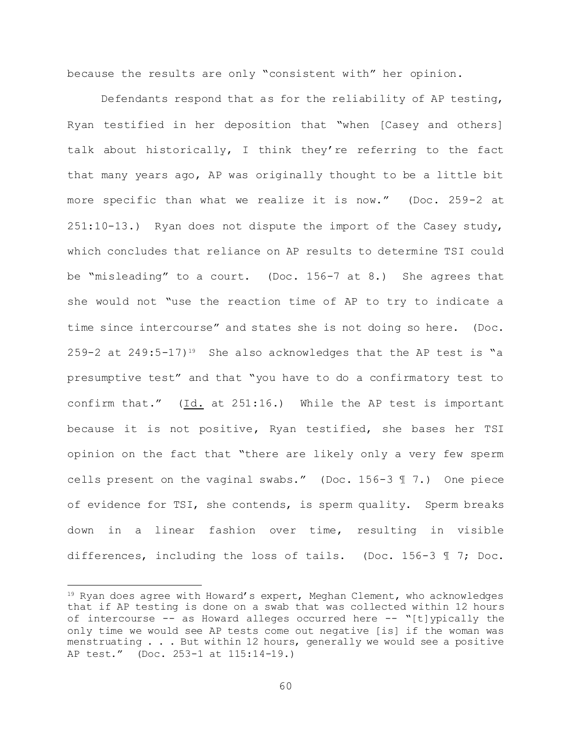because the results are only "consistent with" her opinion.

Defendants respond that as for the reliability of AP testing, Ryan testified in her deposition that "when [Casey and others] talk about historically, I think they're referring to the fact that many years ago, AP was originally thought to be a little bit more specific than what we realize it is now." (Doc. 259-2 at 251:10-13.) Ryan does not dispute the import of the Casey study, which concludes that reliance on AP results to determine TSI could be "misleading" to a court. (Doc. 156-7 at 8.) She agrees that she would not "use the reaction time of AP to try to indicate a time since intercourse" and states she is not doing so here. (Doc. 259-2 at  $249:5-17$ <sup>19</sup> She also acknowledges that the AP test is "a presumptive test" and that "you have to do a confirmatory test to confirm that."  $(Id. at 251:16.)$  While the AP test is important because it is not positive, Ryan testified, she bases her TSI opinion on the fact that "there are likely only a very few sperm cells present on the vaginal swabs." (Doc. 156-3 ¶ 7.) One piece of evidence for TSI, she contends, is sperm quality. Sperm breaks down in a linear fashion over time, resulting in visible differences, including the loss of tails. (Doc. 156-3 ¶ 7; Doc.

L,

<sup>&</sup>lt;sup>19</sup> Ryan does agree with Howard's expert, Meghan Clement, who acknowledges that if AP testing is done on a swab that was collected within 12 hours of intercourse -- as Howard alleges occurred here -- "[t]ypically the only time we would see AP tests come out negative [is] if the woman was menstruating . . . But within 12 hours, generally we would see a positive AP test." (Doc. 253-1 at 115:14-19.)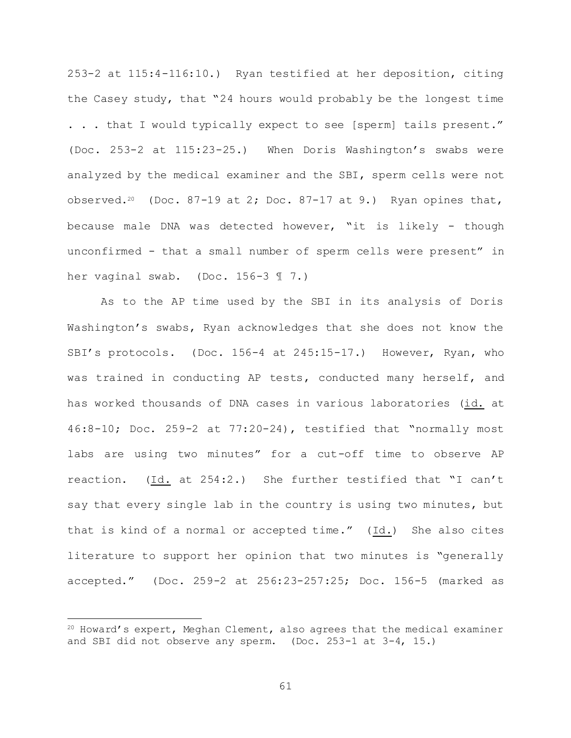253-2 at 115:4-116:10.) Ryan testified at her deposition, citing the Casey study, that "24 hours would probably be the longest time . . . that I would typically expect to see [sperm] tails present." (Doc. 253-2 at 115:23-25.) When Doris Washington's swabs were analyzed by the medical examiner and the SBI, sperm cells were not observed.<sup>20</sup> (Doc. 87-19 at 2; Doc. 87-17 at 9.) Ryan opines that, because male DNA was detected however, "it is likely - though unconfirmed - that a small number of sperm cells were present" in her vaginal swab. (Doc. 156-3 ¶ 7.)

As to the AP time used by the SBI in its analysis of Doris Washington's swabs, Ryan acknowledges that she does not know the SBI's protocols. (Doc. 156-4 at 245:15-17.) However, Ryan, who was trained in conducting AP tests, conducted many herself, and has worked thousands of DNA cases in various laboratories (id. at 46:8-10; Doc. 259-2 at 77:20-24), testified that "normally most labs are using two minutes" for a cut-off time to observe AP reaction. (Id. at 254:2.) She further testified that "I can't say that every single lab in the country is using two minutes, but that is kind of a normal or accepted time." (Id.) She also cites literature to support her opinion that two minutes is "generally accepted." (Doc. 259-2 at 256:23-257:25; Doc. 156-5 (marked as

L,

<sup>20</sup> Howard's expert, Meghan Clement, also agrees that the medical examiner and SBI did not observe any sperm. (Doc. 253-1 at 3-4, 15.)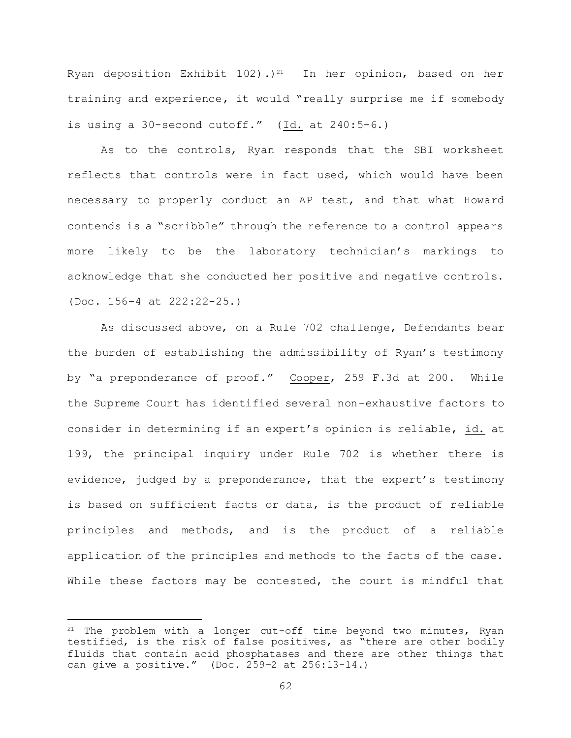Ryan deposition Exhibit 102).)<sup>21</sup> In her opinion, based on her training and experience, it would "really surprise me if somebody is using a 30-second cutoff." (Id. at 240:5-6.)

As to the controls, Ryan responds that the SBI worksheet reflects that controls were in fact used, which would have been necessary to properly conduct an AP test, and that what Howard contends is a "scribble" through the reference to a control appears more likely to be the laboratory technician's markings to acknowledge that she conducted her positive and negative controls. (Doc. 156-4 at 222:22-25.)

As discussed above, on a Rule 702 challenge, Defendants bear the burden of establishing the admissibility of Ryan's testimony by "a preponderance of proof." Cooper, 259 F.3d at 200. While the Supreme Court has identified several non-exhaustive factors to consider in determining if an expert's opinion is reliable, id. at 199, the principal inquiry under Rule 702 is whether there is evidence, judged by a preponderance, that the expert's testimony is based on sufficient facts or data, is the product of reliable principles and methods, and is the product of a reliable application of the principles and methods to the facts of the case. While these factors may be contested, the court is mindful that

L,

 $21$  The problem with a longer cut-off time beyond two minutes, Ryan testified, is the risk of false positives, as "there are other bodily fluids that contain acid phosphatases and there are other things that can give a positive." (Doc. 259-2 at 256:13-14.)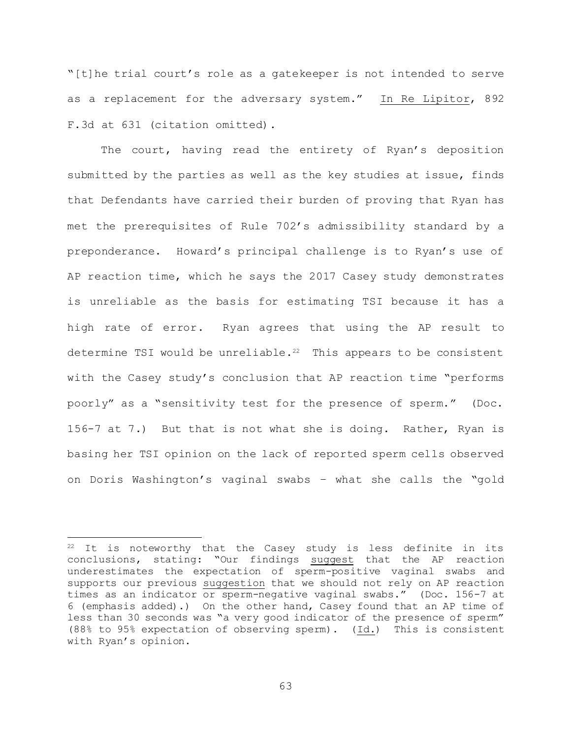"[t]he trial court's role as a gatekeeper is not intended to serve as a replacement for the adversary system." In Re Lipitor, 892 F.3d at 631 (citation omitted).

The court, having read the entirety of Ryan's deposition submitted by the parties as well as the key studies at issue, finds that Defendants have carried their burden of proving that Ryan has met the prerequisites of Rule 702's admissibility standard by a preponderance. Howard's principal challenge is to Ryan's use of AP reaction time, which he says the 2017 Casey study demonstrates is unreliable as the basis for estimating TSI because it has a high rate of error. Ryan agrees that using the AP result to determine TSI would be unreliable.<sup>22</sup> This appears to be consistent with the Casey study's conclusion that AP reaction time "performs poorly" as a "sensitivity test for the presence of sperm." (Doc. 156-7 at 7.) But that is not what she is doing. Rather, Ryan is basing her TSI opinion on the lack of reported sperm cells observed on Doris Washington's vaginal swabs – what she calls the "gold

a<br>B

<sup>&</sup>lt;sup>22</sup> It is noteworthy that the Casey study is less definite in its conclusions, stating: "Our findings suggest that the AP reaction underestimates the expectation of sperm-positive vaginal swabs and supports our previous suggestion that we should not rely on AP reaction times as an indicator or sperm-negative vaginal swabs." (Doc. 156-7 at 6 (emphasis added).) On the other hand, Casey found that an AP time of less than 30 seconds was "a very good indicator of the presence of sperm" (88% to 95% expectation of observing sperm). (Id.) This is consistent with Ryan's opinion.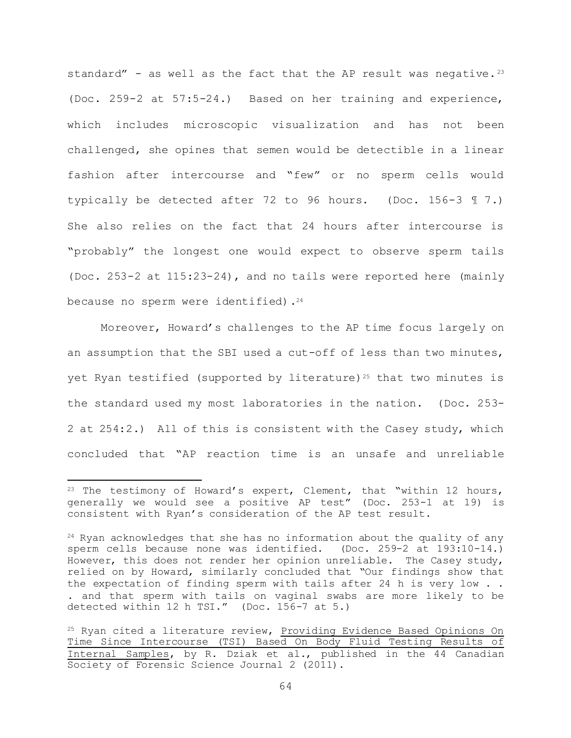standard" - as well as the fact that the AP result was negative.<sup>23</sup> (Doc. 259-2 at 57:5-24.) Based on her training and experience, which includes microscopic visualization and has not been challenged, she opines that semen would be detectible in a linear fashion after intercourse and "few" or no sperm cells would typically be detected after 72 to 96 hours. (Doc. 156-3 ¶ 7.) She also relies on the fact that 24 hours after intercourse is "probably" the longest one would expect to observe sperm tails (Doc. 253-2 at 115:23-24), and no tails were reported here (mainly because no sperm were identified).<sup>24</sup>

Moreover, Howard's challenges to the AP time focus largely on an assumption that the SBI used a cut-off of less than two minutes, yet Ryan testified (supported by literature)<sup>25</sup> that two minutes is the standard used my most laboratories in the nation. (Doc. 253- 2 at 254:2.) All of this is consistent with the Casey study, which concluded that "AP reaction time is an unsafe and unreliable

a<br>B

<sup>&</sup>lt;sup>23</sup> The testimony of Howard's expert, Clement, that "within 12 hours, generally we would see a positive AP test" (Doc. 253-1 at 19) is consistent with Ryan's consideration of the AP test result.

 $24$  Ryan acknowledges that she has no information about the quality of any sperm cells because none was identified. (Doc. 259-2 at 193:10-14.) However, this does not render her opinion unreliable. The Casey study, relied on by Howard, similarly concluded that "Our findings show that the expectation of finding sperm with tails after 24 h is very low . . . and that sperm with tails on vaginal swabs are more likely to be detected within 12 h TSI." (Doc. 156-7 at 5.)

<sup>25</sup> Ryan cited a literature review, Providing Evidence Based Opinions On Time Since Intercourse (TSI) Based On Body Fluid Testing Results of Internal Samples, by R. Dziak et al., published in the 44 Canadian Society of Forensic Science Journal 2 (2011).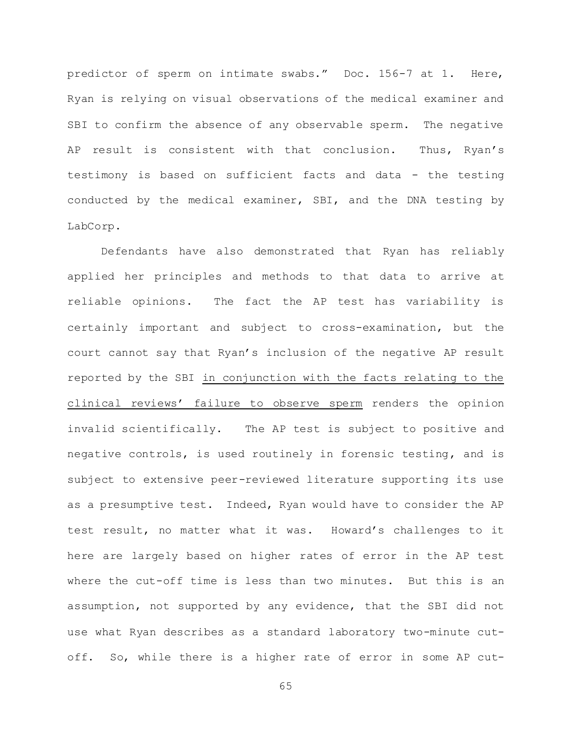predictor of sperm on intimate swabs." Doc. 156-7 at 1. Here, Ryan is relying on visual observations of the medical examiner and SBI to confirm the absence of any observable sperm. The negative AP result is consistent with that conclusion. Thus, Ryan's testimony is based on sufficient facts and data - the testing conducted by the medical examiner, SBI, and the DNA testing by LabCorp.

Defendants have also demonstrated that Ryan has reliably applied her principles and methods to that data to arrive at reliable opinions. The fact the AP test has variability is certainly important and subject to cross-examination, but the court cannot say that Ryan's inclusion of the negative AP result reported by the SBI in conjunction with the facts relating to the clinical reviews' failure to observe sperm renders the opinion invalid scientifically. The AP test is subject to positive and negative controls, is used routinely in forensic testing, and is subject to extensive peer-reviewed literature supporting its use as a presumptive test. Indeed, Ryan would have to consider the AP test result, no matter what it was. Howard's challenges to it here are largely based on higher rates of error in the AP test where the cut-off time is less than two minutes. But this is an assumption, not supported by any evidence, that the SBI did not use what Ryan describes as a standard laboratory two-minute cutoff. So, while there is a higher rate of error in some AP cut-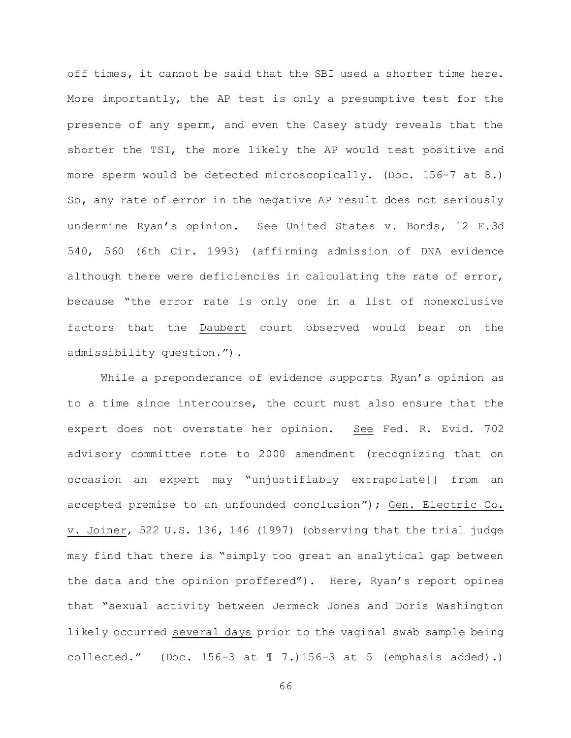off times, it cannot be said that the SBI used a shorter time here. More importantly, the AP test is only a presumptive test for the presence of any sperm, and even the Casey study reveals that the shorter the TSI, the more likely the AP would test positive and more sperm would be detected microscopically. (Doc. 156-7 at 8.) So, any rate of error in the negative AP result does not seriously undermine Ryan's opinion. See United States v. Bonds, 12 F.3d 540, 560 (6th Cir. 1993) (affirming admission of DNA evidence although there were deficiencies in calculating the rate of error, because "the error rate is only one in a list of nonexclusive factors that the Daubert court observed would bear on the admissibility question.").

While a preponderance of evidence supports Ryan's opinion as to a time since intercourse, the court must also ensure that the expert does not overstate her opinion. See Fed. R. Evid. 702 advisory committee note to 2000 amendment (recognizing that on occasion an expert may "unjustifiably extrapolate[] from an accepted premise to an unfounded conclusion"); Gen. Electric Co. v. Joiner, 522 U.S. 136, 146 (1997) (observing that the trial judge may find that there is "simply too great an analytical gap between the data and the opinion proffered"). Here, Ryan's report opines that "sexual activity between Jermeck Jones and Doris Washington likely occurred several days prior to the vaginal swab sample being collected." (Doc. 156-3 at  $\text{\ensuremath{\mathbb{I}}}\xspace$  7.) 156-3 at 5 (emphasis added).)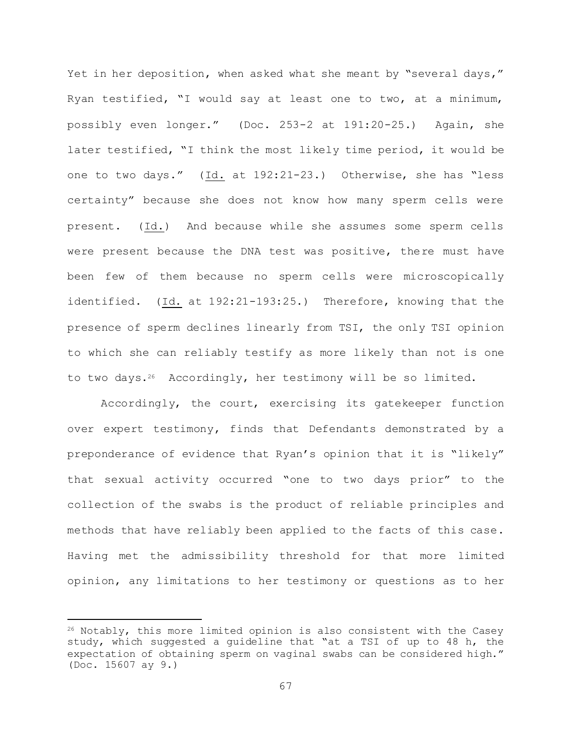Yet in her deposition, when asked what she meant by "several days," Ryan testified, "I would say at least one to two, at a minimum, possibly even longer." (Doc. 253-2 at 191:20-25.) Again, she later testified, "I think the most likely time period, it would be one to two days." (Id. at 192:21-23.) Otherwise, she has "less certainty" because she does not know how many sperm cells were present. (Id.) And because while she assumes some sperm cells were present because the DNA test was positive, there must have been few of them because no sperm cells were microscopically identified. (Id. at 192:21-193:25.) Therefore, knowing that the presence of sperm declines linearly from TSI, the only TSI opinion to which she can reliably testify as more likely than not is one to two days.<sup>26</sup> Accordingly, her testimony will be so limited.

Accordingly, the court, exercising its gatekeeper function over expert testimony, finds that Defendants demonstrated by a preponderance of evidence that Ryan's opinion that it is "likely" that sexual activity occurred "one to two days prior" to the collection of the swabs is the product of reliable principles and methods that have reliably been applied to the facts of this case. Having met the admissibility threshold for that more limited opinion, any limitations to her testimony or questions as to her

L,

<sup>26</sup> Notably, this more limited opinion is also consistent with the Casey study, which suggested a guideline that "at a TSI of up to 48 h, the expectation of obtaining sperm on vaginal swabs can be considered high." (Doc. 15607 ay 9.)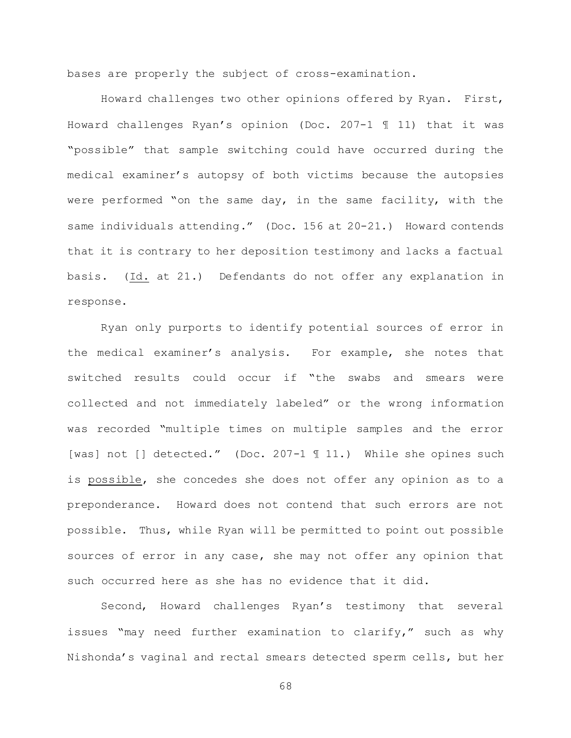bases are properly the subject of cross-examination.

Howard challenges two other opinions offered by Ryan. First, Howard challenges Ryan's opinion (Doc. 207-1 ¶ 11) that it was "possible" that sample switching could have occurred during the medical examiner's autopsy of both victims because the autopsies were performed "on the same day, in the same facility, with the same individuals attending." (Doc. 156 at 20-21.) Howard contends that it is contrary to her deposition testimony and lacks a factual basis. (Id. at 21.) Defendants do not offer any explanation in response.

Ryan only purports to identify potential sources of error in the medical examiner's analysis. For example, she notes that switched results could occur if "the swabs and smears were collected and not immediately labeled" or the wrong information was recorded "multiple times on multiple samples and the error [was] not [] detected." (Doc. 207-1 ¶ 11.) While she opines such is possible, she concedes she does not offer any opinion as to a preponderance. Howard does not contend that such errors are not possible. Thus, while Ryan will be permitted to point out possible sources of error in any case, she may not offer any opinion that such occurred here as she has no evidence that it did.

Second, Howard challenges Ryan's testimony that several issues "may need further examination to clarify," such as why Nishonda's vaginal and rectal smears detected sperm cells, but her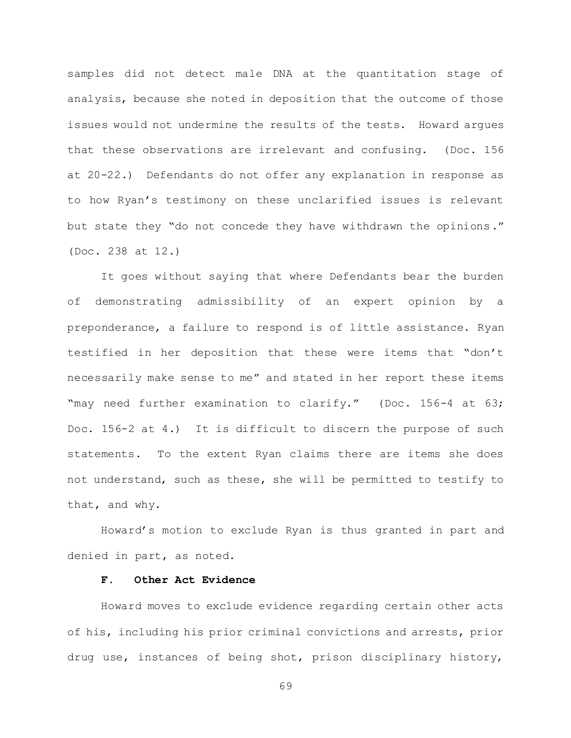samples did not detect male DNA at the quantitation stage of analysis, because she noted in deposition that the outcome of those issues would not undermine the results of the tests. Howard argues that these observations are irrelevant and confusing. (Doc. 156 at 20-22.) Defendants do not offer any explanation in response as to how Ryan's testimony on these unclarified issues is relevant but state they "do not concede they have withdrawn the opinions." (Doc. 238 at 12.)

It goes without saying that where Defendants bear the burden of demonstrating admissibility of an expert opinion by a preponderance, a failure to respond is of little assistance. Ryan testified in her deposition that these were items that "don't necessarily make sense to me" and stated in her report these items "may need further examination to clarify." (Doc. 156-4 at 63; Doc. 156-2 at 4.) It is difficult to discern the purpose of such statements. To the extent Ryan claims there are items she does not understand, such as these, she will be permitted to testify to that, and why.

Howard's motion to exclude Ryan is thus granted in part and denied in part, as noted.

## **F. Other Act Evidence**

Howard moves to exclude evidence regarding certain other acts of his, including his prior criminal convictions and arrests, prior drug use, instances of being shot, prison disciplinary history,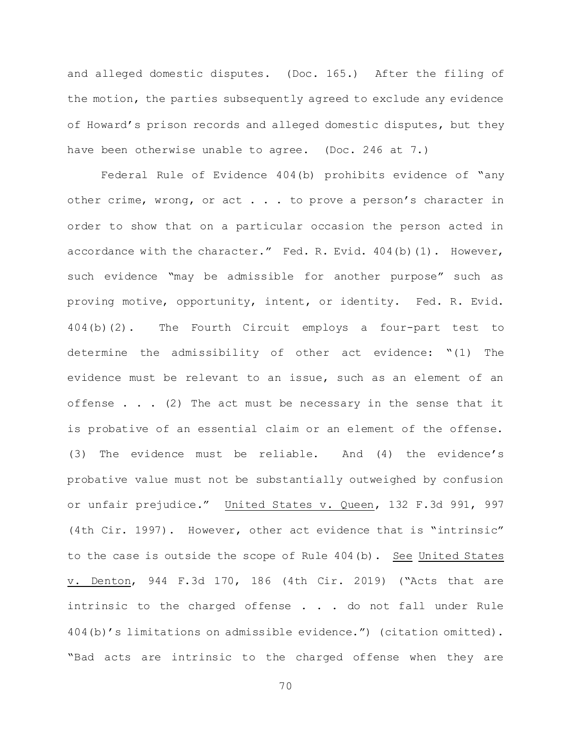and alleged domestic disputes. (Doc. 165.) After the filing of the motion, the parties subsequently agreed to exclude any evidence of Howard's prison records and alleged domestic disputes, but they have been otherwise unable to agree. (Doc. 246 at 7.)

Federal Rule of Evidence 404(b) prohibits evidence of "any other crime, wrong, or act . . . to prove a person's character in order to show that on a particular occasion the person acted in accordance with the character." Fed. R. Evid. 404(b)(1). However, such evidence "may be admissible for another purpose" such as proving motive, opportunity, intent, or identity. Fed. R. Evid. 404(b)(2). The Fourth Circuit employs a four-part test to determine the admissibility of other act evidence: "(1) The evidence must be relevant to an issue, such as an element of an offense  $\ldots$  . (2) The act must be necessary in the sense that it is probative of an essential claim or an element of the offense. (3) The evidence must be reliable. And (4) the evidence's probative value must not be substantially outweighed by confusion or unfair prejudice." United States v. Queen, 132 F.3d 991, 997 (4th Cir. 1997). However, other act evidence that is "intrinsic" to the case is outside the scope of Rule 404(b). See United States v. Denton, 944 F.3d 170, 186 (4th Cir. 2019) ("Acts that are intrinsic to the charged offense  $\ldots$  . do not fall under Rule 404(b)'s limitations on admissible evidence.") (citation omitted). "Bad acts are intrinsic to the charged offense when they are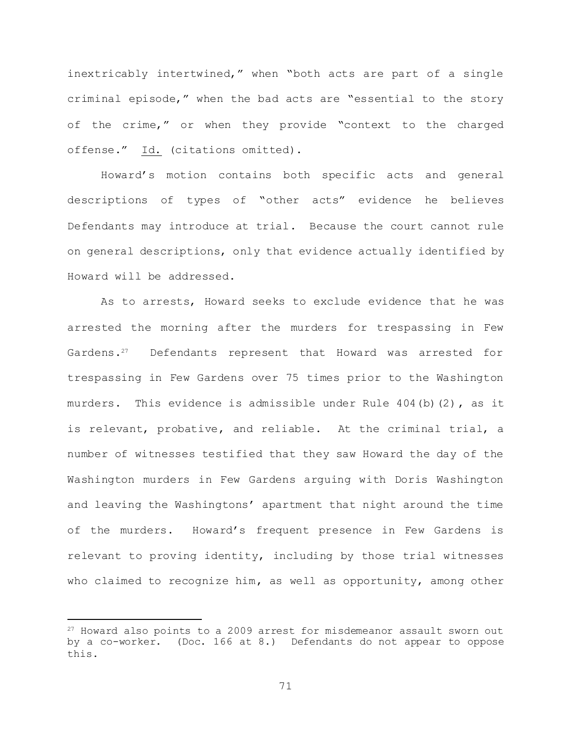inextricably intertwined," when "both acts are part of a single criminal episode," when the bad acts are "essential to the story of the crime," or when they provide "context to the charged offense." Id. (citations omitted).

Howard's motion contains both specific acts and general descriptions of types of "other acts" evidence he believes Defendants may introduce at trial. Because the court cannot rule on general descriptions, only that evidence actually identified by Howard will be addressed.

As to arrests, Howard seeks to exclude evidence that he was arrested the morning after the murders for trespassing in Few Gardens.27 Defendants represent that Howard was arrested for trespassing in Few Gardens over 75 times prior to the Washington murders. This evidence is admissible under Rule  $404$  (b) (2), as it is relevant, probative, and reliable. At the criminal trial, a number of witnesses testified that they saw Howard the day of the Washington murders in Few Gardens arguing with Doris Washington and leaving the Washingtons' apartment that night around the time of the murders. Howard's frequent presence in Few Gardens is relevant to proving identity, including by those trial witnesses who claimed to recognize him, as well as opportunity, among other

L,

<sup>&</sup>lt;sup>27</sup> Howard also points to a 2009 arrest for misdemeanor assault sworn out by a co-worker. (Doc. 166 at 8.) Defendants do not appear to oppose this.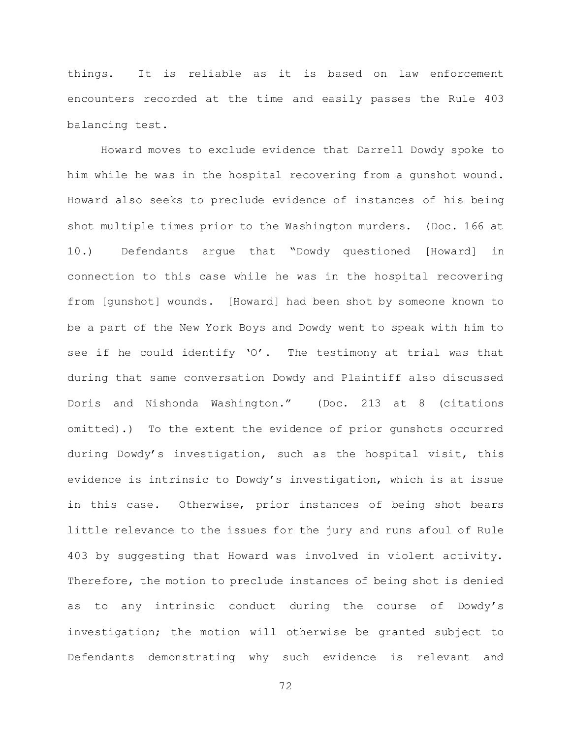things. It is reliable as it is based on law enforcement encounters recorded at the time and easily passes the Rule 403 balancing test.

Howard moves to exclude evidence that Darrell Dowdy spoke to him while he was in the hospital recovering from a gunshot wound. Howard also seeks to preclude evidence of instances of his being shot multiple times prior to the Washington murders. (Doc. 166 at 10.) Defendants argue that "Dowdy questioned [Howard] in connection to this case while he was in the hospital recovering from [gunshot] wounds. [Howard] had been shot by someone known to be a part of the New York Boys and Dowdy went to speak with him to see if he could identify 'O'. The testimony at trial was that during that same conversation Dowdy and Plaintiff also discussed Doris and Nishonda Washington." (Doc. 213 at 8 (citations omitted).) To the extent the evidence of prior gunshots occurred during Dowdy's investigation, such as the hospital visit, this evidence is intrinsic to Dowdy's investigation, which is at issue in this case. Otherwise, prior instances of being shot bears little relevance to the issues for the jury and runs afoul of Rule 403 by suggesting that Howard was involved in violent activity. Therefore, the motion to preclude instances of being shot is denied as to any intrinsic conduct during the course of Dowdy's investigation; the motion will otherwise be granted subject to Defendants demonstrating why such evidence is relevant and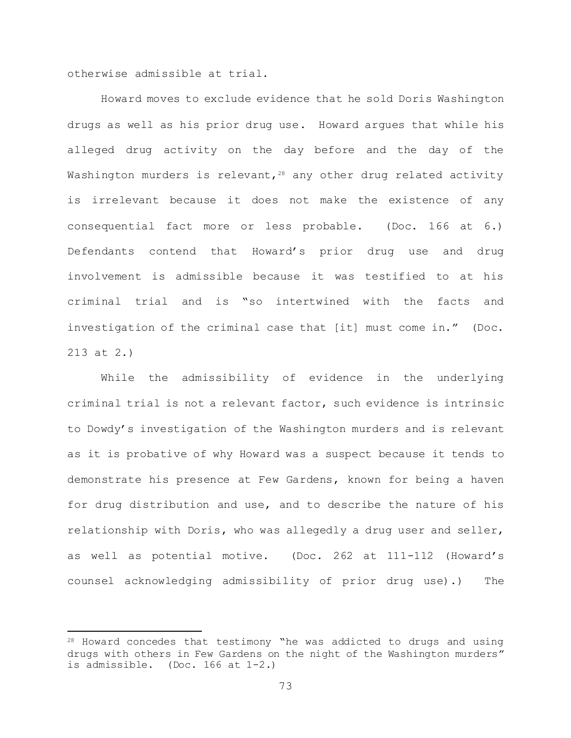otherwise admissible at trial.

L,

Howard moves to exclude evidence that he sold Doris Washington drugs as well as his prior drug use. Howard argues that while his alleged drug activity on the day before and the day of the Washington murders is relevant,  $28$  any other drug related activity is irrelevant because it does not make the existence of any consequential fact more or less probable. (Doc. 166 at 6.) Defendants contend that Howard's prior drug use and drug involvement is admissible because it was testified to at his criminal trial and is "so intertwined with the facts and investigation of the criminal case that [it] must come in." (Doc. 213 at 2.)

While the admissibility of evidence in the underlying criminal trial is not a relevant factor, such evidence is intrinsic to Dowdy's investigation of the Washington murders and is relevant as it is probative of why Howard was a suspect because it tends to demonstrate his presence at Few Gardens, known for being a haven for drug distribution and use, and to describe the nature of his relationship with Doris, who was allegedly a drug user and seller, as well as potential motive. (Doc. 262 at 111-112 (Howard's counsel acknowledging admissibility of prior drug use).) The

<sup>28</sup> Howard concedes that testimony "he was addicted to drugs and using drugs with others in Few Gardens on the night of the Washington murders" is admissible. (Doc. 166 at 1-2.)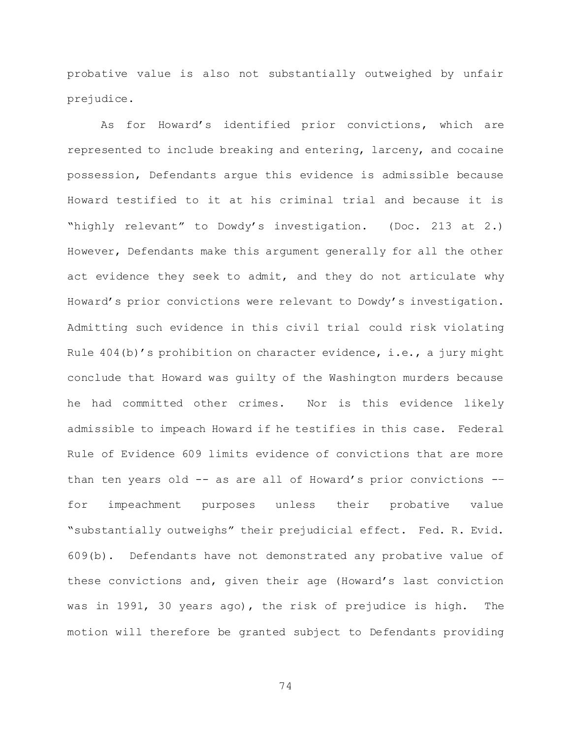probative value is also not substantially outweighed by unfair prejudice.

As for Howard's identified prior convictions, which are represented to include breaking and entering, larceny, and cocaine possession, Defendants argue this evidence is admissible because Howard testified to it at his criminal trial and because it is "highly relevant" to Dowdy's investigation. (Doc. 213 at 2.) However, Defendants make this argument generally for all the other act evidence they seek to admit, and they do not articulate why Howard's prior convictions were relevant to Dowdy's investigation. Admitting such evidence in this civil trial could risk violating Rule  $404(b)'$ s prohibition on character evidence, i.e., a jury might conclude that Howard was guilty of the Washington murders because he had committed other crimes. Nor is this evidence likely admissible to impeach Howard if he testifies in this case. Federal Rule of Evidence 609 limits evidence of convictions that are more than ten years old -- as are all of Howard's prior convictions -– for impeachment purposes unless their probative value "substantially outweighs" their prejudicial effect. Fed. R. Evid. 609(b). Defendants have not demonstrated any probative value of these convictions and, given their age (Howard's last conviction was in 1991, 30 years ago), the risk of prejudice is high. The motion will therefore be granted subject to Defendants providing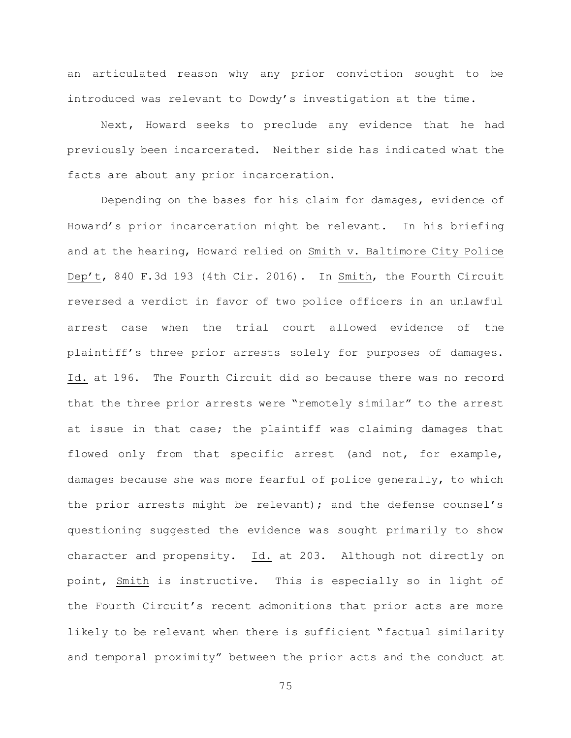an articulated reason why any prior conviction sought to be introduced was relevant to Dowdy's investigation at the time.

Next, Howard seeks to preclude any evidence that he had previously been incarcerated. Neither side has indicated what the facts are about any prior incarceration.

Depending on the bases for his claim for damages, evidence of Howard's prior incarceration might be relevant. In his briefing and at the hearing, Howard relied on Smith v. Baltimore City Police Dep't, 840 F.3d 193 (4th Cir. 2016). In Smith, the Fourth Circuit reversed a verdict in favor of two police officers in an unlawful arrest case when the trial court allowed evidence of the plaintiff's three prior arrests solely for purposes of damages. Id. at 196. The Fourth Circuit did so because there was no record that the three prior arrests were "remotely similar" to the arrest at issue in that case; the plaintiff was claiming damages that flowed only from that specific arrest (and not, for example, damages because she was more fearful of police generally, to which the prior arrests might be relevant); and the defense counsel's questioning suggested the evidence was sought primarily to show character and propensity. Id. at 203. Although not directly on point, Smith is instructive. This is especially so in light of the Fourth Circuit's recent admonitions that prior acts are more likely to be relevant when there is sufficient "factual similarity and temporal proximity" between the prior acts and the conduct at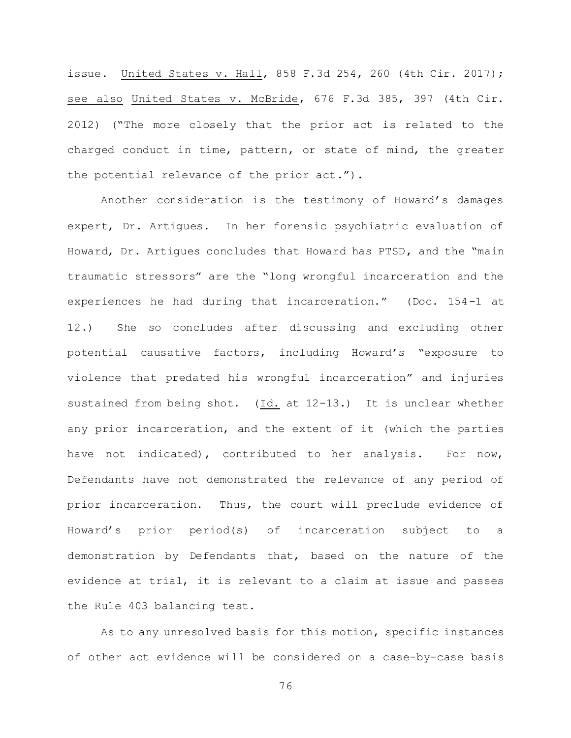issue. United States v. Hall, 858 F.3d 254, 260 (4th Cir. 2017); see also United States v. McBride, 676 F.3d 385, 397 (4th Cir. 2012) ("The more closely that the prior act is related to the charged conduct in time, pattern, or state of mind, the greater the potential relevance of the prior act.").

Another consideration is the testimony of Howard's damages expert, Dr. Artigues. In her forensic psychiatric evaluation of Howard, Dr. Artigues concludes that Howard has PTSD, and the "main traumatic stressors" are the "long wrongful incarceration and the experiences he had during that incarceration." (Doc. 154-1 at 12.) She so concludes after discussing and excluding other potential causative factors, including Howard's "exposure to violence that predated his wrongful incarceration" and injuries sustained from being shot. (Id. at 12-13.) It is unclear whether any prior incarceration, and the extent of it (which the parties have not indicated), contributed to her analysis. For now, Defendants have not demonstrated the relevance of any period of prior incarceration. Thus, the court will preclude evidence of Howard's prior period(s) of incarceration subject to a demonstration by Defendants that, based on the nature of the evidence at trial, it is relevant to a claim at issue and passes the Rule 403 balancing test.

As to any unresolved basis for this motion, specific instances of other act evidence will be considered on a case-by-case basis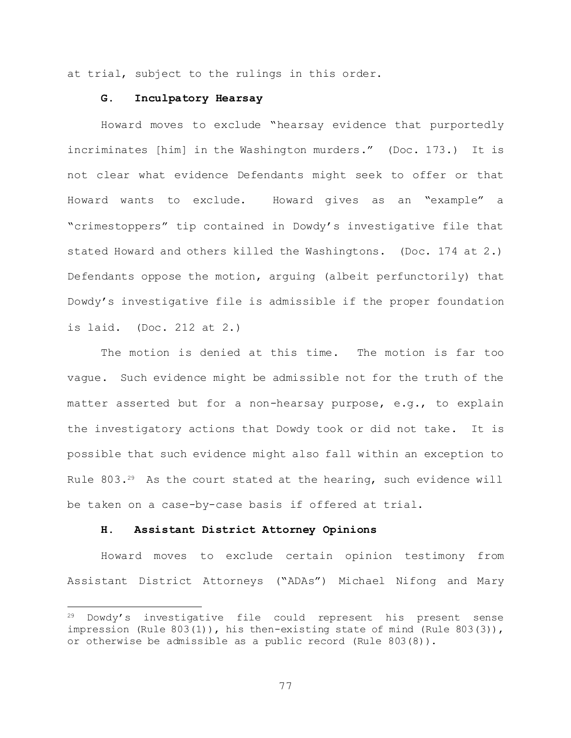at trial, subject to the rulings in this order.

## **G. Inculpatory Hearsay**

Howard moves to exclude "hearsay evidence that purportedly incriminates [him] in the Washington murders." (Doc. 173.) It is not clear what evidence Defendants might seek to offer or that Howard wants to exclude. Howard gives as an "example" a "crimestoppers" tip contained in Dowdy's investigative file that stated Howard and others killed the Washingtons. (Doc. 174 at 2.) Defendants oppose the motion, arguing (albeit perfunctorily) that Dowdy's investigative file is admissible if the proper foundation is laid. (Doc. 212 at 2.)

The motion is denied at this time. The motion is far too vague. Such evidence might be admissible not for the truth of the matter asserted but for a non-hearsay purpose, e.g., to explain the investigatory actions that Dowdy took or did not take. It is possible that such evidence might also fall within an exception to Rule 803.<sup>29</sup> As the court stated at the hearing, such evidence will be taken on a case-by-case basis if offered at trial.

#### **H. Assistant District Attorney Opinions**

L,

Howard moves to exclude certain opinion testimony from Assistant District Attorneys ("ADAs") Michael Nifong and Mary

<sup>29</sup> Dowdy's investigative file could represent his present sense impression (Rule 803(1)), his then-existing state of mind (Rule 803(3)), or otherwise be admissible as a public record (Rule 803(8)).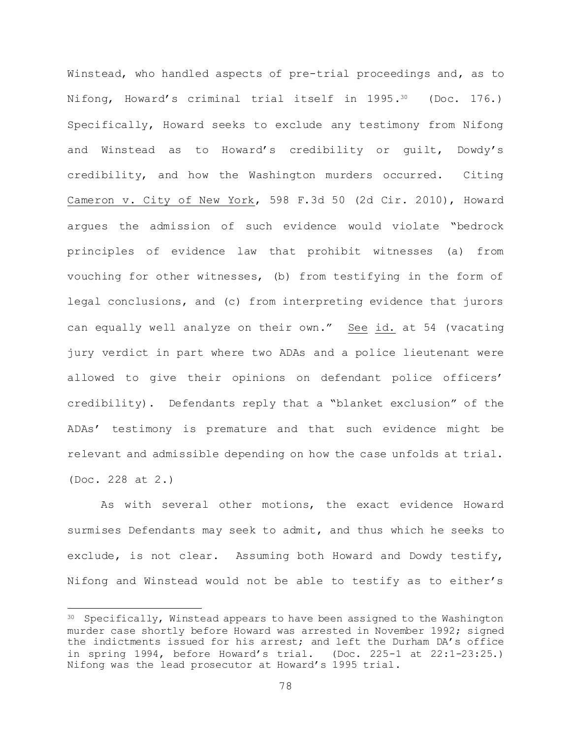Winstead, who handled aspects of pre-trial proceedings and, as to Nifong, Howard's criminal trial itself in 1995.<sup>30</sup> (Doc. 176.) Specifically, Howard seeks to exclude any testimony from Nifong and Winstead as to Howard's credibility or guilt, Dowdy's credibility, and how the Washington murders occurred. Citing Cameron v. City of New York, 598 F.3d 50 (2d Cir. 2010), Howard argues the admission of such evidence would violate "bedrock principles of evidence law that prohibit witnesses (a) from vouching for other witnesses, (b) from testifying in the form of legal conclusions, and (c) from interpreting evidence that jurors can equally well analyze on their own." See id. at 54 (vacating jury verdict in part where two ADAs and a police lieutenant were allowed to give their opinions on defendant police officers' credibility). Defendants reply that a "blanket exclusion" of the ADAs' testimony is premature and that such evidence might be relevant and admissible depending on how the case unfolds at trial. (Doc. 228 at 2.)

As with several other motions, the exact evidence Howard surmises Defendants may seek to admit, and thus which he seeks to exclude, is not clear. Assuming both Howard and Dowdy testify, Nifong and Winstead would not be able to testify as to either's

L,

<sup>&</sup>lt;sup>30</sup> Specifically, Winstead appears to have been assigned to the Washington murder case shortly before Howard was arrested in November 1992; signed the indictments issued for his arrest; and left the Durham DA's office in spring 1994, before Howard's trial. (Doc. 225-1 at 22:1-23:25.) Nifong was the lead prosecutor at Howard's 1995 trial.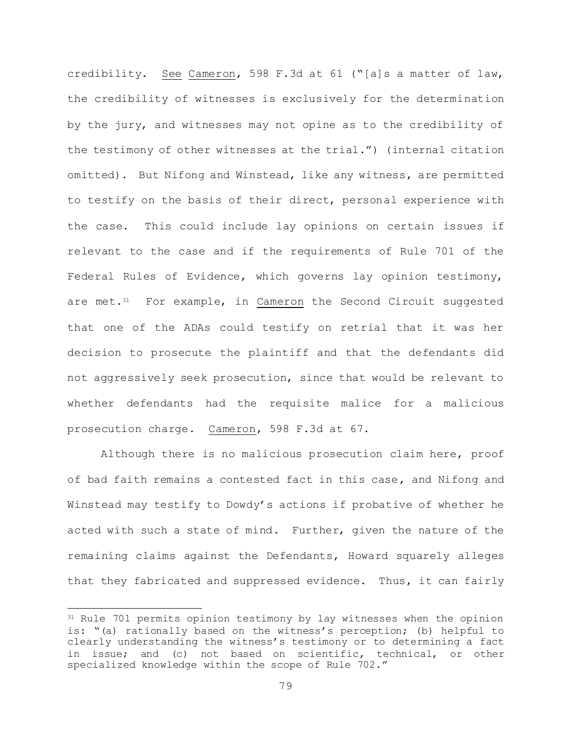credibility. See Cameron, 598 F.3d at 61 ("[a]s a matter of law, the credibility of witnesses is exclusively for the determination by the jury, and witnesses may not opine as to the credibility of the testimony of other witnesses at the trial.") (internal citation omitted). But Nifong and Winstead, like any witness, are permitted to testify on the basis of their direct, personal experience with the case. This could include lay opinions on certain issues if relevant to the case and if the requirements of Rule 701 of the Federal Rules of Evidence, which governs lay opinion testimony, are met.<sup>31</sup> For example, in Cameron the Second Circuit suggested that one of the ADAs could testify on retrial that it was her decision to prosecute the plaintiff and that the defendants did not aggressively seek prosecution, since that would be relevant to whether defendants had the requisite malice for a malicious prosecution charge. Cameron, 598 F.3d at 67.

Although there is no malicious prosecution claim here, proof of bad faith remains a contested fact in this case, and Nifong and Winstead may testify to Dowdy's actions if probative of whether he acted with such a state of mind. Further, given the nature of the remaining claims against the Defendants, Howard squarely alleges that they fabricated and suppressed evidence. Thus, it can fairly

L,

<sup>&</sup>lt;sup>31</sup> Rule 701 permits opinion testimony by lay witnesses when the opinion is: "(a) rationally based on the witness's perception; (b) helpful to clearly understanding the witness's testimony or to determining a fact in issue; and (c) not based on scientific, technical, or other specialized knowledge within the scope of Rule 702."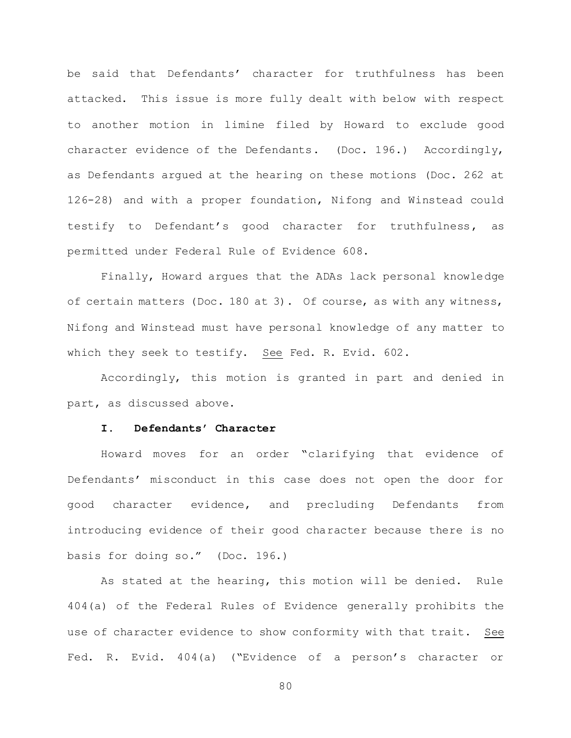be said that Defendants' character for truthfulness has been attacked. This issue is more fully dealt with below with respect to another motion in limine filed by Howard to exclude good character evidence of the Defendants. (Doc. 196.) Accordingly, as Defendants argued at the hearing on these motions (Doc. 262 at 126-28) and with a proper foundation, Nifong and Winstead could testify to Defendant's good character for truthfulness, as permitted under Federal Rule of Evidence 608.

Finally, Howard argues that the ADAs lack personal knowledge of certain matters (Doc. 180 at 3). Of course, as with any witness, Nifong and Winstead must have personal knowledge of any matter to which they seek to testify. See Fed. R. Evid. 602.

Accordingly, this motion is granted in part and denied in part, as discussed above.

### **I. Defendants' Character**

Howard moves for an order "clarifying that evidence of Defendants' misconduct in this case does not open the door for good character evidence, and precluding Defendants from introducing evidence of their good character because there is no basis for doing so." (Doc. 196.)

As stated at the hearing, this motion will be denied. Rule 404(a) of the Federal Rules of Evidence generally prohibits the use of character evidence to show conformity with that trait. See Fed. R. Evid. 404(a) ("Evidence of a person's character or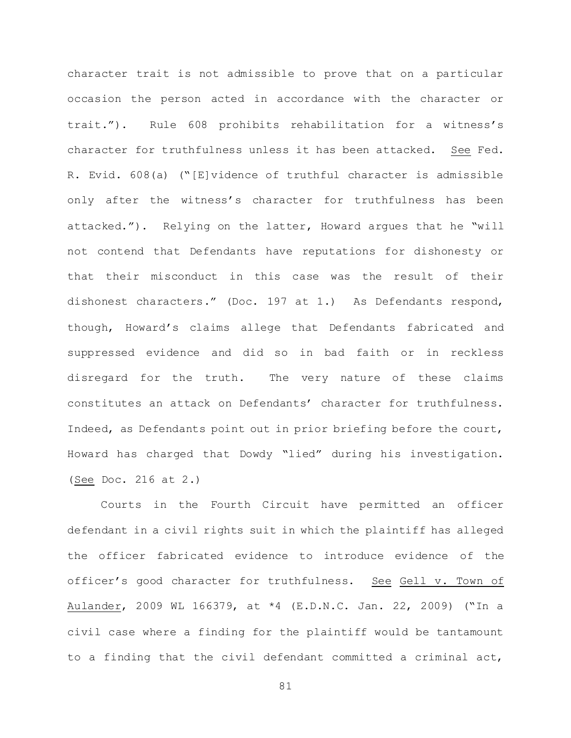character trait is not admissible to prove that on a particular occasion the person acted in accordance with the character or trait."). Rule 608 prohibits rehabilitation for a witness's character for truthfulness unless it has been attacked. See Fed. R. Evid. 608(a) ("[E]vidence of truthful character is admissible only after the witness's character for truthfulness has been attacked."). Relying on the latter, Howard argues that he "will not contend that Defendants have reputations for dishonesty or that their misconduct in this case was the result of their dishonest characters." (Doc. 197 at 1.) As Defendants respond, though, Howard's claims allege that Defendants fabricated and suppressed evidence and did so in bad faith or in reckless disregard for the truth. The very nature of these claims constitutes an attack on Defendants' character for truthfulness. Indeed, as Defendants point out in prior briefing before the court, Howard has charged that Dowdy "lied" during his investigation. (See Doc. 216 at 2.)

Courts in the Fourth Circuit have permitted an officer defendant in a civil rights suit in which the plaintiff has alleged the officer fabricated evidence to introduce evidence of the officer's good character for truthfulness. See Gell v. Town of Aulander, 2009 WL 166379, at \*4 (E.D.N.C. Jan. 22, 2009) ("In a civil case where a finding for the plaintiff would be tantamount to a finding that the civil defendant committed a criminal act,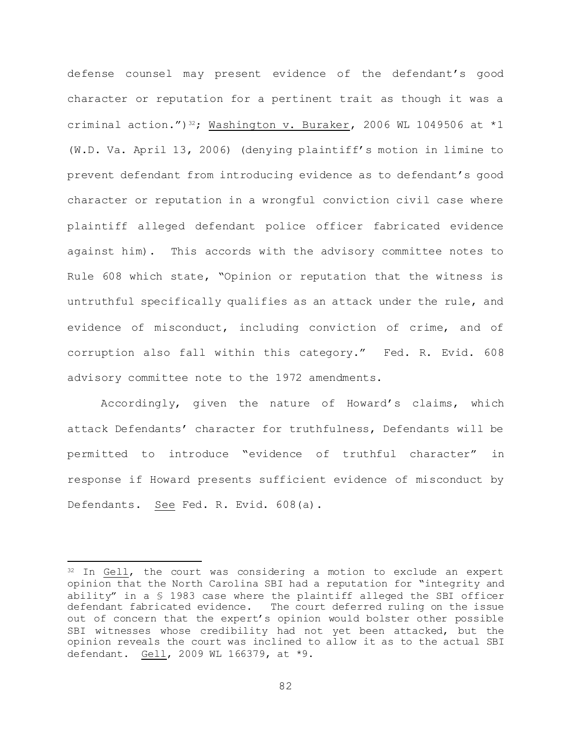defense counsel may present evidence of the defendant's good character or reputation for a pertinent trait as though it was a criminal action.")<sup>32</sup>; Washington v. Buraker, 2006 WL 1049506 at \*1 (W.D. Va. April 13, 2006) (denying plaintiff's motion in limine to prevent defendant from introducing evidence as to defendant's good character or reputation in a wrongful conviction civil case where plaintiff alleged defendant police officer fabricated evidence against him). This accords with the advisory committee notes to Rule 608 which state, "Opinion or reputation that the witness is untruthful specifically qualifies as an attack under the rule, and evidence of misconduct, including conviction of crime, and of corruption also fall within this category." Fed. R. Evid. 608 advisory committee note to the 1972 amendments.

Accordingly, given the nature of Howard's claims, which attack Defendants' character for truthfulness, Defendants will be permitted to introduce "evidence of truthful character" in response if Howard presents sufficient evidence of misconduct by Defendants. See Fed. R. Evid. 608(a).

L,

<sup>&</sup>lt;sup>32</sup> In Gell, the court was considering a motion to exclude an expert opinion that the North Carolina SBI had a reputation for "integrity and ability" in a § 1983 case where the plaintiff alleged the SBI officer defendant fabricated evidence. The court deferred ruling on the issue out of concern that the expert's opinion would bolster other possible SBI witnesses whose credibility had not yet been attacked, but the opinion reveals the court was inclined to allow it as to the actual SBI defendant. Gell, 2009 WL 166379, at \*9.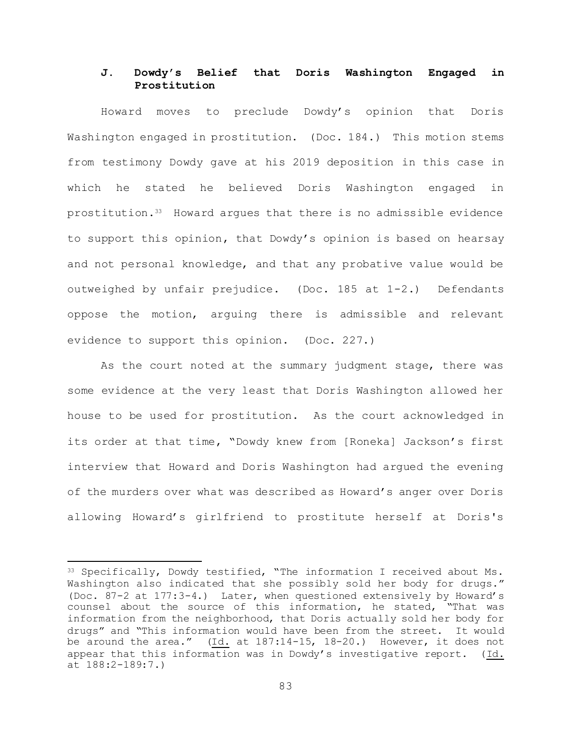# **J. Dowdy's Belief that Doris Washington Engaged in Prostitution**

Howard moves to preclude Dowdy's opinion that Doris Washington engaged in prostitution. (Doc. 184.) This motion stems from testimony Dowdy gave at his 2019 deposition in this case in which he stated he believed Doris Washington engaged in prostitution.33 Howard argues that there is no admissible evidence to support this opinion, that Dowdy's opinion is based on hearsay and not personal knowledge, and that any probative value would be outweighed by unfair prejudice. (Doc. 185 at 1-2.) Defendants oppose the motion, arguing there is admissible and relevant evidence to support this opinion. (Doc. 227.)

As the court noted at the summary judgment stage, there was some evidence at the very least that Doris Washington allowed her house to be used for prostitution. As the court acknowledged in its order at that time, "Dowdy knew from [Roneka] Jackson's first interview that Howard and Doris Washington had argued the evening of the murders over what was described as Howard's anger over Doris allowing Howard's girlfriend to prostitute herself at Doris's

L,

<sup>33</sup> Specifically, Dowdy testified, "The information I received about Ms. Washington also indicated that she possibly sold her body for drugs." (Doc. 87-2 at 177:3-4.) Later, when questioned extensively by Howard's counsel about the source of this information, he stated, "That was information from the neighborhood, that Doris actually sold her body for drugs" and "This information would have been from the street. It would be around the area." (Id. at 187:14-15, 18-20.) However, it does not appear that this information was in Dowdy's investigative report. (Id. at 188:2-189:7.)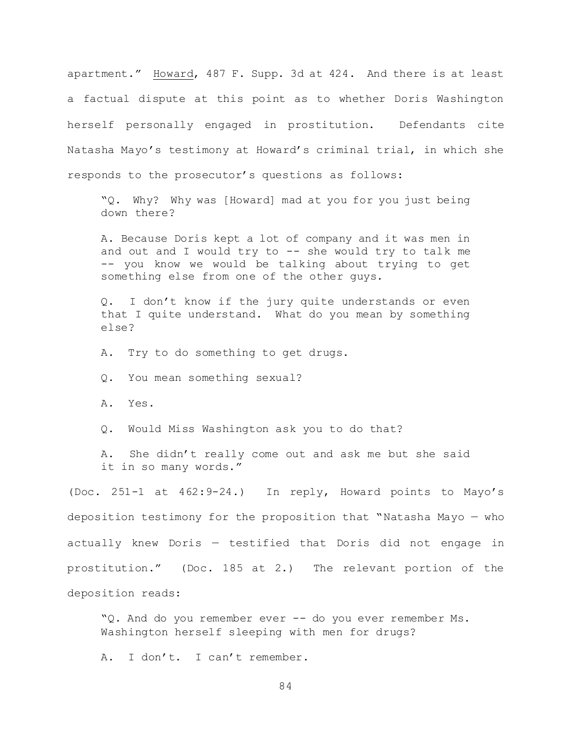apartment." Howard, 487 F. Supp. 3d at 424. And there is at least a factual dispute at this point as to whether Doris Washington herself personally engaged in prostitution. Defendants cite Natasha Mayo's testimony at Howard's criminal trial, in which she responds to the prosecutor's questions as follows:

"Q. Why? Why was [Howard] mad at you for you just being down there?

A. Because Doris kept a lot of company and it was men in and out and I would try to  $-$ - she would try to talk me -- you know we would be talking about trying to get something else from one of the other guys.

Q. I don't know if the jury quite understands or even that I quite understand. What do you mean by something else?

A. Try to do something to get drugs.

Q. You mean something sexual?

A. Yes.

Q. Would Miss Washington ask you to do that?

A. She didn't really come out and ask me but she said it in so many words."

(Doc. 251-1 at 462:9-24.) In reply, Howard points to Mayo's deposition testimony for the proposition that "Natasha Mayo — who actually knew Doris — testified that Doris did not engage in prostitution." (Doc. 185 at 2.) The relevant portion of the deposition reads:

"Q. And do you remember ever -- do you ever remember Ms. Washington herself sleeping with men for drugs?

A. I don't. I can't remember.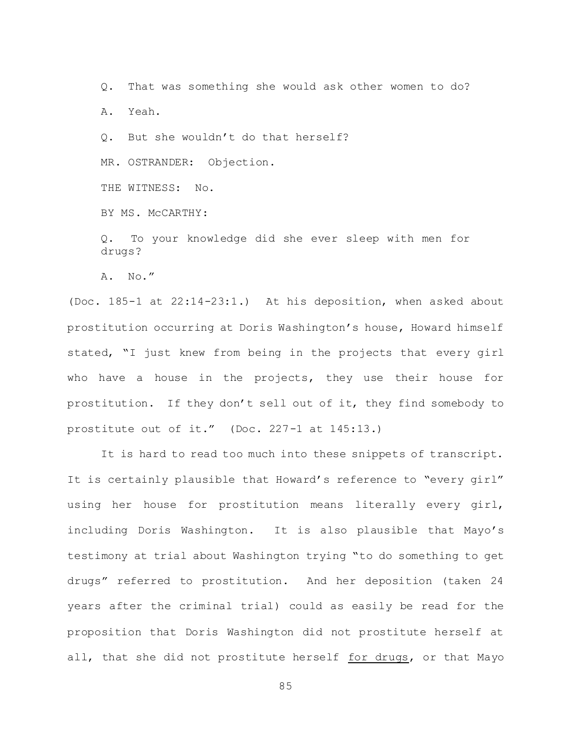Q. That was something she would ask other women to do?

A. Yeah.

Q. But she wouldn't do that herself?

MR. OSTRANDER: Objection.

THE WITNESS: No.

BY MS. McCARTHY:

Q. To your knowledge did she ever sleep with men for drugs?

A. No."

(Doc. 185-1 at 22:14-23:1.) At his deposition, when asked about prostitution occurring at Doris Washington's house, Howard himself stated, "I just knew from being in the projects that every girl who have a house in the projects, they use their house for prostitution. If they don't sell out of it, they find somebody to prostitute out of it." (Doc. 227-1 at 145:13.)

It is hard to read too much into these snippets of transcript. It is certainly plausible that Howard's reference to "every girl" using her house for prostitution means literally every girl, including Doris Washington. It is also plausible that Mayo's testimony at trial about Washington trying "to do something to get drugs" referred to prostitution. And her deposition (taken 24 years after the criminal trial) could as easily be read for the proposition that Doris Washington did not prostitute herself at all, that she did not prostitute herself for drugs, or that Mayo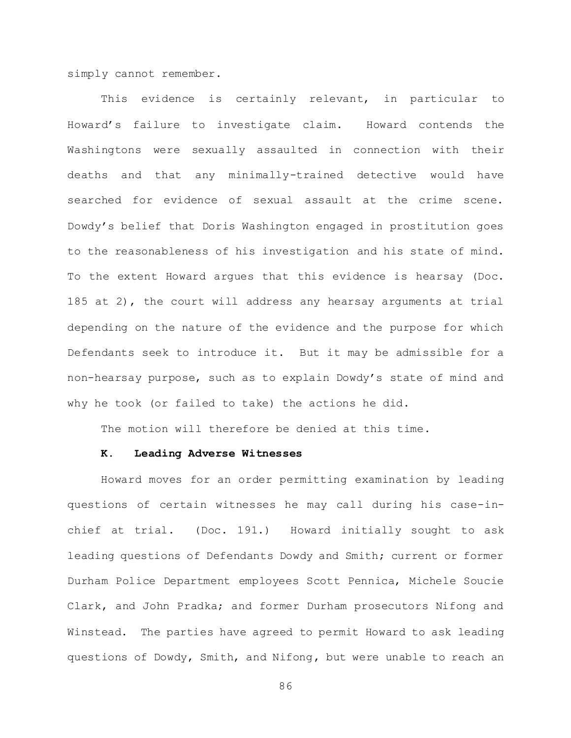simply cannot remember.

This evidence is certainly relevant, in particular to Howard's failure to investigate claim. Howard contends the Washingtons were sexually assaulted in connection with their deaths and that any minimally-trained detective would have searched for evidence of sexual assault at the crime scene. Dowdy's belief that Doris Washington engaged in prostitution goes to the reasonableness of his investigation and his state of mind. To the extent Howard argues that this evidence is hearsay (Doc. 185 at 2), the court will address any hearsay arguments at trial depending on the nature of the evidence and the purpose for which Defendants seek to introduce it. But it may be admissible for a non-hearsay purpose, such as to explain Dowdy's state of mind and why he took (or failed to take) the actions he did.

The motion will therefore be denied at this time.

### **K. Leading Adverse Witnesses**

Howard moves for an order permitting examination by leading questions of certain witnesses he may call during his case-inchief at trial. (Doc. 191.) Howard initially sought to ask leading questions of Defendants Dowdy and Smith; current or former Durham Police Department employees Scott Pennica, Michele Soucie Clark, and John Pradka; and former Durham prosecutors Nifong and Winstead. The parties have agreed to permit Howard to ask leading questions of Dowdy, Smith, and Nifong, but were unable to reach an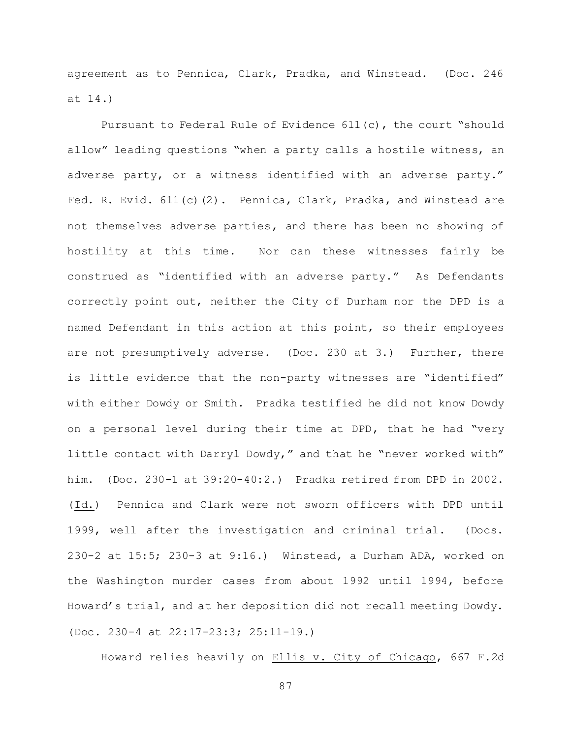agreement as to Pennica, Clark, Pradka, and Winstead. (Doc. 246 at 14.)

Pursuant to Federal Rule of Evidence 611(c), the court "should allow" leading questions "when a party calls a hostile witness, an adverse party, or a witness identified with an adverse party." Fed. R. Evid. 611(c)(2). Pennica, Clark, Pradka, and Winstead are not themselves adverse parties, and there has been no showing of hostility at this time. Nor can these witnesses fairly be construed as "identified with an adverse party." As Defendants correctly point out, neither the City of Durham nor the DPD is a named Defendant in this action at this point, so their employees are not presumptively adverse. (Doc. 230 at 3.) Further, there is little evidence that the non-party witnesses are "identified" with either Dowdy or Smith. Pradka testified he did not know Dowdy on a personal level during their time at DPD, that he had "very little contact with Darryl Dowdy," and that he "never worked with" him. (Doc. 230-1 at 39:20-40:2.) Pradka retired from DPD in 2002. (Id.) Pennica and Clark were not sworn officers with DPD until 1999, well after the investigation and criminal trial. (Docs. 230-2 at 15:5; 230-3 at 9:16.) Winstead, a Durham ADA, worked on the Washington murder cases from about 1992 until 1994, before Howard's trial, and at her deposition did not recall meeting Dowdy. (Doc. 230-4 at 22:17-23:3; 25:11-19.)

Howard relies heavily on Ellis v. City of Chicago, 667 F.2d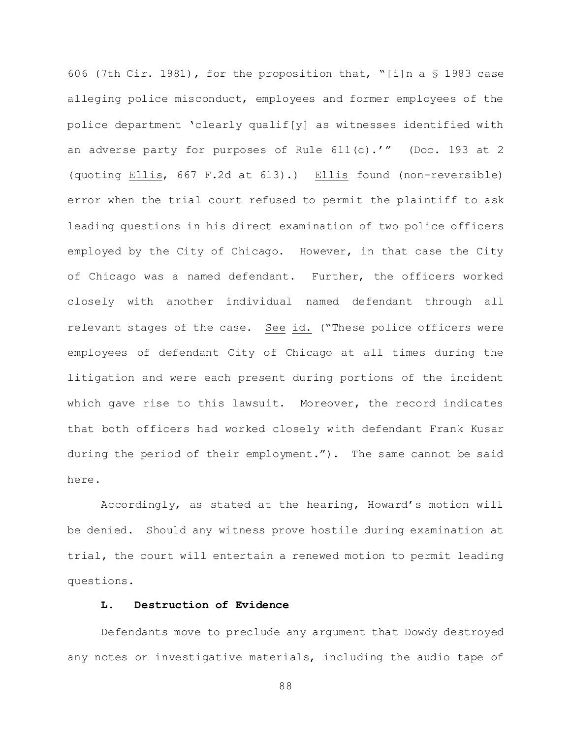606 (7th Cir. 1981), for the proposition that, "[i]n a § 1983 case alleging police misconduct, employees and former employees of the police department 'clearly qualif[y] as witnesses identified with an adverse party for purposes of Rule 611(c).'" (Doc. 193 at 2 (quoting Ellis, 667 F.2d at 613).) Ellis found (non-reversible) error when the trial court refused to permit the plaintiff to ask leading questions in his direct examination of two police officers employed by the City of Chicago. However, in that case the City of Chicago was a named defendant. Further, the officers worked closely with another individual named defendant through all relevant stages of the case. See id. ("These police officers were employees of defendant City of Chicago at all times during the litigation and were each present during portions of the incident which gave rise to this lawsuit. Moreover, the record indicates that both officers had worked closely with defendant Frank Kusar during the period of their employment."). The same cannot be said here.

Accordingly, as stated at the hearing, Howard's motion will be denied. Should any witness prove hostile during examination at trial, the court will entertain a renewed motion to permit leading questions.

# **L. Destruction of Evidence**

Defendants move to preclude any argument that Dowdy destroyed any notes or investigative materials, including the audio tape of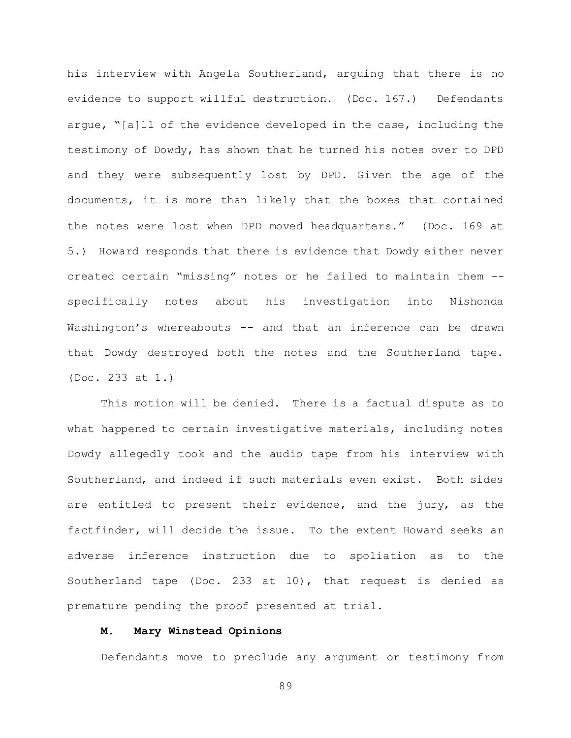his interview with Angela Southerland, arguing that there is no evidence to support willful destruction. (Doc. 167.) Defendants argue, "[a]ll of the evidence developed in the case, including the testimony of Dowdy, has shown that he turned his notes over to DPD and they were subsequently lost by DPD. Given the age of the documents, it is more than likely that the boxes that contained the notes were lost when DPD moved headquarters." (Doc. 169 at 5.) Howard responds that there is evidence that Dowdy either never created certain "missing" notes or he failed to maintain them - specifically notes about his investigation into Nishonda Washington's whereabouts -- and that an inference can be drawn that Dowdy destroyed both the notes and the Southerland tape. (Doc. 233 at 1.)

This motion will be denied. There is a factual dispute as to what happened to certain investigative materials, including notes Dowdy allegedly took and the audio tape from his interview with Southerland, and indeed if such materials even exist. Both sides are entitled to present their evidence, and the jury, as the factfinder, will decide the issue. To the extent Howard seeks an adverse inference instruction due to spoliation as to the Southerland tape (Doc. 233 at 10), that request is denied as premature pending the proof presented at trial.

## **M. Mary Winstead Opinions**

Defendants move to preclude any argument or testimony from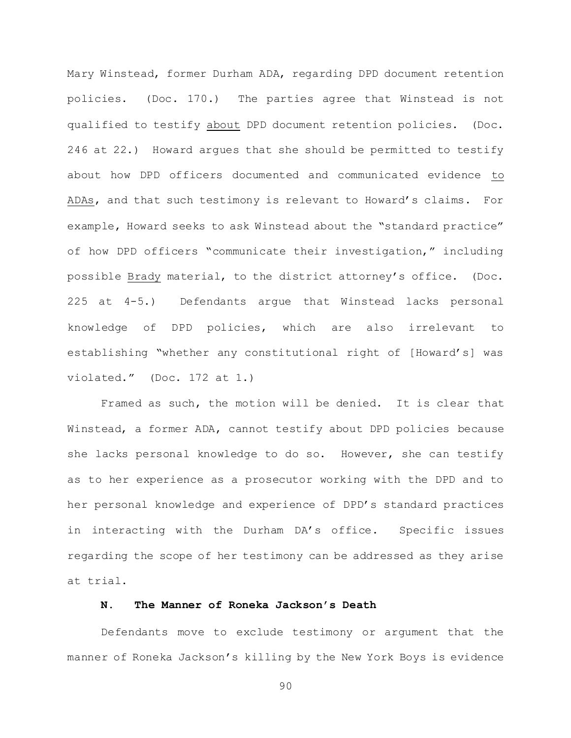Mary Winstead, former Durham ADA, regarding DPD document retention policies. (Doc. 170.) The parties agree that Winstead is not qualified to testify about DPD document retention policies. (Doc. 246 at 22.) Howard argues that she should be permitted to testify about how DPD officers documented and communicated evidence to ADAs, and that such testimony is relevant to Howard's claims. For example, Howard seeks to ask Winstead about the "standard practice" of how DPD officers "communicate their investigation," including possible Brady material, to the district attorney's office. (Doc. 225 at 4-5.) Defendants argue that Winstead lacks personal knowledge of DPD policies, which are also irrelevant to establishing "whether any constitutional right of [Howard's] was violated." (Doc. 172 at 1.)

Framed as such, the motion will be denied. It is clear that Winstead, a former ADA, cannot testify about DPD policies because she lacks personal knowledge to do so. However, she can testify as to her experience as a prosecutor working with the DPD and to her personal knowledge and experience of DPD's standard practices in interacting with the Durham DA's office. Specific issues regarding the scope of her testimony can be addressed as they arise at trial.

# **N. The Manner of Roneka Jackson's Death**

Defendants move to exclude testimony or argument that the manner of Roneka Jackson's killing by the New York Boys is evidence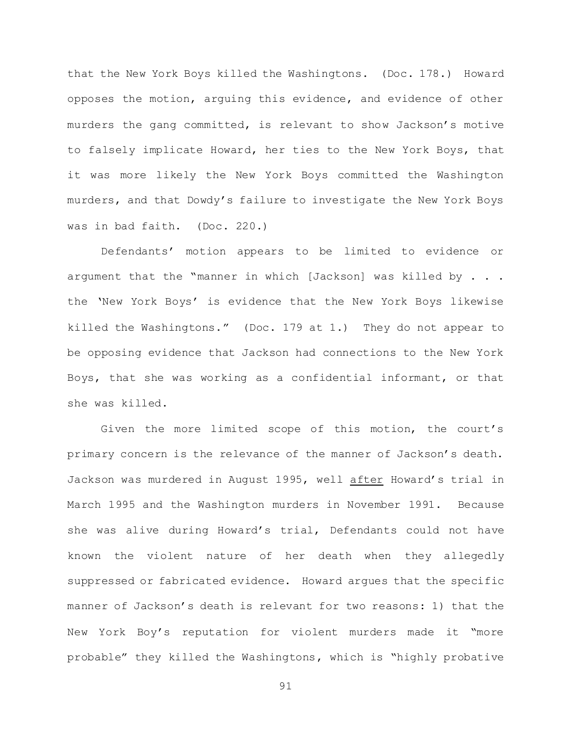that the New York Boys killed the Washingtons. (Doc. 178.) Howard opposes the motion, arguing this evidence, and evidence of other murders the gang committed, is relevant to show Jackson's motive to falsely implicate Howard, her ties to the New York Boys, that it was more likely the New York Boys committed the Washington murders, and that Dowdy's failure to investigate the New York Boys was in bad faith. (Doc. 220.)

Defendants' motion appears to be limited to evidence or argument that the "manner in which [Jackson] was killed by . . . the 'New York Boys' is evidence that the New York Boys likewise killed the Washingtons." (Doc. 179 at 1.) They do not appear to be opposing evidence that Jackson had connections to the New York Boys, that she was working as a confidential informant, or that she was killed.

Given the more limited scope of this motion, the court's primary concern is the relevance of the manner of Jackson's death. Jackson was murdered in August 1995, well after Howard's trial in March 1995 and the Washington murders in November 1991. Because she was alive during Howard's trial, Defendants could not have known the violent nature of her death when they allegedly suppressed or fabricated evidence. Howard argues that the specific manner of Jackson's death is relevant for two reasons: 1) that the New York Boy's reputation for violent murders made it "more probable" they killed the Washingtons, which is "highly probative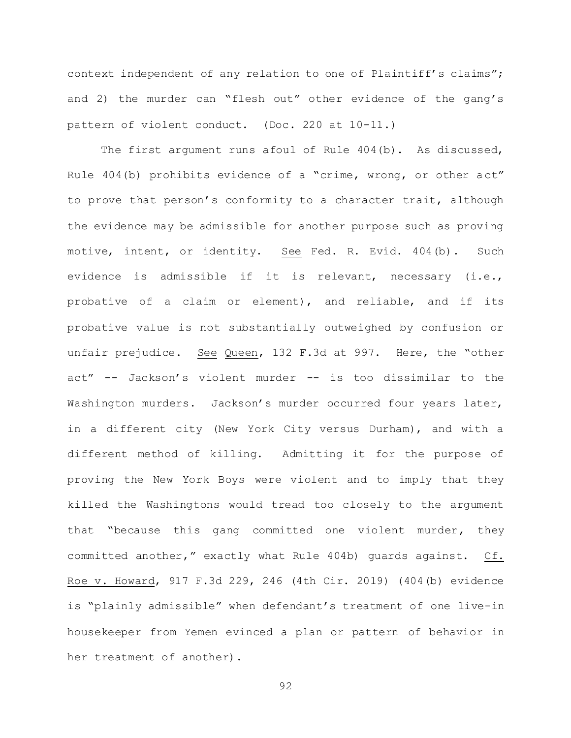context independent of any relation to one of Plaintiff's claims"; and 2) the murder can "flesh out" other evidence of the gang's pattern of violent conduct. (Doc. 220 at 10-11.)

The first argument runs afoul of Rule 404(b). As discussed, Rule 404(b) prohibits evidence of a "crime, wrong, or other act" to prove that person's conformity to a character trait, although the evidence may be admissible for another purpose such as proving motive, intent, or identity. See Fed. R. Evid. 404(b). Such evidence is admissible if it is relevant, necessary (i.e., probative of a claim or element), and reliable, and if its probative value is not substantially outweighed by confusion or unfair prejudice. See Queen, 132 F.3d at 997. Here, the "other act" -- Jackson's violent murder -- is too dissimilar to the Washington murders. Jackson's murder occurred four years later, in a different city (New York City versus Durham), and with a different method of killing. Admitting it for the purpose of proving the New York Boys were violent and to imply that they killed the Washingtons would tread too closely to the argument that "because this gang committed one violent murder, they committed another," exactly what Rule 404b) guards against. Cf. Roe v. Howard, 917 F.3d 229, 246 (4th Cir. 2019) (404(b) evidence is "plainly admissible" when defendant's treatment of one live-in housekeeper from Yemen evinced a plan or pattern of behavior in her treatment of another).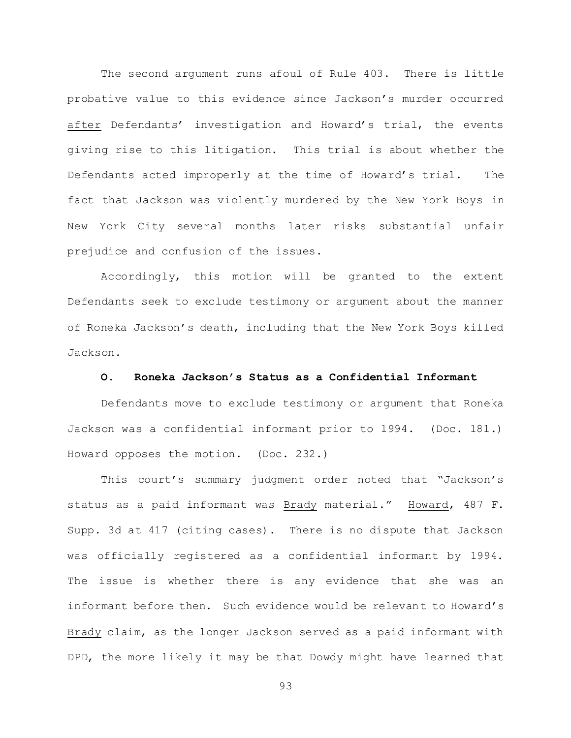The second argument runs afoul of Rule 403. There is little probative value to this evidence since Jackson's murder occurred after Defendants' investigation and Howard's trial, the events giving rise to this litigation. This trial is about whether the Defendants acted improperly at the time of Howard's trial. The fact that Jackson was violently murdered by the New York Boys in New York City several months later risks substantial unfair prejudice and confusion of the issues.

Accordingly, this motion will be granted to the extent Defendants seek to exclude testimony or argument about the manner of Roneka Jackson's death, including that the New York Boys killed Jackson.

#### **O. Roneka Jackson's Status as a Confidential Informant**

Defendants move to exclude testimony or argument that Roneka Jackson was a confidential informant prior to 1994. (Doc. 181.) Howard opposes the motion. (Doc. 232.)

This court's summary judgment order noted that "Jackson's status as a paid informant was Brady material." Howard, 487 F. Supp. 3d at 417 (citing cases). There is no dispute that Jackson was officially registered as a confidential informant by 1994. The issue is whether there is any evidence that she was an informant before then. Such evidence would be relevant to Howard's Brady claim, as the longer Jackson served as a paid informant with DPD, the more likely it may be that Dowdy might have learned that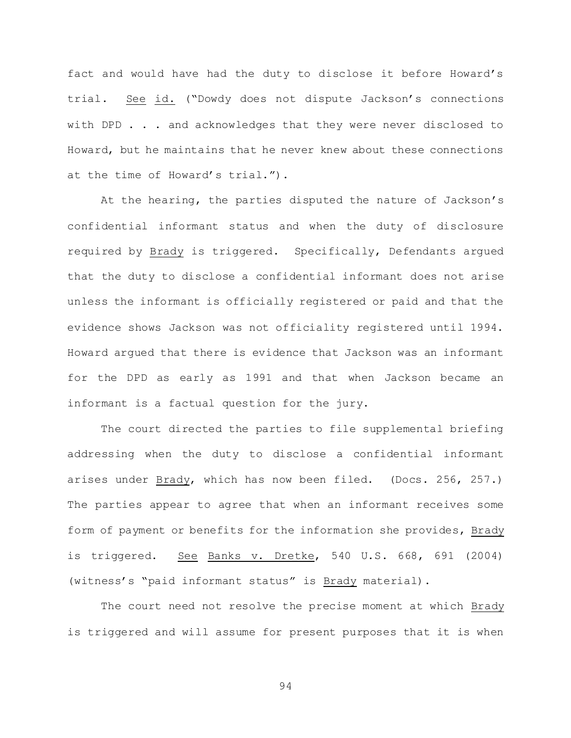fact and would have had the duty to disclose it before Howard's trial. See id. ("Dowdy does not dispute Jackson's connections with DPD . . . and acknowledges that they were never disclosed to Howard, but he maintains that he never knew about these connections at the time of Howard's trial.").

At the hearing, the parties disputed the nature of Jackson's confidential informant status and when the duty of disclosure required by Brady is triggered. Specifically, Defendants argued that the duty to disclose a confidential informant does not arise unless the informant is officially registered or paid and that the evidence shows Jackson was not officiality registered until 1994. Howard argued that there is evidence that Jackson was an informant for the DPD as early as 1991 and that when Jackson became an informant is a factual question for the jury.

The court directed the parties to file supplemental briefing addressing when the duty to disclose a confidential informant arises under Brady, which has now been filed. (Docs. 256, 257.) The parties appear to agree that when an informant receives some form of payment or benefits for the information she provides, Brady is triggered. See Banks v. Dretke, 540 U.S. 668, 691 (2004) (witness's "paid informant status" is Brady material).

The court need not resolve the precise moment at which Brady is triggered and will assume for present purposes that it is when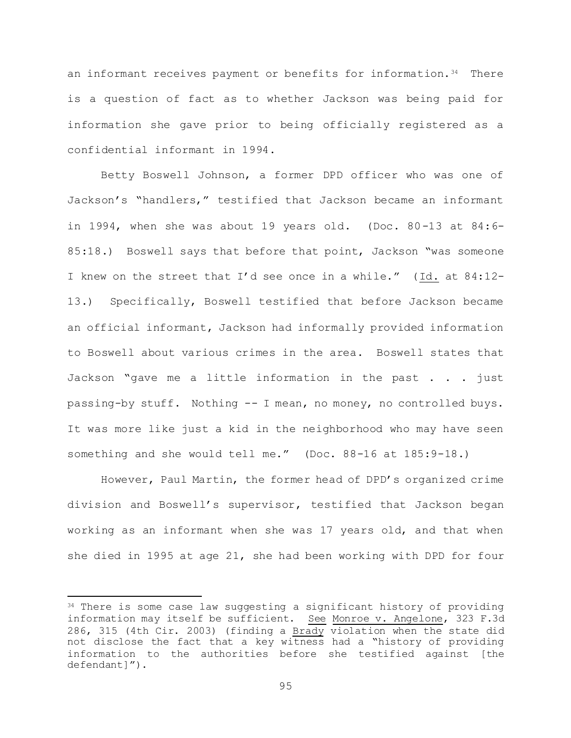an informant receives payment or benefits for information.<sup>34</sup> There is a question of fact as to whether Jackson was being paid for information she gave prior to being officially registered as a confidential informant in 1994.

Betty Boswell Johnson, a former DPD officer who was one of Jackson's "handlers," testified that Jackson became an informant in 1994, when she was about 19 years old. (Doc. 80-13 at 84:6- 85:18.) Boswell says that before that point, Jackson "was someone I knew on the street that I'd see once in a while." (Id. at 84:12- 13.) Specifically, Boswell testified that before Jackson became an official informant, Jackson had informally provided information to Boswell about various crimes in the area. Boswell states that Jackson "gave me a little information in the past . . . just passing-by stuff. Nothing -- I mean, no money, no controlled buys. It was more like just a kid in the neighborhood who may have seen something and she would tell me." (Doc. 88-16 at 185:9-18.)

However, Paul Martin, the former head of DPD's organized crime division and Boswell's supervisor, testified that Jackson began working as an informant when she was 17 years old, and that when she died in 1995 at age 21, she had been working with DPD for four

L,

<sup>&</sup>lt;sup>34</sup> There is some case law suggesting a significant history of providing information may itself be sufficient. See Monroe v. Angelone, 323 F.3d 286, 315 (4th Cir. 2003) (finding a Brady violation when the state did not disclose the fact that a key witness had a "history of providing information to the authorities before she testified against [the defendant]").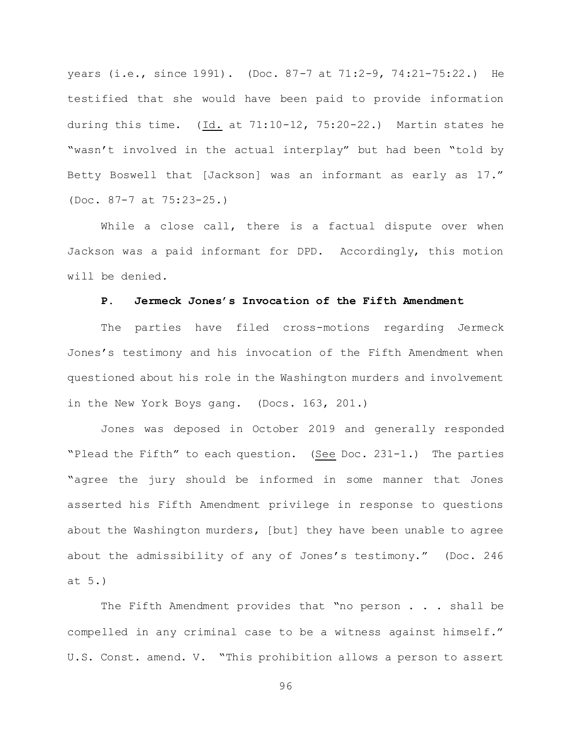years (i.e., since 1991). (Doc. 87-7 at 71:2-9, 74:21-75:22.) He testified that she would have been paid to provide information during this time. (Id. at 71:10-12, 75:20-22.) Martin states he "wasn't involved in the actual interplay" but had been "told by Betty Boswell that [Jackson] was an informant as early as 17." (Doc. 87-7 at 75:23-25.)

While a close call, there is a factual dispute over when Jackson was a paid informant for DPD. Accordingly, this motion will be denied.

## **P. Jermeck Jones's Invocation of the Fifth Amendment**

The parties have filed cross-motions regarding Jermeck Jones's testimony and his invocation of the Fifth Amendment when questioned about his role in the Washington murders and involvement in the New York Boys gang. (Docs. 163, 201.)

Jones was deposed in October 2019 and generally responded "Plead the Fifth" to each question. (See Doc. 231-1.) The parties "agree the jury should be informed in some manner that Jones asserted his Fifth Amendment privilege in response to questions about the Washington murders, [but] they have been unable to agree about the admissibility of any of Jones's testimony." (Doc. 246 at 5.)

The Fifth Amendment provides that "no person . . . shall be compelled in any criminal case to be a witness against himself." U.S. Const. amend. V. "This prohibition allows a person to assert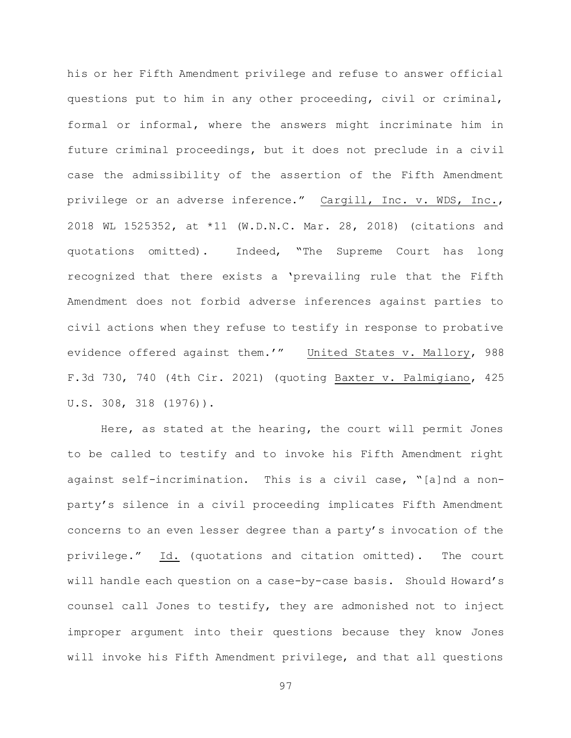his or her Fifth Amendment privilege and refuse to answer official questions put to him in any other proceeding, civil or criminal, formal or informal, where the answers might incriminate him in future criminal proceedings, but it does not preclude in a civil case the admissibility of the assertion of the Fifth Amendment privilege or an adverse inference." Cargill, Inc. v. WDS, Inc., 2018 WL 1525352, at \*11 (W.D.N.C. Mar. 28, 2018) (citations and quotations omitted). Indeed, "The Supreme Court has long recognized that there exists a 'prevailing rule that the Fifth Amendment does not forbid adverse inferences against parties to civil actions when they refuse to testify in response to probative evidence offered against them.'" United States v. Mallory, 988 F.3d 730, 740 (4th Cir. 2021) (quoting Baxter v. Palmigiano, 425 U.S. 308, 318 (1976)).

Here, as stated at the hearing, the court will permit Jones to be called to testify and to invoke his Fifth Amendment right against self-incrimination. This is a civil case, "[a]nd a nonparty's silence in a civil proceeding implicates Fifth Amendment concerns to an even lesser degree than a party's invocation of the privilege." Id. (quotations and citation omitted). The court will handle each question on a case-by-case basis. Should Howard's counsel call Jones to testify, they are admonished not to inject improper argument into their questions because they know Jones will invoke his Fifth Amendment privilege, and that all questions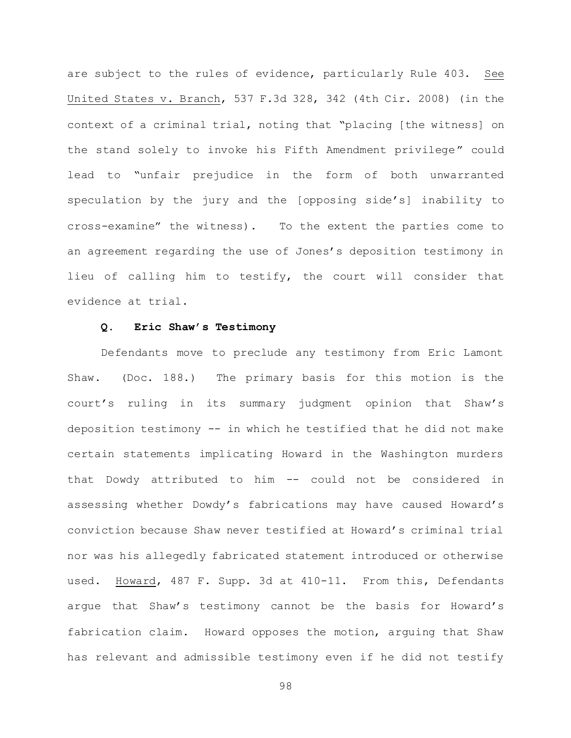are subject to the rules of evidence, particularly Rule 403. See United States v. Branch, 537 F.3d 328, 342 (4th Cir. 2008) (in the context of a criminal trial, noting that "placing [the witness] on the stand solely to invoke his Fifth Amendment privilege" could lead to "unfair prejudice in the form of both unwarranted speculation by the jury and the [opposing side's] inability to cross-examine" the witness). To the extent the parties come to an agreement regarding the use of Jones's deposition testimony in lieu of calling him to testify, the court will consider that evidence at trial.

#### **Q. Eric Shaw's Testimony**

Defendants move to preclude any testimony from Eric Lamont Shaw. (Doc. 188.) The primary basis for this motion is the court's ruling in its summary judgment opinion that Shaw's deposition testimony -- in which he testified that he did not make certain statements implicating Howard in the Washington murders that Dowdy attributed to him -- could not be considered in assessing whether Dowdy's fabrications may have caused Howard's conviction because Shaw never testified at Howard's criminal trial nor was his allegedly fabricated statement introduced or otherwise used. Howard, 487 F. Supp. 3d at 410-11. From this, Defendants argue that Shaw's testimony cannot be the basis for Howard's fabrication claim. Howard opposes the motion, arguing that Shaw has relevant and admissible testimony even if he did not testify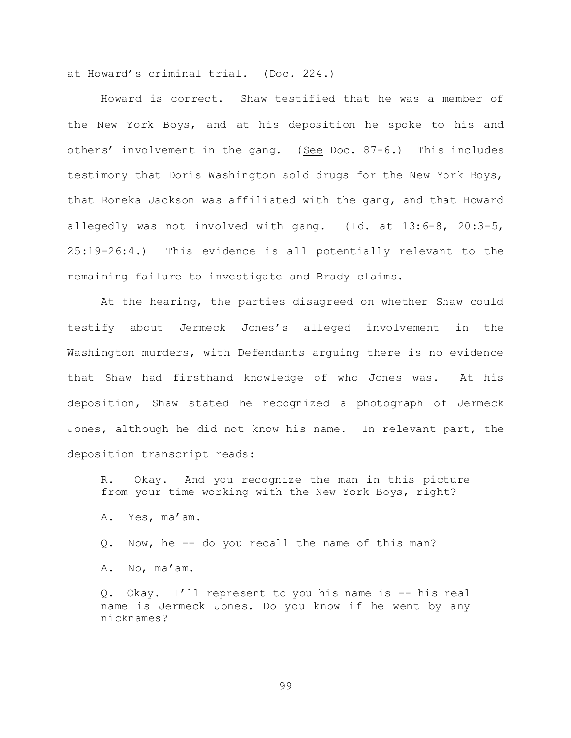at Howard's criminal trial. (Doc. 224.)

Howard is correct. Shaw testified that he was a member of the New York Boys, and at his deposition he spoke to his and others' involvement in the gang. (See Doc. 87-6.) This includes testimony that Doris Washington sold drugs for the New York Boys, that Roneka Jackson was affiliated with the gang, and that Howard allegedly was not involved with gang. (Id. at 13:6-8, 20:3-5, 25:19-26:4.) This evidence is all potentially relevant to the remaining failure to investigate and Brady claims.

At the hearing, the parties disagreed on whether Shaw could testify about Jermeck Jones's alleged involvement in the Washington murders, with Defendants arguing there is no evidence that Shaw had firsthand knowledge of who Jones was. At his deposition, Shaw stated he recognized a photograph of Jermeck Jones, although he did not know his name. In relevant part, the deposition transcript reads:

R. Okay. And you recognize the man in this picture from your time working with the New York Boys, right?

A. Yes, ma'am.

Q. Now, he -- do you recall the name of this man?

A. No, ma'am.

Q. Okay. I'll represent to you his name is -- his real name is Jermeck Jones. Do you know if he went by any nicknames?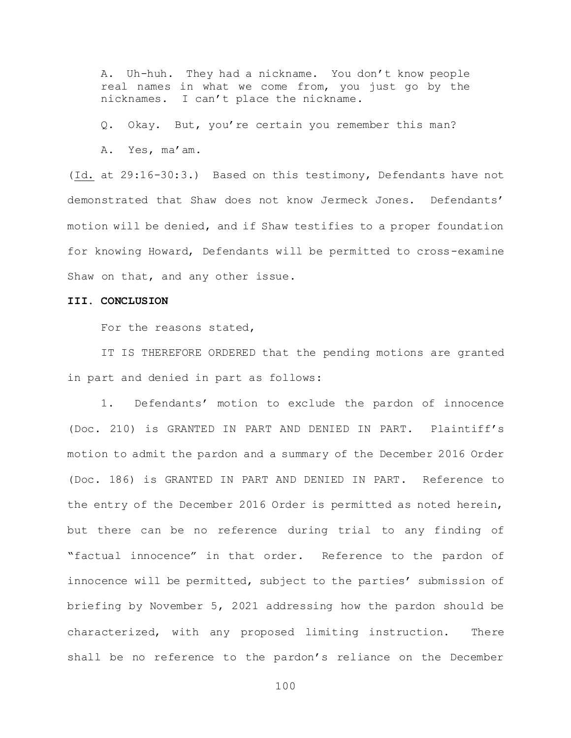A. Uh-huh. They had a nickname. You don't know people real names in what we come from, you just go by the nicknames. I can't place the nickname.

Q. Okay. But, you're certain you remember this man?

A. Yes, ma'am.

(Id. at 29:16-30:3.) Based on this testimony, Defendants have not demonstrated that Shaw does not know Jermeck Jones. Defendants' motion will be denied, and if Shaw testifies to a proper foundation for knowing Howard, Defendants will be permitted to cross-examine Shaw on that, and any other issue.

#### **III. CONCLUSION**

For the reasons stated,

IT IS THEREFORE ORDERED that the pending motions are granted in part and denied in part as follows:

1. Defendants' motion to exclude the pardon of innocence (Doc. 210) is GRANTED IN PART AND DENIED IN PART. Plaintiff's motion to admit the pardon and a summary of the December 2016 Order (Doc. 186) is GRANTED IN PART AND DENIED IN PART. Reference to the entry of the December 2016 Order is permitted as noted herein, but there can be no reference during trial to any finding of "factual innocence" in that order. Reference to the pardon of innocence will be permitted, subject to the parties' submission of briefing by November 5, 2021 addressing how the pardon should be characterized, with any proposed limiting instruction. There shall be no reference to the pardon's reliance on the December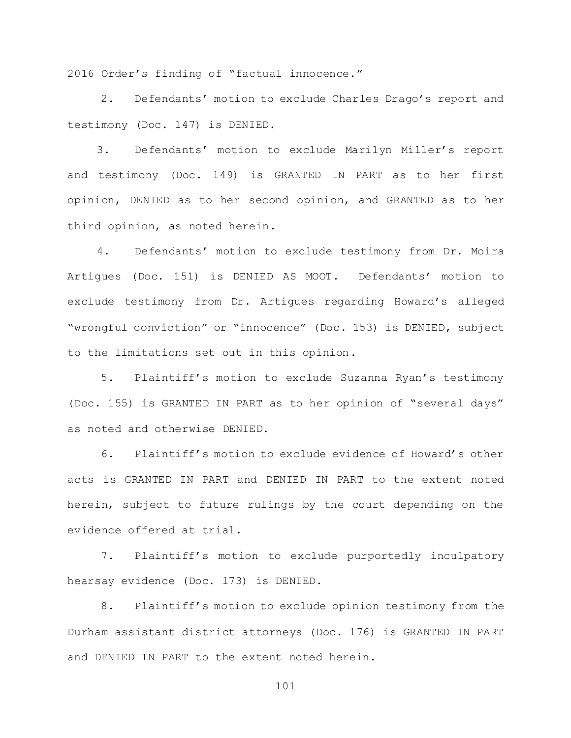2016 Order's finding of "factual innocence."

2. Defendants' motion to exclude Charles Drago's report and testimony (Doc. 147) is DENIED.

3. Defendants' motion to exclude Marilyn Miller's report and testimony (Doc. 149) is GRANTED IN PART as to her first opinion, DENIED as to her second opinion, and GRANTED as to her third opinion, as noted herein.

4. Defendants' motion to exclude testimony from Dr. Moira Artigues (Doc. 151) is DENIED AS MOOT. Defendants' motion to exclude testimony from Dr. Artigues regarding Howard's alleged "wrongful conviction" or "innocence" (Doc. 153) is DENIED, subject to the limitations set out in this opinion.

5. Plaintiff's motion to exclude Suzanna Ryan's testimony (Doc. 155) is GRANTED IN PART as to her opinion of "several days" as noted and otherwise DENIED.

6. Plaintiff's motion to exclude evidence of Howard's other acts is GRANTED IN PART and DENIED IN PART to the extent noted herein, subject to future rulings by the court depending on the evidence offered at trial.

7. Plaintiff's motion to exclude purportedly inculpatory hearsay evidence (Doc. 173) is DENIED.

8. Plaintiff's motion to exclude opinion testimony from the Durham assistant district attorneys (Doc. 176) is GRANTED IN PART and DENIED IN PART to the extent noted herein.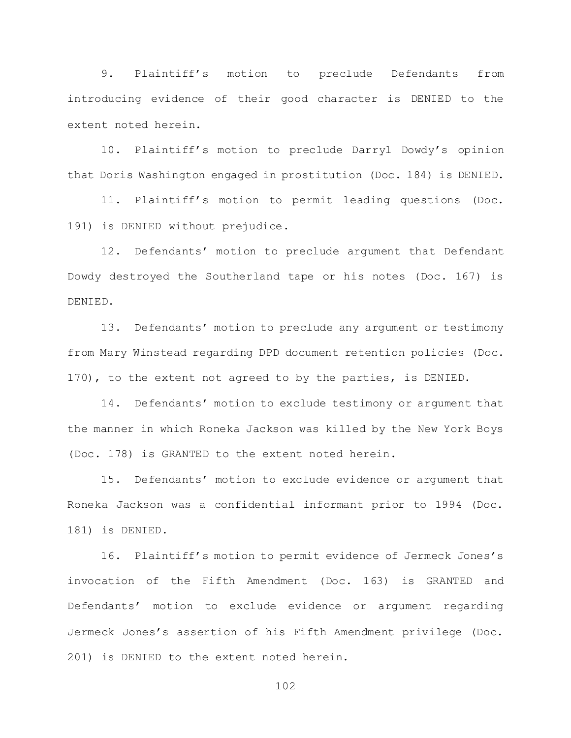9. Plaintiff's motion to preclude Defendants from introducing evidence of their good character is DENIED to the extent noted herein.

10. Plaintiff's motion to preclude Darryl Dowdy's opinion that Doris Washington engaged in prostitution (Doc. 184) is DENIED.

11. Plaintiff's motion to permit leading questions (Doc. 191) is DENIED without prejudice.

12. Defendants' motion to preclude argument that Defendant Dowdy destroyed the Southerland tape or his notes (Doc. 167) is DENIED.

13. Defendants' motion to preclude any argument or testimony from Mary Winstead regarding DPD document retention policies (Doc. 170), to the extent not agreed to by the parties, is DENIED.

14. Defendants' motion to exclude testimony or argument that the manner in which Roneka Jackson was killed by the New York Boys (Doc. 178) is GRANTED to the extent noted herein.

15. Defendants' motion to exclude evidence or argument that Roneka Jackson was a confidential informant prior to 1994 (Doc. 181) is DENIED.

16. Plaintiff's motion to permit evidence of Jermeck Jones's invocation of the Fifth Amendment (Doc. 163) is GRANTED and Defendants' motion to exclude evidence or argument regarding Jermeck Jones's assertion of his Fifth Amendment privilege (Doc. 201) is DENIED to the extent noted herein.